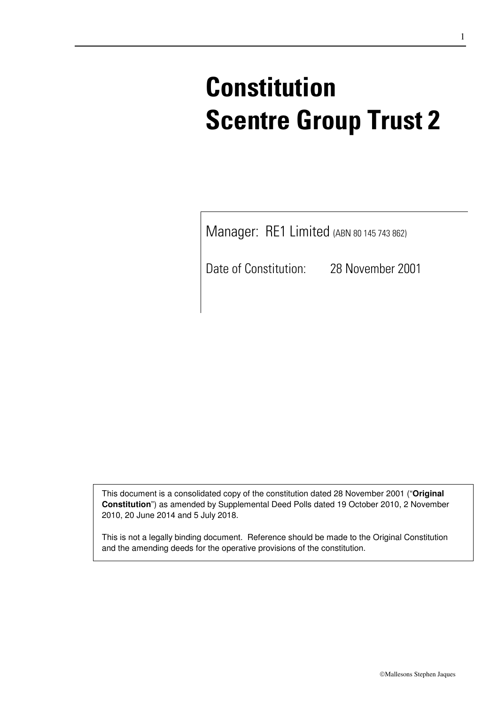# **Constitution Scentre Group Trust 2**

Manager: RE1 Limited (ABN 80 145 743 862)

Date of Constitution: 28 November 2001

This document is a consolidated copy of the constitution dated 28 November 2001 ("**Original Constitution**") as amended by Supplemental Deed Polls dated 19 October 2010, 2 November 2010, 20 June 2014 and 5 July 2018.

This is not a legally binding document. Reference should be made to the Original Constitution and the amending deeds for the operative provisions of the constitution.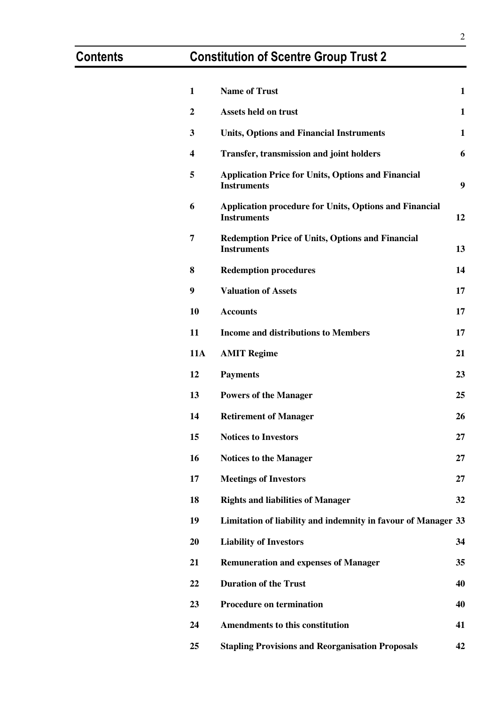# **Contents Constitution of Scentre Group Trust 2**

| 1              | <b>Name of Trust</b>                                                                | $\mathbf{1}$ |
|----------------|-------------------------------------------------------------------------------------|--------------|
|                |                                                                                     |              |
| $\overline{2}$ | <b>Assets held on trust</b>                                                         | $\mathbf{1}$ |
| 3              | <b>Units, Options and Financial Instruments</b>                                     | $\mathbf{1}$ |
| 4              | <b>Transfer, transmission and joint holders</b>                                     | 6            |
| 5              | <b>Application Price for Units, Options and Financial</b><br><b>Instruments</b>     | 9            |
| 6              | <b>Application procedure for Units, Options and Financial</b><br><b>Instruments</b> | 12           |
| 7              | <b>Redemption Price of Units, Options and Financial</b><br><b>Instruments</b>       | 13           |
| 8              | <b>Redemption procedures</b>                                                        | 14           |
| 9              | <b>Valuation of Assets</b>                                                          | 17           |
| 10             | <b>Accounts</b>                                                                     | 17           |
| 11             | <b>Income and distributions to Members</b>                                          | 17           |
| <b>11A</b>     | <b>AMIT Regime</b>                                                                  | 21           |
| 12             | <b>Payments</b>                                                                     | 23           |
| 13             | <b>Powers of the Manager</b>                                                        | 25           |
| 14             | <b>Retirement of Manager</b>                                                        | 26           |
| 15             | <b>Notices to Investors</b>                                                         | 27           |
| 16             | <b>Notices to the Manager</b>                                                       | 27           |
| 17             | <b>Meetings of Investors</b>                                                        | 27           |
| 18             | <b>Rights and liabilities of Manager</b>                                            | 32           |
| 19             | Limitation of liability and indemnity in favour of Manager 33                       |              |
| 20             | <b>Liability of Investors</b>                                                       | 34           |
| 21             | <b>Remuneration and expenses of Manager</b>                                         | 35           |
| 22             | <b>Duration of the Trust</b>                                                        | 40           |
| 23             | <b>Procedure on termination</b>                                                     | 40           |
| 24             | <b>Amendments to this constitution</b>                                              | 41           |
| 25             | <b>Stapling Provisions and Reorganisation Proposals</b>                             | 42           |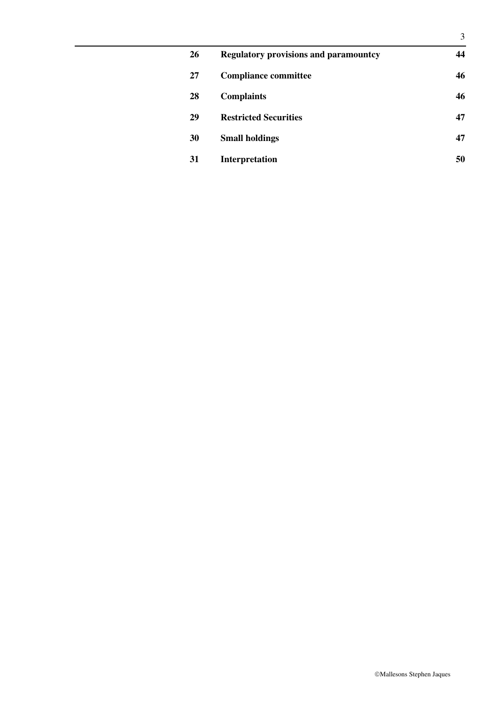| 26 | <b>Regulatory provisions and paramountcy</b> | 44 |
|----|----------------------------------------------|----|
| 27 | <b>Compliance committee</b>                  | 46 |
| 28 | <b>Complaints</b>                            | 46 |
| 29 | <b>Restricted Securities</b>                 | 47 |
| 30 | <b>Small holdings</b>                        | 47 |
| 31 | Interpretation                               | 50 |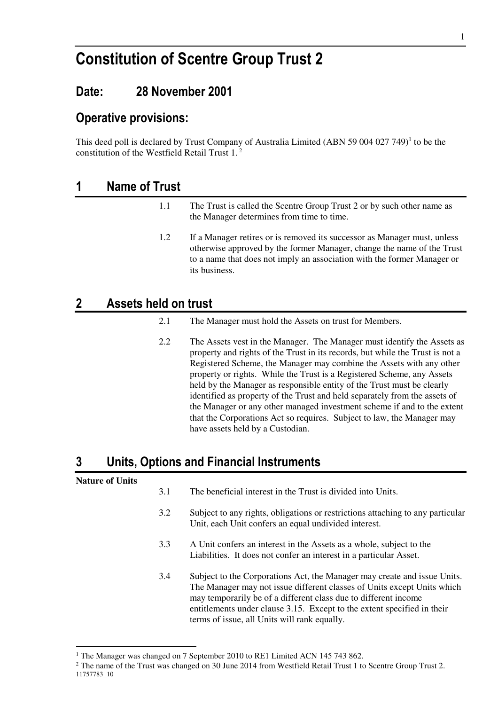# **Constitution of Scentre Group Trust 2**

# **Date: 28 November 2001**

## **Operative provisions:**

This deed poll is declared by Trust Company of Australia Limited (ABN 59 004 027 749)<sup>1</sup> to be the constitution of the Westfield Retail Trust 1.<sup>2</sup>

## **1 Name of Trust**

- 1.1 The Trust is called the Scentre Group Trust 2 or by such other name as the Manager determines from time to time.
- 1.2 If a Manager retires or is removed its successor as Manager must, unless otherwise approved by the former Manager, change the name of the Trust to a name that does not imply an association with the former Manager or its business.

# **2 Assets held on trust**

- 2.1 The Manager must hold the Assets on trust for Members.
- 2.2 The Assets vest in the Manager. The Manager must identify the Assets as property and rights of the Trust in its records, but while the Trust is not a Registered Scheme, the Manager may combine the Assets with any other property or rights. While the Trust is a Registered Scheme, any Assets held by the Manager as responsible entity of the Trust must be clearly identified as property of the Trust and held separately from the assets of the Manager or any other managed investment scheme if and to the extent that the Corporations Act so requires. Subject to law, the Manager may have assets held by a Custodian.

# **3 Units, Options and Financial Instruments**

#### **Nature of Units**

-

- 3.1 The beneficial interest in the Trust is divided into Units.
- 3.2 Subject to any rights, obligations or restrictions attaching to any particular Unit, each Unit confers an equal undivided interest.
- 3.3 A Unit confers an interest in the Assets as a whole, subject to the Liabilities. It does not confer an interest in a particular Asset.
- 3.4 Subject to the Corporations Act, the Manager may create and issue Units. The Manager may not issue different classes of Units except Units which may temporarily be of a different class due to different income entitlements under clause 3.15. Except to the extent specified in their terms of issue, all Units will rank equally.

<sup>&</sup>lt;sup>1</sup> The Manager was changed on 7 September 2010 to RE1 Limited ACN 145 743 862.

<sup>11757783</sup>\_10 <sup>2</sup> The name of the Trust was changed on 30 June 2014 from Westfield Retail Trust 1 to Scentre Group Trust 2.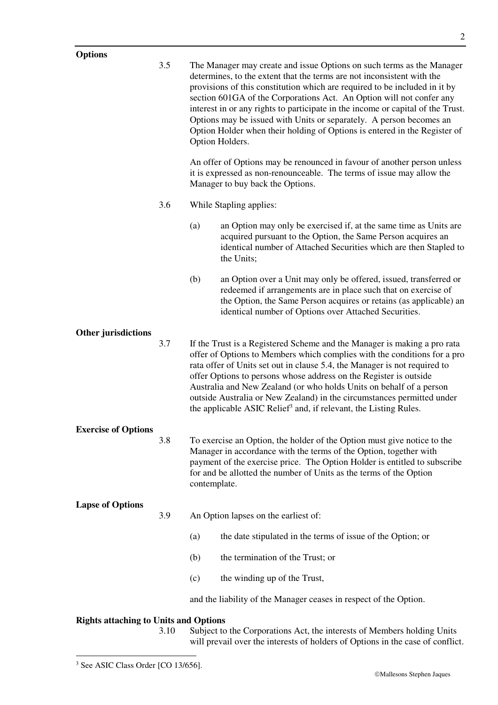3.5 The Manager may create and issue Options on such terms as the Manager determines, to the extent that the terms are not inconsistent with the provisions of this constitution which are required to be included in it by section 601GA of the Corporations Act. An Option will not confer any interest in or any rights to participate in the income or capital of the Trust. Options may be issued with Units or separately. A person becomes an Option Holder when their holding of Options is entered in the Register of Option Holders. An offer of Options may be renounced in favour of another person unless it is expressed as non-renounceable. The terms of issue may allow the Manager to buy back the Options. 3.6 While Stapling applies: (a) an Option may only be exercised if, at the same time as Units are acquired pursuant to the Option, the Same Person acquires an identical number of Attached Securities which are then Stapled to the Units;

> (b) an Option over a Unit may only be offered, issued, transferred or redeemed if arrangements are in place such that on exercise of the Option, the Same Person acquires or retains (as applicable) an identical number of Options over Attached Securities.

#### **Other jurisdictions**

3.7 If the Trust is a Registered Scheme and the Manager is making a pro rata offer of Options to Members which complies with the conditions for a pro rata offer of Units set out in clause 5.4, the Manager is not required to offer Options to persons whose address on the Register is outside Australia and New Zealand (or who holds Units on behalf of a person outside Australia or New Zealand) in the circumstances permitted under the applicable ASIC Relief<sup>3</sup> and, if relevant, the Listing Rules.

#### **Exercise of Options**

3.8 To exercise an Option, the holder of the Option must give notice to the Manager in accordance with the terms of the Option, together with payment of the exercise price. The Option Holder is entitled to subscribe for and be allotted the number of Units as the terms of the Option contemplate.

#### **Lapse of Options**

- 3.9 An Option lapses on the earliest of:
	- (a) the date stipulated in the terms of issue of the Option; or
	- (b) the termination of the Trust; or
	- (c) the winding up of the Trust,

and the liability of the Manager ceases in respect of the Option.

#### **Rights attaching to Units and Options**

3.10 Subject to the Corporations Act, the interests of Members holding Units will prevail over the interests of holders of Options in the case of conflict.

-

<sup>3</sup> See ASIC Class Order [CO 13/656].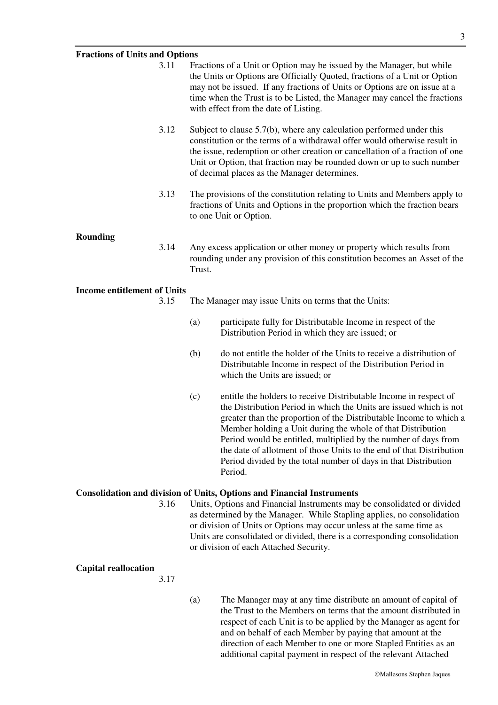#### **Fractions of Units and Options**

| <b>Fractions of Units and Options</b> |      |        |                                                                                                                                                                                                                                                                                                                                                                                                                                                                                            |
|---------------------------------------|------|--------|--------------------------------------------------------------------------------------------------------------------------------------------------------------------------------------------------------------------------------------------------------------------------------------------------------------------------------------------------------------------------------------------------------------------------------------------------------------------------------------------|
|                                       | 3.11 |        | Fractions of a Unit or Option may be issued by the Manager, but while<br>the Units or Options are Officially Quoted, fractions of a Unit or Option<br>may not be issued. If any fractions of Units or Options are on issue at a<br>time when the Trust is to be Listed, the Manager may cancel the fractions<br>with effect from the date of Listing.                                                                                                                                      |
|                                       | 3.12 |        | Subject to clause 5.7(b), where any calculation performed under this<br>constitution or the terms of a withdrawal offer would otherwise result in<br>the issue, redemption or other creation or cancellation of a fraction of one<br>Unit or Option, that fraction may be rounded down or up to such number<br>of decimal places as the Manager determines.                                                                                                                                |
|                                       | 3.13 |        | The provisions of the constitution relating to Units and Members apply to<br>fractions of Units and Options in the proportion which the fraction bears<br>to one Unit or Option.                                                                                                                                                                                                                                                                                                           |
| <b>Rounding</b>                       | 3.14 | Trust. | Any excess application or other money or property which results from<br>rounding under any provision of this constitution becomes an Asset of the                                                                                                                                                                                                                                                                                                                                          |
| <b>Income entitlement of Units</b>    |      |        |                                                                                                                                                                                                                                                                                                                                                                                                                                                                                            |
|                                       | 3.15 |        | The Manager may issue Units on terms that the Units:                                                                                                                                                                                                                                                                                                                                                                                                                                       |
|                                       |      | (a)    | participate fully for Distributable Income in respect of the<br>Distribution Period in which they are issued; or                                                                                                                                                                                                                                                                                                                                                                           |
|                                       |      | (b)    | do not entitle the holder of the Units to receive a distribution of<br>Distributable Income in respect of the Distribution Period in<br>which the Units are issued; or                                                                                                                                                                                                                                                                                                                     |
|                                       |      | (c)    | entitle the holders to receive Distributable Income in respect of<br>the Distribution Period in which the Units are issued which is not<br>greater than the proportion of the Distributable Income to which a<br>Member holding a Unit during the whole of that Distribution<br>Period would be entitled, multiplied by the number of days from<br>the date of allotment of those Units to the end of that Distribution<br>Period divided by the total number of days in that Distribution |

#### **Consolidation and division of Units, Options and Financial Instruments**

Period.

3.16 Units, Options and Financial Instruments may be consolidated or divided as determined by the Manager. While Stapling applies, no consolidation or division of Units or Options may occur unless at the same time as Units are consolidated or divided, there is a corresponding consolidation or division of each Attached Security.

#### **Capital reallocation**

3.17

- - (a) The Manager may at any time distribute an amount of capital of the Trust to the Members on terms that the amount distributed in respect of each Unit is to be applied by the Manager as agent for and on behalf of each Member by paying that amount at the direction of each Member to one or more Stapled Entities as an additional capital payment in respect of the relevant Attached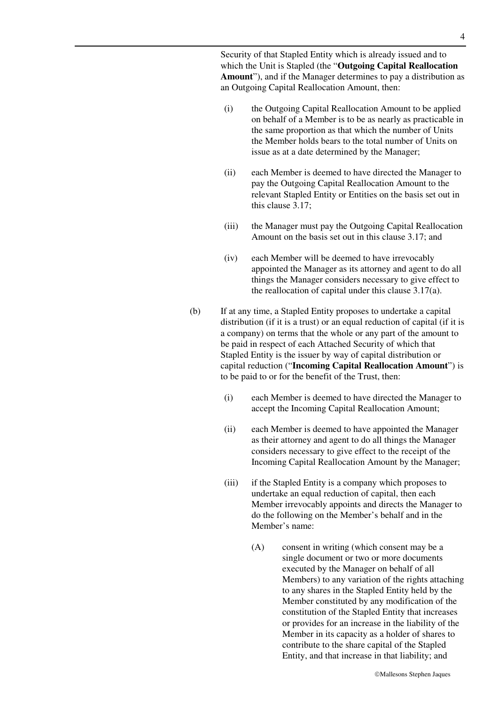Security of that Stapled Entity which is already issued and to which the Unit is Stapled (the "**Outgoing Capital Reallocation Amount**"), and if the Manager determines to pay a distribution as an Outgoing Capital Reallocation Amount, then:

- (i) the Outgoing Capital Reallocation Amount to be applied on behalf of a Member is to be as nearly as practicable in the same proportion as that which the number of Units the Member holds bears to the total number of Units on issue as at a date determined by the Manager;
- (ii) each Member is deemed to have directed the Manager to pay the Outgoing Capital Reallocation Amount to the relevant Stapled Entity or Entities on the basis set out in this clause 3.17;
- (iii) the Manager must pay the Outgoing Capital Reallocation Amount on the basis set out in this clause 3.17; and
- (iv) each Member will be deemed to have irrevocably appointed the Manager as its attorney and agent to do all things the Manager considers necessary to give effect to the reallocation of capital under this clause 3.17(a).
- (b) If at any time, a Stapled Entity proposes to undertake a capital distribution (if it is a trust) or an equal reduction of capital (if it is a company) on terms that the whole or any part of the amount to be paid in respect of each Attached Security of which that Stapled Entity is the issuer by way of capital distribution or capital reduction ("**Incoming Capital Reallocation Amount**") is to be paid to or for the benefit of the Trust, then:
	- (i) each Member is deemed to have directed the Manager to accept the Incoming Capital Reallocation Amount;
	- (ii) each Member is deemed to have appointed the Manager as their attorney and agent to do all things the Manager considers necessary to give effect to the receipt of the Incoming Capital Reallocation Amount by the Manager;
	- (iii) if the Stapled Entity is a company which proposes to undertake an equal reduction of capital, then each Member irrevocably appoints and directs the Manager to do the following on the Member's behalf and in the Member's name:
		- (A) consent in writing (which consent may be a single document or two or more documents executed by the Manager on behalf of all Members) to any variation of the rights attaching to any shares in the Stapled Entity held by the Member constituted by any modification of the constitution of the Stapled Entity that increases or provides for an increase in the liability of the Member in its capacity as a holder of shares to contribute to the share capital of the Stapled Entity, and that increase in that liability; and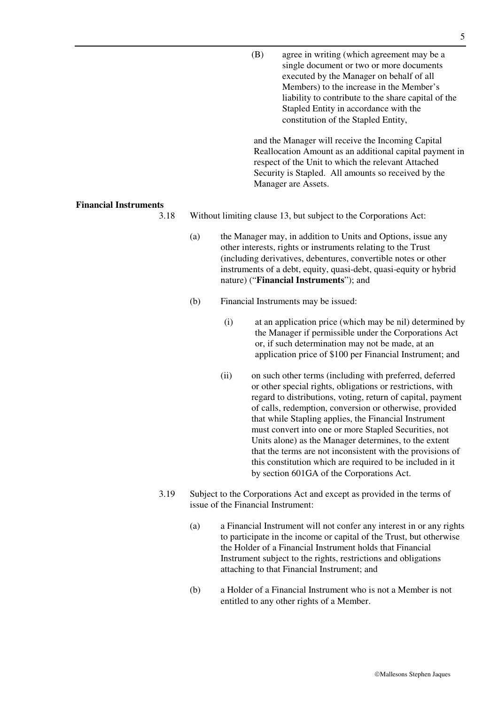(B) agree in writing (which agreement may be a single document or two or more documents executed by the Manager on behalf of all Members) to the increase in the Member's liability to contribute to the share capital of the Stapled Entity in accordance with the constitution of the Stapled Entity, and the Manager will receive the Incoming Capital Reallocation Amount as an additional capital payment in respect of the Unit to which the relevant Attached

Security is Stapled. All amounts so received by the

#### **Financial Instruments**

3.18 Without limiting clause 13, but subject to the Corporations Act:

Manager are Assets.

- (a) the Manager may, in addition to Units and Options, issue any other interests, rights or instruments relating to the Trust (including derivatives, debentures, convertible notes or other instruments of a debt, equity, quasi-debt, quasi-equity or hybrid nature) ("**Financial Instruments**"); and
- (b) Financial Instruments may be issued:
	- (i) at an application price (which may be nil) determined by the Manager if permissible under the Corporations Act or, if such determination may not be made, at an application price of \$100 per Financial Instrument; and
	- (ii) on such other terms (including with preferred, deferred or other special rights, obligations or restrictions, with regard to distributions, voting, return of capital, payment of calls, redemption, conversion or otherwise, provided that while Stapling applies, the Financial Instrument must convert into one or more Stapled Securities, not Units alone) as the Manager determines, to the extent that the terms are not inconsistent with the provisions of this constitution which are required to be included in it by section 601GA of the Corporations Act.
- 3.19 Subject to the Corporations Act and except as provided in the terms of issue of the Financial Instrument:
	- (a) a Financial Instrument will not confer any interest in or any rights to participate in the income or capital of the Trust, but otherwise the Holder of a Financial Instrument holds that Financial Instrument subject to the rights, restrictions and obligations attaching to that Financial Instrument; and
	- (b) a Holder of a Financial Instrument who is not a Member is not entitled to any other rights of a Member.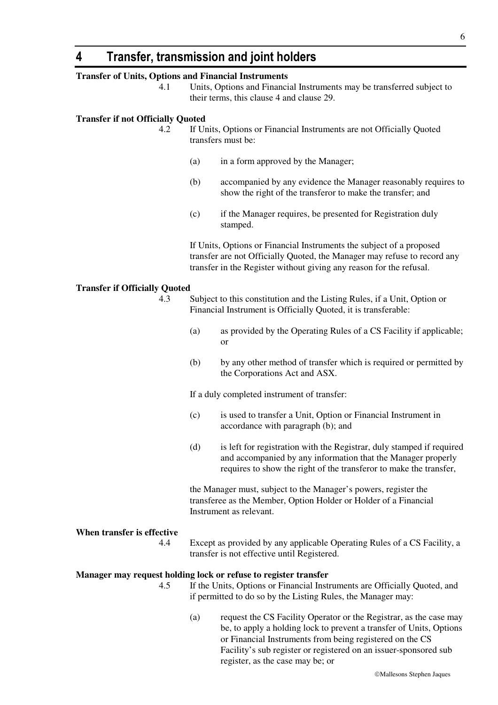### **4 Transfer, transmission and joint holders**

#### **Transfer of Units, Options and Financial Instruments**

4.1 Units, Options and Financial Instruments may be transferred subject to their terms, this clause 4 and clause 29.

#### **Transfer if not Officially Quoted**

- 4.2 If Units, Options or Financial Instruments are not Officially Quoted transfers must be:
	- (a) in a form approved by the Manager;
	- (b) accompanied by any evidence the Manager reasonably requires to show the right of the transferor to make the transfer; and
	- (c) if the Manager requires, be presented for Registration duly stamped.

If Units, Options or Financial Instruments the subject of a proposed transfer are not Officially Quoted, the Manager may refuse to record any transfer in the Register without giving any reason for the refusal.

#### **Transfer if Officially Quoted**

- 4.3 Subject to this constitution and the Listing Rules, if a Unit, Option or Financial Instrument is Officially Quoted, it is transferable:
	- (a) as provided by the Operating Rules of a CS Facility if applicable; or
	- (b) by any other method of transfer which is required or permitted by the Corporations Act and ASX.

If a duly completed instrument of transfer:

- (c) is used to transfer a Unit, Option or Financial Instrument in accordance with paragraph (b); and
- (d) is left for registration with the Registrar, duly stamped if required and accompanied by any information that the Manager properly requires to show the right of the transferor to make the transfer,

the Manager must, subject to the Manager's powers, register the transferee as the Member, Option Holder or Holder of a Financial Instrument as relevant.

**When transfer is effective** 

4.4 Except as provided by any applicable Operating Rules of a CS Facility, a transfer is not effective until Registered.

#### **Manager may request holding lock or refuse to register transfer**

- 4.5 If the Units, Options or Financial Instruments are Officially Quoted, and if permitted to do so by the Listing Rules, the Manager may:
	- (a) request the CS Facility Operator or the Registrar, as the case may be, to apply a holding lock to prevent a transfer of Units, Options or Financial Instruments from being registered on the CS Facility's sub register or registered on an issuer-sponsored sub register, as the case may be; or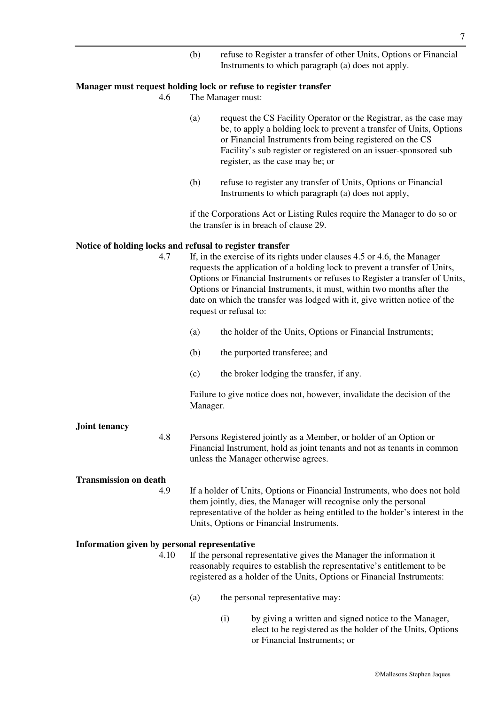(b) refuse to Register a transfer of other Units, Options or Financial Instruments to which paragraph (a) does not apply.

#### **Manager must request holding lock or refuse to register transfer**

4.6 The Manager must:

- (a) request the CS Facility Operator or the Registrar, as the case may be, to apply a holding lock to prevent a transfer of Units, Options or Financial Instruments from being registered on the CS Facility's sub register or registered on an issuer-sponsored sub register, as the case may be; or
- (b) refuse to register any transfer of Units, Options or Financial Instruments to which paragraph (a) does not apply,

if the Corporations Act or Listing Rules require the Manager to do so or the transfer is in breach of clause 29.

#### **Notice of holding locks and refusal to register transfer**

| 4.7                                          | If, in the exercise of its rights under clauses 4.5 or 4.6, the Manager<br>requests the application of a holding lock to prevent a transfer of Units,<br>Options or Financial Instruments or refuses to Register a transfer of Units,<br>Options or Financial Instruments, it must, within two months after the<br>date on which the transfer was lodged with it, give written notice of the<br>request or refusal to: |  |
|----------------------------------------------|------------------------------------------------------------------------------------------------------------------------------------------------------------------------------------------------------------------------------------------------------------------------------------------------------------------------------------------------------------------------------------------------------------------------|--|
|                                              | the holder of the Units, Options or Financial Instruments;<br>(a)                                                                                                                                                                                                                                                                                                                                                      |  |
|                                              | the purported transferee; and<br>(b)                                                                                                                                                                                                                                                                                                                                                                                   |  |
|                                              | (c)<br>the broker lodging the transfer, if any.                                                                                                                                                                                                                                                                                                                                                                        |  |
|                                              | Failure to give notice does not, however, invalidate the decision of the<br>Manager.                                                                                                                                                                                                                                                                                                                                   |  |
| <b>Joint tenancy</b><br>4.8                  | Persons Registered jointly as a Member, or holder of an Option or<br>Financial Instrument, hold as joint tenants and not as tenants in common<br>unless the Manager otherwise agrees.                                                                                                                                                                                                                                  |  |
| <b>Transmission on death</b><br>4.9          | If a holder of Units, Options or Financial Instruments, who does not hold<br>them jointly, dies, the Manager will recognise only the personal<br>representative of the holder as being entitled to the holder's interest in the<br>Units, Options or Financial Instruments.                                                                                                                                            |  |
| Information given by personal representative |                                                                                                                                                                                                                                                                                                                                                                                                                        |  |

- 4.10 If the personal representative gives the Manager the information it reasonably requires to establish the representative's entitlement to be registered as a holder of the Units, Options or Financial Instruments:
	- (a) the personal representative may:
		- (i) by giving a written and signed notice to the Manager, elect to be registered as the holder of the Units, Options or Financial Instruments; or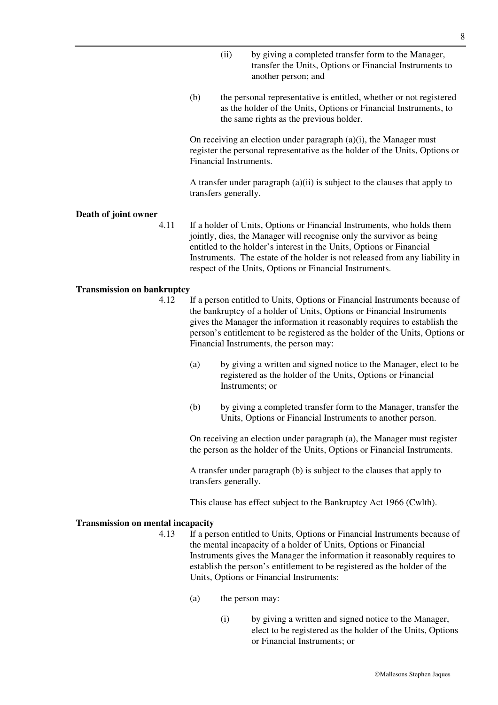- (ii) by giving a completed transfer form to the Manager, transfer the Units, Options or Financial Instruments to another person; and
- (b) the personal representative is entitled, whether or not registered as the holder of the Units, Options or Financial Instruments, to the same rights as the previous holder.

On receiving an election under paragraph  $(a)(i)$ , the Manager must register the personal representative as the holder of the Units, Options or Financial Instruments.

A transfer under paragraph (a)(ii) is subject to the clauses that apply to transfers generally.

#### **Death of joint owner**

4.11 If a holder of Units, Options or Financial Instruments, who holds them jointly, dies, the Manager will recognise only the survivor as being entitled to the holder's interest in the Units, Options or Financial Instruments. The estate of the holder is not released from any liability in respect of the Units, Options or Financial Instruments.

#### **Transmission on bankruptcy**

- 4.12 If a person entitled to Units, Options or Financial Instruments because of the bankruptcy of a holder of Units, Options or Financial Instruments gives the Manager the information it reasonably requires to establish the person's entitlement to be registered as the holder of the Units, Options or Financial Instruments, the person may:
	- (a) by giving a written and signed notice to the Manager, elect to be registered as the holder of the Units, Options or Financial Instruments; or
	- (b) by giving a completed transfer form to the Manager, transfer the Units, Options or Financial Instruments to another person.

On receiving an election under paragraph (a), the Manager must register the person as the holder of the Units, Options or Financial Instruments.

A transfer under paragraph (b) is subject to the clauses that apply to transfers generally.

This clause has effect subject to the Bankruptcy Act 1966 (Cwlth).

#### **Transmission on mental incapacity**

- 4.13 If a person entitled to Units, Options or Financial Instruments because of the mental incapacity of a holder of Units, Options or Financial Instruments gives the Manager the information it reasonably requires to establish the person's entitlement to be registered as the holder of the Units, Options or Financial Instruments:
	- (a) the person may:
		- (i) by giving a written and signed notice to the Manager, elect to be registered as the holder of the Units, Options or Financial Instruments; or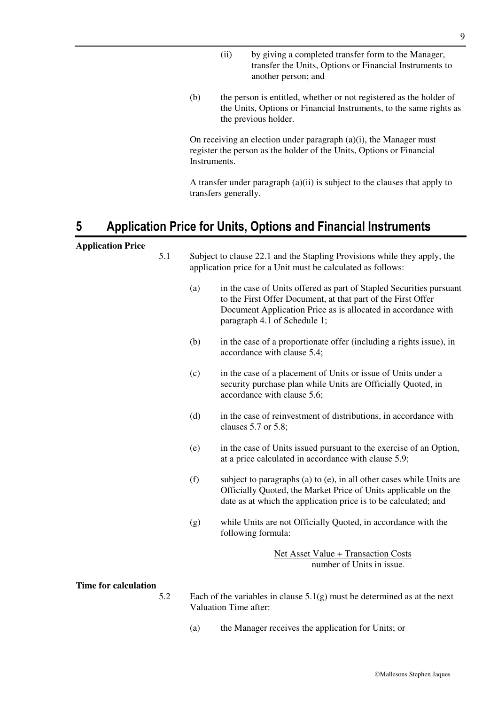- (ii) by giving a completed transfer form to the Manager, transfer the Units, Options or Financial Instruments to another person; and
- (b) the person is entitled, whether or not registered as the holder of the Units, Options or Financial Instruments, to the same rights as the previous holder.

On receiving an election under paragraph  $(a)(i)$ , the Manager must register the person as the holder of the Units, Options or Financial Instruments.

A transfer under paragraph (a)(ii) is subject to the clauses that apply to transfers generally.

# **5 Application Price for Units, Options and Financial Instruments**

#### **Application Price**

| 5.1                       |     | Subject to clause 22.1 and the Stapling Provisions while they apply, the<br>application price for a Unit must be calculated as follows:                                                                                              |
|---------------------------|-----|--------------------------------------------------------------------------------------------------------------------------------------------------------------------------------------------------------------------------------------|
|                           | (a) | in the case of Units offered as part of Stapled Securities pursuant<br>to the First Offer Document, at that part of the First Offer<br>Document Application Price as is allocated in accordance with<br>paragraph 4.1 of Schedule 1; |
|                           | (b) | in the case of a proportionate offer (including a rights issue), in<br>accordance with clause 5.4;                                                                                                                                   |
|                           | (c) | in the case of a placement of Units or issue of Units under a<br>security purchase plan while Units are Officially Quoted, in<br>accordance with clause 5.6;                                                                         |
|                           | (d) | in the case of reinvestment of distributions, in accordance with<br>clauses 5.7 or 5.8;                                                                                                                                              |
|                           | (e) | in the case of Units issued pursuant to the exercise of an Option,<br>at a price calculated in accordance with clause 5.9;                                                                                                           |
|                           | (f) | subject to paragraphs (a) to (e), in all other cases while Units are<br>Officially Quoted, the Market Price of Units applicable on the<br>date as at which the application price is to be calculated; and                            |
|                           | (g) | while Units are not Officially Quoted, in accordance with the<br>following formula:                                                                                                                                                  |
|                           |     | Net Asset Value + Transaction Costs<br>number of Units in issue.                                                                                                                                                                     |
| ne for calculation<br>5.2 |     | Each of the variables in clause $5.1(g)$ must be determined as at the next                                                                                                                                                           |

#### **Tir**

- 5.2 Each of the variables in clause  $5.1(g)$  must be determined as at the next Valuation Time after:
	- (a) the Manager receives the application for Units; or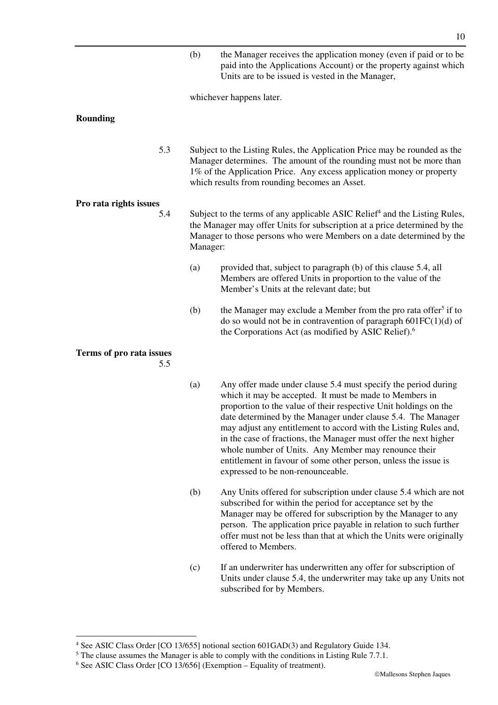(b) the Manager receives the application money (even if paid or to be paid into the Applications Account) or the property against which Units are to be issued is vested in the Manager,

whichever happens later.

#### **Rounding**

5.3 Subject to the Listing Rules, the Application Price may be rounded as the Manager determines. The amount of the rounding must not be more than 1% of the Application Price. Any excess application money or property which results from rounding becomes an Asset.

#### **Pro rata rights issues**

- 5.4 Subject to the terms of any applicable ASIC Relief<sup>4</sup> and the Listing Rules, the Manager may offer Units for subscription at a price determined by the Manager to those persons who were Members on a date determined by the Manager:
	- (a) provided that, subject to paragraph (b) of this clause 5.4, all Members are offered Units in proportion to the value of the Member's Units at the relevant date; but
	- (b) the Manager may exclude a Member from the pro rata offer<sup>5</sup> if to do so would not be in contravention of paragraph  $601FC(1)(d)$  of the Corporations Act (as modified by ASIC Relief).<sup>6</sup>

### **Terms of pro rata issues**

-

5.5

- (a) Any offer made under clause 5.4 must specify the period during which it may be accepted. It must be made to Members in proportion to the value of their respective Unit holdings on the date determined by the Manager under clause 5.4. The Manager may adjust any entitlement to accord with the Listing Rules and, in the case of fractions, the Manager must offer the next higher whole number of Units. Any Member may renounce their entitlement in favour of some other person, unless the issue is expressed to be non-renounceable.
- (b) Any Units offered for subscription under clause 5.4 which are not subscribed for within the period for acceptance set by the Manager may be offered for subscription by the Manager to any person. The application price payable in relation to such further offer must not be less than that at which the Units were originally offered to Members.
- (c) If an underwriter has underwritten any offer for subscription of Units under clause 5.4, the underwriter may take up any Units not subscribed for by Members.

<sup>&</sup>lt;sup>4</sup> See ASIC Class Order [CO 13/655] notional section 601GAD(3) and Regulatory Guide 134.

 $<sup>5</sup>$  The clause assumes the Manager is able to comply with the conditions in Listing Rule 7.7.1.</sup>

<sup>6</sup> See ASIC Class Order [CO 13/656] (Exemption – Equality of treatment).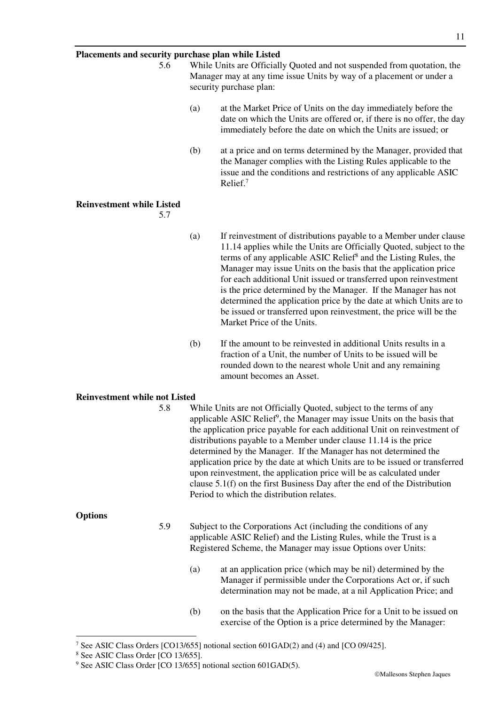#### **Placements and security purchase plan while Listed**

5.6 While Units are Officially Quoted and not suspended from quotation, the Manager may at any time issue Units by way of a placement or under a security purchase plan: (a) at the Market Price of Units on the day immediately before the date on which the Units are offered or, if there is no offer, the day immediately before the date on which the Units are issued; or (b) at a price and on terms determined by the Manager, provided that the Manager complies with the Listing Rules applicable to the issue and the conditions and restrictions of any applicable ASIC Relief.<sup>7</sup> **Reinvestment while Listed**  5.7 (a) If reinvestment of distributions payable to a Member under clause 11.14 applies while the Units are Officially Quoted, subject to the terms of any applicable ASIC Relief<sup>8</sup> and the Listing Rules, the Manager may issue Units on the basis that the application price for each additional Unit issued or transferred upon reinvestment is the price determined by the Manager. If the Manager has not determined the application price by the date at which Units are to be issued or transferred upon reinvestment, the price will be the Market Price of the Units. (b) If the amount to be reinvested in additional Units results in a fraction of a Unit, the number of Units to be issued will be rounded down to the nearest whole Unit and any remaining amount becomes an Asset. **Reinvestment while not Listed**  5.8 While Units are not Officially Quoted, subject to the terms of any applicable ASIC Relief<sup>9</sup>, the Manager may issue Units on the basis that the application price payable for each additional Unit on reinvestment of distributions payable to a Member under clause 11.14 is the price determined by the Manager. If the Manager has not determined the application price by the date at which Units are to be issued or transferred upon reinvestment, the application price will be as calculated under clause 5.1(f) on the first Business Day after the end of the Distribution Period to which the distribution relates. **Options**  5.9 Subject to the Corporations Act (including the conditions of any applicable ASIC Relief) and the Listing Rules, while the Trust is a Registered Scheme, the Manager may issue Options over Units: (a) at an application price (which may be nil) determined by the Manager if permissible under the Corporations Act or, if such determination may not be made, at a nil Application Price; and (b) on the basis that the Application Price for a Unit to be issued on exercise of the Option is a price determined by the Manager:

-

<sup>&</sup>lt;sup>7</sup> See ASIC Class Orders [CO13/655] notional section 601GAD(2) and (4) and [CO 09/425].

<sup>8</sup> See ASIC Class Order [CO 13/655].

<sup>&</sup>lt;sup>9</sup> See ASIC Class Order [CO 13/655] notional section 601GAD(5).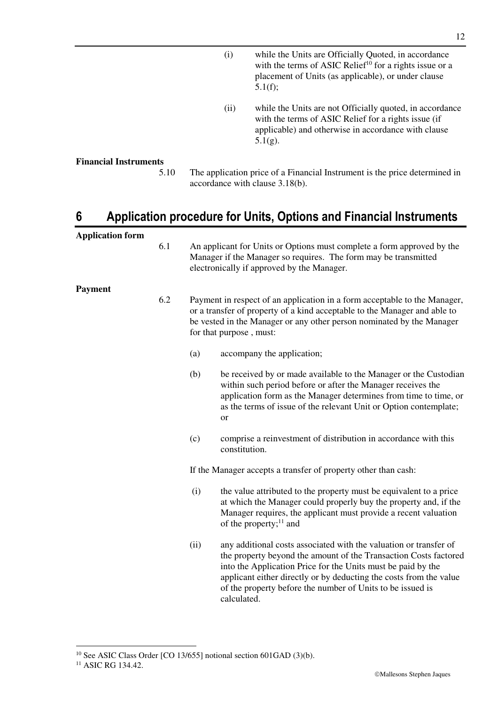- (i) while the Units are Officially Quoted, in accordance with the terms of ASIC Relief<sup>10</sup> for a rights issue or a placement of Units (as applicable), or under clause 5.1(f);
- (ii) while the Units are not Officially quoted, in accordance with the terms of ASIC Relief for a rights issue (if applicable) and otherwise in accordance with clause 5.1(g).

#### **Financial Instruments**

5.10 The application price of a Financial Instrument is the price determined in accordance with clause 3.18(b).

# **6 Application procedure for Units, Options and Financial Instruments**

| <b>Application form</b> |     |      |                                                                                                                                                                                                                                                                                                                                                          |
|-------------------------|-----|------|----------------------------------------------------------------------------------------------------------------------------------------------------------------------------------------------------------------------------------------------------------------------------------------------------------------------------------------------------------|
|                         | 6.1 |      | An applicant for Units or Options must complete a form approved by the<br>Manager if the Manager so requires. The form may be transmitted<br>electronically if approved by the Manager.                                                                                                                                                                  |
| <b>Payment</b>          | 6.2 |      | Payment in respect of an application in a form acceptable to the Manager,<br>or a transfer of property of a kind acceptable to the Manager and able to<br>be vested in the Manager or any other person nominated by the Manager<br>for that purpose, must:                                                                                               |
|                         |     | (a)  | accompany the application;                                                                                                                                                                                                                                                                                                                               |
|                         |     | (b)  | be received by or made available to the Manager or the Custodian<br>within such period before or after the Manager receives the<br>application form as the Manager determines from time to time, or<br>as the terms of issue of the relevant Unit or Option contemplate;<br>or                                                                           |
|                         |     | (c)  | comprise a reinvestment of distribution in accordance with this<br>constitution.                                                                                                                                                                                                                                                                         |
|                         |     |      | If the Manager accepts a transfer of property other than cash:                                                                                                                                                                                                                                                                                           |
|                         |     | (i)  | the value attributed to the property must be equivalent to a price<br>at which the Manager could properly buy the property and, if the<br>Manager requires, the applicant must provide a recent valuation<br>of the property; $^{11}$ and                                                                                                                |
|                         |     | (ii) | any additional costs associated with the valuation or transfer of<br>the property beyond the amount of the Transaction Costs factored<br>into the Application Price for the Units must be paid by the<br>applicant either directly or by deducting the costs from the value<br>of the property before the number of Units to be issued is<br>calculated. |

<sup>&</sup>lt;u>.</u> <sup>10</sup> See ASIC Class Order [CO 13/655] notional section 601GAD (3)(b).

<sup>&</sup>lt;sup>11</sup> ASIC RG 134.42.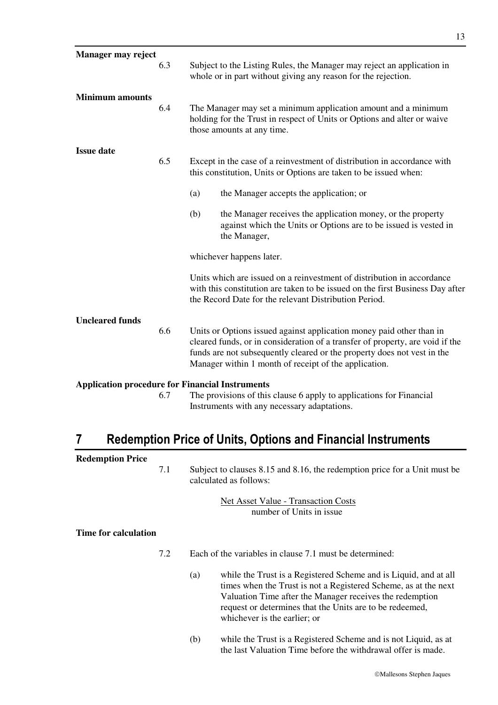| Manager may reject     |     |                                                                                                                                                                                                                                                                                           |
|------------------------|-----|-------------------------------------------------------------------------------------------------------------------------------------------------------------------------------------------------------------------------------------------------------------------------------------------|
|                        | 6.3 | Subject to the Listing Rules, the Manager may reject an application in<br>whole or in part without giving any reason for the rejection.                                                                                                                                                   |
| <b>Minimum</b> amounts | 6.4 | The Manager may set a minimum application amount and a minimum<br>holding for the Trust in respect of Units or Options and alter or waive<br>those amounts at any time.                                                                                                                   |
| <b>Issue date</b>      | 6.5 | Except in the case of a reinvestment of distribution in accordance with<br>this constitution, Units or Options are taken to be issued when:                                                                                                                                               |
|                        |     | (a)<br>the Manager accepts the application; or                                                                                                                                                                                                                                            |
|                        |     | (b)<br>the Manager receives the application money, or the property<br>against which the Units or Options are to be issued is vested in<br>the Manager,                                                                                                                                    |
|                        |     | whichever happens later.                                                                                                                                                                                                                                                                  |
|                        |     | Units which are issued on a reinvestment of distribution in accordance<br>with this constitution are taken to be issued on the first Business Day after<br>the Record Date for the relevant Distribution Period.                                                                          |
| <b>Uncleared funds</b> |     |                                                                                                                                                                                                                                                                                           |
|                        | 6.6 | Units or Options issued against application money paid other than in<br>cleared funds, or in consideration of a transfer of property, are void if the<br>funds are not subsequently cleared or the property does not vest in the<br>Manager within 1 month of receipt of the application. |
|                        |     | <b>Application procedure for Financial Instruments</b>                                                                                                                                                                                                                                    |
|                        | 6.7 | The provisions of this clause 6 apply to applications for Financial<br>Instruments with any necessary adaptations.                                                                                                                                                                        |

# **7 Redemption Price of Units, Options and Financial Instruments**

| <b>Redemption Price</b> |     |                                                                                                     |
|-------------------------|-----|-----------------------------------------------------------------------------------------------------|
|                         | 7.1 | Subject to clauses 8.15 and 8.16, the redemption price for a Unit must be<br>calculated as follows: |
|                         |     | Net Asset Value - Transaction Costs<br>number of Units in issue                                     |
| Time for calculation    |     |                                                                                                     |
|                         | 7.2 | Each of the variables in clause 7.1 must be determined:                                             |
|                         |     |                                                                                                     |

- (a) while the Trust is a Registered Scheme and is Liquid, and at all times when the Trust is not a Registered Scheme, as at the next Valuation Time after the Manager receives the redemption request or determines that the Units are to be redeemed, whichever is the earlier; or
- (b) while the Trust is a Registered Scheme and is not Liquid, as at the last Valuation Time before the withdrawal offer is made.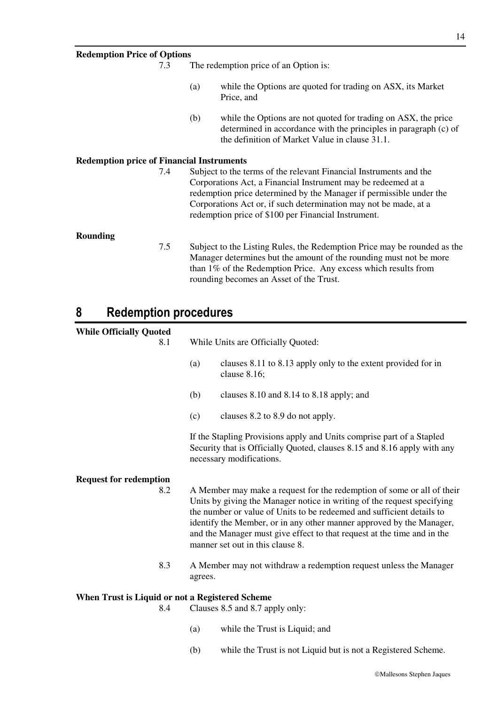| <b>Redemption Price of Options</b>               |     |     |                                                                                                                                                                                                                                                                                                                                       |
|--------------------------------------------------|-----|-----|---------------------------------------------------------------------------------------------------------------------------------------------------------------------------------------------------------------------------------------------------------------------------------------------------------------------------------------|
|                                                  | 7.3 |     | The redemption price of an Option is:                                                                                                                                                                                                                                                                                                 |
|                                                  |     | (a) | while the Options are quoted for trading on ASX, its Market<br>Price, and                                                                                                                                                                                                                                                             |
|                                                  |     | (b) | while the Options are not quoted for trading on ASX, the price<br>determined in accordance with the principles in paragraph (c) of<br>the definition of Market Value in clause 31.1.                                                                                                                                                  |
| <b>Redemption price of Financial Instruments</b> |     |     |                                                                                                                                                                                                                                                                                                                                       |
|                                                  | 7.4 |     | Subject to the terms of the relevant Financial Instruments and the<br>Corporations Act, a Financial Instrument may be redeemed at a<br>redemption price determined by the Manager if permissible under the<br>Corporations Act or, if such determination may not be made, at a<br>redemption price of \$100 per Financial Instrument. |
| Rounding                                         | 7.5 |     | Subject to the Listing Rules, the Redemption Price may be rounded as the<br>Manager determines but the amount of the rounding must not be more                                                                                                                                                                                        |
|                                                  |     |     | than 1% of the Redemption Price. Any excess which results from<br>rounding becomes an Asset of the Trust.                                                                                                                                                                                                                             |

# **8 Redemption procedures**

| <b>While Officially Quoted</b><br>8.1                  | While Units are Officially Quoted: |                                                                                                                                                                                                                                                                                                                                                                                                                   |  |
|--------------------------------------------------------|------------------------------------|-------------------------------------------------------------------------------------------------------------------------------------------------------------------------------------------------------------------------------------------------------------------------------------------------------------------------------------------------------------------------------------------------------------------|--|
|                                                        | (a)                                | clauses 8.11 to 8.13 apply only to the extent provided for in<br>clause 8.16;                                                                                                                                                                                                                                                                                                                                     |  |
|                                                        | (b)                                | clauses 8.10 and 8.14 to 8.18 apply; and                                                                                                                                                                                                                                                                                                                                                                          |  |
|                                                        | (c)                                | clauses 8.2 to 8.9 do not apply.                                                                                                                                                                                                                                                                                                                                                                                  |  |
|                                                        |                                    | If the Stapling Provisions apply and Units comprise part of a Stapled<br>Security that is Officially Quoted, clauses 8.15 and 8.16 apply with any<br>necessary modifications.                                                                                                                                                                                                                                     |  |
| <b>Request for redemption</b><br>8.2                   |                                    | A Member may make a request for the redemption of some or all of their<br>Units by giving the Manager notice in writing of the request specifying<br>the number or value of Units to be redeemed and sufficient details to<br>identify the Member, or in any other manner approved by the Manager,<br>and the Manager must give effect to that request at the time and in the<br>manner set out in this clause 8. |  |
| 8.3                                                    | agrees.                            | A Member may not withdraw a redemption request unless the Manager                                                                                                                                                                                                                                                                                                                                                 |  |
| When Trust is Liquid or not a Registered Scheme<br>8.4 |                                    | Clauses 8.5 and 8.7 apply only:                                                                                                                                                                                                                                                                                                                                                                                   |  |
|                                                        | (a)                                | while the Trust is Liquid; and                                                                                                                                                                                                                                                                                                                                                                                    |  |

(b) while the Trust is not Liquid but is not a Registered Scheme.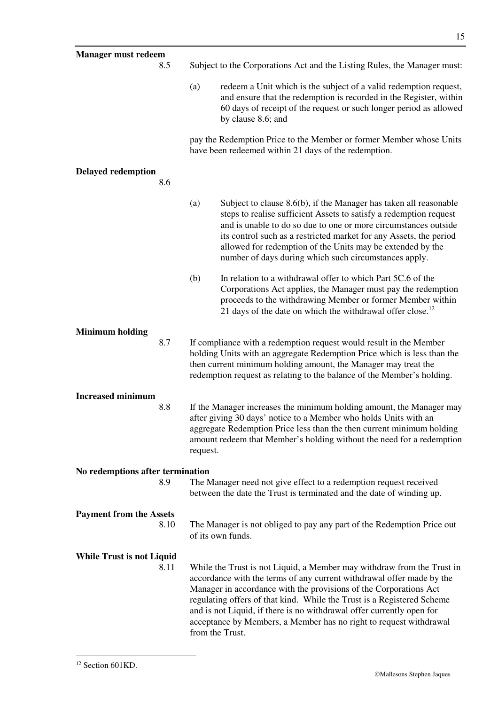| <b>Manager must redeem</b>               |          |                                                                                                                                                                                                                                                                                                                                                                                                                                                                  |
|------------------------------------------|----------|------------------------------------------------------------------------------------------------------------------------------------------------------------------------------------------------------------------------------------------------------------------------------------------------------------------------------------------------------------------------------------------------------------------------------------------------------------------|
| 8.5                                      |          | Subject to the Corporations Act and the Listing Rules, the Manager must:                                                                                                                                                                                                                                                                                                                                                                                         |
|                                          | (a)      | redeem a Unit which is the subject of a valid redemption request,<br>and ensure that the redemption is recorded in the Register, within<br>60 days of receipt of the request or such longer period as allowed<br>by clause 8.6; and                                                                                                                                                                                                                              |
|                                          |          | pay the Redemption Price to the Member or former Member whose Units<br>have been redeemed within 21 days of the redemption.                                                                                                                                                                                                                                                                                                                                      |
| <b>Delayed redemption</b><br>8.6         |          |                                                                                                                                                                                                                                                                                                                                                                                                                                                                  |
|                                          | (a)      | Subject to clause $8.6(b)$ , if the Manager has taken all reasonable<br>steps to realise sufficient Assets to satisfy a redemption request<br>and is unable to do so due to one or more circumstances outside<br>its control such as a restricted market for any Assets, the period<br>allowed for redemption of the Units may be extended by the<br>number of days during which such circumstances apply.                                                       |
|                                          | (b)      | In relation to a withdrawal offer to which Part 5C.6 of the<br>Corporations Act applies, the Manager must pay the redemption<br>proceeds to the withdrawing Member or former Member within<br>21 days of the date on which the withdrawal offer close. <sup>12</sup>                                                                                                                                                                                             |
| <b>Minimum holding</b><br>8.7            |          | If compliance with a redemption request would result in the Member<br>holding Units with an aggregate Redemption Price which is less than the<br>then current minimum holding amount, the Manager may treat the<br>redemption request as relating to the balance of the Member's holding.                                                                                                                                                                        |
| <b>Increased minimum</b>                 |          |                                                                                                                                                                                                                                                                                                                                                                                                                                                                  |
| 8.8                                      | request. | If the Manager increases the minimum holding amount, the Manager may<br>after giving 30 days' notice to a Member who holds Units with an<br>aggregate Redemption Price less than the then current minimum holding<br>amount redeem that Member's holding without the need for a redemption                                                                                                                                                                       |
| No redemptions after termination         |          |                                                                                                                                                                                                                                                                                                                                                                                                                                                                  |
| 8.9                                      |          | The Manager need not give effect to a redemption request received<br>between the date the Trust is terminated and the date of winding up.                                                                                                                                                                                                                                                                                                                        |
| <b>Payment from the Assets</b><br>8.10   |          | The Manager is not obliged to pay any part of the Redemption Price out<br>of its own funds.                                                                                                                                                                                                                                                                                                                                                                      |
| <b>While Trust is not Liquid</b><br>8.11 |          | While the Trust is not Liquid, a Member may withdraw from the Trust in<br>accordance with the terms of any current withdrawal offer made by the<br>Manager in accordance with the provisions of the Corporations Act<br>regulating offers of that kind. While the Trust is a Registered Scheme<br>and is not Liquid, if there is no withdrawal offer currently open for<br>acceptance by Members, a Member has no right to request withdrawal<br>from the Trust. |

-

15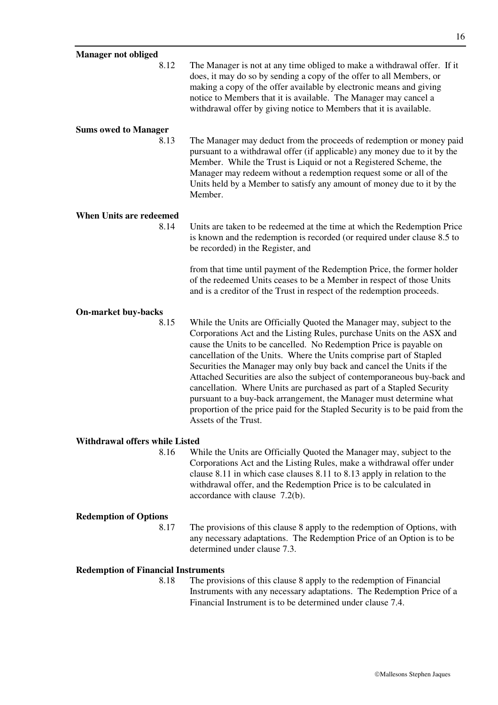| <b>Manager not obliged</b>                         |                                                                                                                                                                                                                                                                                                                                                                                                                                                                                                                                                                                                                                                                                                         |
|----------------------------------------------------|---------------------------------------------------------------------------------------------------------------------------------------------------------------------------------------------------------------------------------------------------------------------------------------------------------------------------------------------------------------------------------------------------------------------------------------------------------------------------------------------------------------------------------------------------------------------------------------------------------------------------------------------------------------------------------------------------------|
| 8.12                                               | The Manager is not at any time obliged to make a withdrawal offer. If it<br>does, it may do so by sending a copy of the offer to all Members, or<br>making a copy of the offer available by electronic means and giving<br>notice to Members that it is available. The Manager may cancel a<br>withdrawal offer by giving notice to Members that it is available.                                                                                                                                                                                                                                                                                                                                       |
| <b>Sums owed to Manager</b>                        |                                                                                                                                                                                                                                                                                                                                                                                                                                                                                                                                                                                                                                                                                                         |
| 8.13                                               | The Manager may deduct from the proceeds of redemption or money paid<br>pursuant to a withdrawal offer (if applicable) any money due to it by the<br>Member. While the Trust is Liquid or not a Registered Scheme, the<br>Manager may redeem without a redemption request some or all of the<br>Units held by a Member to satisfy any amount of money due to it by the<br>Member.                                                                                                                                                                                                                                                                                                                       |
| <b>When Units are redeemed</b>                     |                                                                                                                                                                                                                                                                                                                                                                                                                                                                                                                                                                                                                                                                                                         |
| 8.14                                               | Units are taken to be redeemed at the time at which the Redemption Price<br>is known and the redemption is recorded (or required under clause 8.5 to<br>be recorded) in the Register, and                                                                                                                                                                                                                                                                                                                                                                                                                                                                                                               |
|                                                    | from that time until payment of the Redemption Price, the former holder<br>of the redeemed Units ceases to be a Member in respect of those Units<br>and is a creditor of the Trust in respect of the redemption proceeds.                                                                                                                                                                                                                                                                                                                                                                                                                                                                               |
| <b>On-market buy-backs</b>                         |                                                                                                                                                                                                                                                                                                                                                                                                                                                                                                                                                                                                                                                                                                         |
| 8.15                                               | While the Units are Officially Quoted the Manager may, subject to the<br>Corporations Act and the Listing Rules, purchase Units on the ASX and<br>cause the Units to be cancelled. No Redemption Price is payable on<br>cancellation of the Units. Where the Units comprise part of Stapled<br>Securities the Manager may only buy back and cancel the Units if the<br>Attached Securities are also the subject of contemporaneous buy-back and<br>cancellation. Where Units are purchased as part of a Stapled Security<br>pursuant to a buy-back arrangement, the Manager must determine what<br>proportion of the price paid for the Stapled Security is to be paid from the<br>Assets of the Trust. |
| <b>Withdrawal offers while Listed</b>              |                                                                                                                                                                                                                                                                                                                                                                                                                                                                                                                                                                                                                                                                                                         |
| 8.16                                               | While the Units are Officially Quoted the Manager may, subject to the<br>Corporations Act and the Listing Rules, make a withdrawal offer under<br>clause $8.11$ in which case clauses $8.11$ to $8.13$ apply in relation to the<br>withdrawal offer, and the Redemption Price is to be calculated in<br>accordance with clause 7.2(b).                                                                                                                                                                                                                                                                                                                                                                  |
| <b>Redemption of Options</b>                       |                                                                                                                                                                                                                                                                                                                                                                                                                                                                                                                                                                                                                                                                                                         |
| 8.17                                               | The provisions of this clause 8 apply to the redemption of Options, with<br>any necessary adaptations. The Redemption Price of an Option is to be<br>determined under clause 7.3.                                                                                                                                                                                                                                                                                                                                                                                                                                                                                                                       |
|                                                    |                                                                                                                                                                                                                                                                                                                                                                                                                                                                                                                                                                                                                                                                                                         |
| <b>Redemption of Financial Instruments</b><br>8.18 | The provisions of this clause 8 apply to the redemption of Financial                                                                                                                                                                                                                                                                                                                                                                                                                                                                                                                                                                                                                                    |
|                                                    | Instruments with any necessary adaptations. The Redemption Price of a<br>Financial Instrument is to be determined under clause 7.4.                                                                                                                                                                                                                                                                                                                                                                                                                                                                                                                                                                     |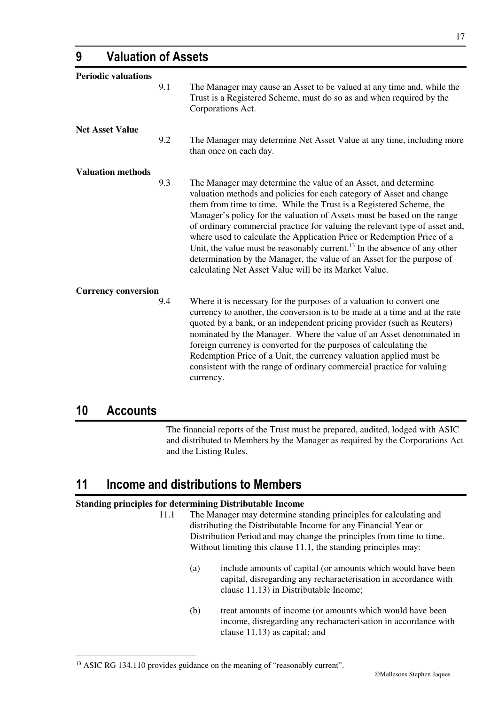| <b>Periodic valuations</b> |     |                                                                                                                                                                                                                                                                                                                                                                                                                                                                                                                                                                                                                                                                               |
|----------------------------|-----|-------------------------------------------------------------------------------------------------------------------------------------------------------------------------------------------------------------------------------------------------------------------------------------------------------------------------------------------------------------------------------------------------------------------------------------------------------------------------------------------------------------------------------------------------------------------------------------------------------------------------------------------------------------------------------|
|                            | 9.1 | The Manager may cause an Asset to be valued at any time and, while the<br>Trust is a Registered Scheme, must do so as and when required by the<br>Corporations Act.                                                                                                                                                                                                                                                                                                                                                                                                                                                                                                           |
| <b>Net Asset Value</b>     |     |                                                                                                                                                                                                                                                                                                                                                                                                                                                                                                                                                                                                                                                                               |
|                            | 9.2 | The Manager may determine Net Asset Value at any time, including more<br>than once on each day.                                                                                                                                                                                                                                                                                                                                                                                                                                                                                                                                                                               |
| <b>Valuation methods</b>   |     |                                                                                                                                                                                                                                                                                                                                                                                                                                                                                                                                                                                                                                                                               |
|                            | 9.3 | The Manager may determine the value of an Asset, and determine<br>valuation methods and policies for each category of Asset and change<br>them from time to time. While the Trust is a Registered Scheme, the<br>Manager's policy for the valuation of Assets must be based on the range<br>of ordinary commercial practice for valuing the relevant type of asset and,<br>where used to calculate the Application Price or Redemption Price of a<br>Unit, the value must be reasonably current. <sup>13</sup> In the absence of any other<br>determination by the Manager, the value of an Asset for the purpose of<br>calculating Net Asset Value will be its Market Value. |
| <b>Currency conversion</b> |     |                                                                                                                                                                                                                                                                                                                                                                                                                                                                                                                                                                                                                                                                               |
|                            | 9.4 | Where it is necessary for the purposes of a valuation to convert one<br>currency to another, the conversion is to be made at a time and at the rate<br>quoted by a bank, or an independent pricing provider (such as Reuters)<br>nominated by the Manager. Where the value of an Asset denominated in<br>foreign currency is converted for the purposes of calculating the<br>Redemption Price of a Unit, the currency valuation applied must be<br>consistent with the range of ordinary commercial practice for valuing<br>currency.                                                                                                                                        |

### **10 Accounts**

-

The financial reports of the Trust must be prepared, audited, lodged with ASIC and distributed to Members by the Manager as required by the Corporations Act and the Listing Rules.

# **11 Income and distributions to Members**

#### **Standing principles for determining Distributable Income**

- 11.1 The Manager may determine standing principles for calculating and distributing the Distributable Income for any Financial Year or Distribution Period and may change the principles from time to time. Without limiting this clause 11.1, the standing principles may:
	- (a) include amounts of capital (or amounts which would have been capital, disregarding any recharacterisation in accordance with clause 11.13) in Distributable Income;
	- (b) treat amounts of income (or amounts which would have been income, disregarding any recharacterisation in accordance with clause 11.13) as capital; and

#### <sup>13</sup> ASIC RG 134.110 provides guidance on the meaning of "reasonably current".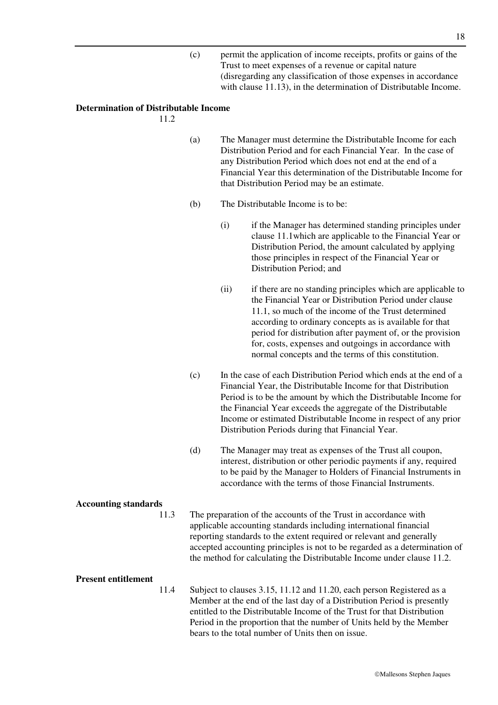(c) permit the application of income receipts, profits or gains of the Trust to meet expenses of a revenue or capital nature (disregarding any classification of those expenses in accordance with clause 11.13), in the determination of Distributable Income.

#### **Determination of Distributable Income**

11.2

- (a) The Manager must determine the Distributable Income for each Distribution Period and for each Financial Year. In the case of any Distribution Period which does not end at the end of a Financial Year this determination of the Distributable Income for that Distribution Period may be an estimate.
- (b) The Distributable Income is to be:
	- (i) if the Manager has determined standing principles under clause 11.1which are applicable to the Financial Year or Distribution Period, the amount calculated by applying those principles in respect of the Financial Year or Distribution Period; and
	- (ii) if there are no standing principles which are applicable to the Financial Year or Distribution Period under clause 11.1, so much of the income of the Trust determined according to ordinary concepts as is available for that period for distribution after payment of, or the provision for, costs, expenses and outgoings in accordance with normal concepts and the terms of this constitution.
- (c) In the case of each Distribution Period which ends at the end of a Financial Year, the Distributable Income for that Distribution Period is to be the amount by which the Distributable Income for the Financial Year exceeds the aggregate of the Distributable Income or estimated Distributable Income in respect of any prior Distribution Periods during that Financial Year.
- (d) The Manager may treat as expenses of the Trust all coupon, interest, distribution or other periodic payments if any, required to be paid by the Manager to Holders of Financial Instruments in accordance with the terms of those Financial Instruments.

#### **Accounting standards**

11.3 The preparation of the accounts of the Trust in accordance with applicable accounting standards including international financial reporting standards to the extent required or relevant and generally accepted accounting principles is not to be regarded as a determination of the method for calculating the Distributable Income under clause 11.2.

#### **Present entitlement**

11.4 Subject to clauses 3.15, 11.12 and 11.20, each person Registered as a Member at the end of the last day of a Distribution Period is presently entitled to the Distributable Income of the Trust for that Distribution Period in the proportion that the number of Units held by the Member bears to the total number of Units then on issue.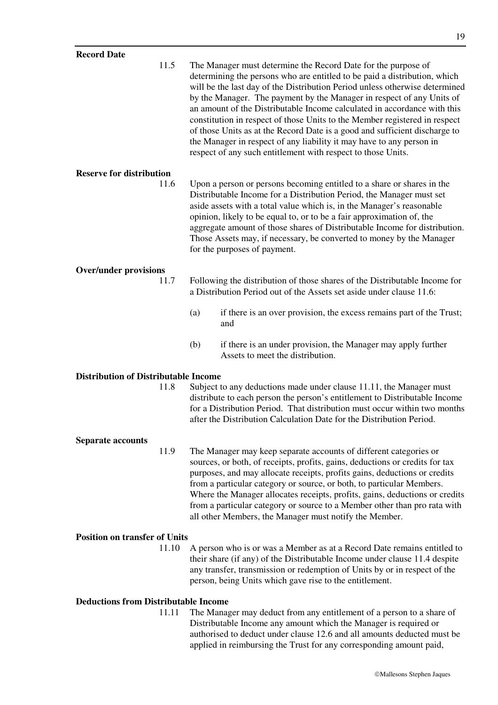11.5 The Manager must determine the Record Date for the purpose of determining the persons who are entitled to be paid a distribution, which will be the last day of the Distribution Period unless otherwise determined by the Manager. The payment by the Manager in respect of any Units of an amount of the Distributable Income calculated in accordance with this constitution in respect of those Units to the Member registered in respect of those Units as at the Record Date is a good and sufficient discharge to the Manager in respect of any liability it may have to any person in respect of any such entitlement with respect to those Units.

#### **Reserve for distribution**

11.6 Upon a person or persons becoming entitled to a share or shares in the Distributable Income for a Distribution Period, the Manager must set aside assets with a total value which is, in the Manager's reasonable opinion, likely to be equal to, or to be a fair approximation of, the aggregate amount of those shares of Distributable Income for distribution. Those Assets may, if necessary, be converted to money by the Manager for the purposes of payment.

#### **Over/under provisions**

- 11.7 Following the distribution of those shares of the Distributable Income for a Distribution Period out of the Assets set aside under clause 11.6:
	- (a) if there is an over provision, the excess remains part of the Trust; and
	- (b) if there is an under provision, the Manager may apply further Assets to meet the distribution.

#### **Distribution of Distributable Income**

11.8 Subject to any deductions made under clause 11.11, the Manager must distribute to each person the person's entitlement to Distributable Income for a Distribution Period. That distribution must occur within two months after the Distribution Calculation Date for the Distribution Period.

#### **Separate accounts**

11.9 The Manager may keep separate accounts of different categories or sources, or both, of receipts, profits, gains, deductions or credits for tax purposes, and may allocate receipts, profits gains, deductions or credits from a particular category or source, or both, to particular Members. Where the Manager allocates receipts, profits, gains, deductions or credits from a particular category or source to a Member other than pro rata with all other Members, the Manager must notify the Member.

#### **Position on transfer of Units**

11.10 A person who is or was a Member as at a Record Date remains entitled to their share (if any) of the Distributable Income under clause 11.4 despite any transfer, transmission or redemption of Units by or in respect of the person, being Units which gave rise to the entitlement.

#### **Deductions from Distributable Income**

11.11 The Manager may deduct from any entitlement of a person to a share of Distributable Income any amount which the Manager is required or authorised to deduct under clause 12.6 and all amounts deducted must be applied in reimbursing the Trust for any corresponding amount paid,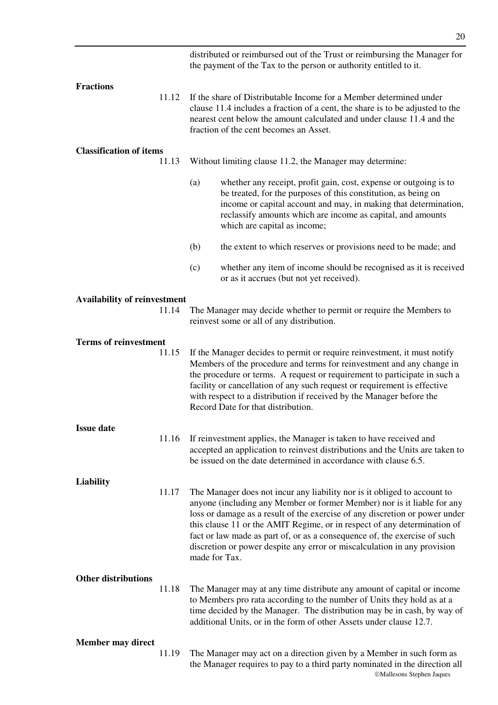|                                     |       |               | distributed or reimbursed out of the Trust or reimbursing the Manager for<br>the payment of the Tax to the person or authority entitled to it.                                                                                                                                                                                                                                                                                                                          |
|-------------------------------------|-------|---------------|-------------------------------------------------------------------------------------------------------------------------------------------------------------------------------------------------------------------------------------------------------------------------------------------------------------------------------------------------------------------------------------------------------------------------------------------------------------------------|
| <b>Fractions</b>                    | 11.12 |               | If the share of Distributable Income for a Member determined under<br>clause 11.4 includes a fraction of a cent, the share is to be adjusted to the<br>nearest cent below the amount calculated and under clause 11.4 and the<br>fraction of the cent becomes an Asset.                                                                                                                                                                                                 |
| <b>Classification of items</b>      | 11.13 |               | Without limiting clause 11.2, the Manager may determine:                                                                                                                                                                                                                                                                                                                                                                                                                |
|                                     |       | (a)           | whether any receipt, profit gain, cost, expense or outgoing is to<br>be treated, for the purposes of this constitution, as being on<br>income or capital account and may, in making that determination,<br>reclassify amounts which are income as capital, and amounts<br>which are capital as income;                                                                                                                                                                  |
|                                     |       | (b)           | the extent to which reserves or provisions need to be made; and                                                                                                                                                                                                                                                                                                                                                                                                         |
|                                     |       | (c)           | whether any item of income should be recognised as it is received<br>or as it accrues (but not yet received).                                                                                                                                                                                                                                                                                                                                                           |
| <b>Availability of reinvestment</b> |       |               |                                                                                                                                                                                                                                                                                                                                                                                                                                                                         |
|                                     | 11.14 |               | The Manager may decide whether to permit or require the Members to<br>reinvest some or all of any distribution.                                                                                                                                                                                                                                                                                                                                                         |
| <b>Terms of reinvestment</b>        |       |               |                                                                                                                                                                                                                                                                                                                                                                                                                                                                         |
|                                     | 11.15 |               | If the Manager decides to permit or require reinvestment, it must notify<br>Members of the procedure and terms for reinvestment and any change in<br>the procedure or terms. A request or requirement to participate in such a<br>facility or cancellation of any such request or requirement is effective<br>with respect to a distribution if received by the Manager before the<br>Record Date for that distribution.                                                |
| <b>Issue date</b>                   |       |               |                                                                                                                                                                                                                                                                                                                                                                                                                                                                         |
|                                     | 11.16 |               | If reinvestment applies, the Manager is taken to have received and<br>accepted an application to reinvest distributions and the Units are taken to<br>be issued on the date determined in accordance with clause 6.5.                                                                                                                                                                                                                                                   |
| <b>Liability</b>                    |       |               |                                                                                                                                                                                                                                                                                                                                                                                                                                                                         |
|                                     | 11.17 | made for Tax. | The Manager does not incur any liability nor is it obliged to account to<br>anyone (including any Member or former Member) nor is it liable for any<br>loss or damage as a result of the exercise of any discretion or power under<br>this clause 11 or the AMIT Regime, or in respect of any determination of<br>fact or law made as part of, or as a consequence of, the exercise of such<br>discretion or power despite any error or miscalculation in any provision |
| <b>Other distributions</b>          | 11.18 |               | The Manager may at any time distribute any amount of capital or income<br>to Members pro rata according to the number of Units they hold as at a<br>time decided by the Manager. The distribution may be in cash, by way of<br>additional Units, or in the form of other Assets under clause 12.7.                                                                                                                                                                      |
| <b>Member may direct</b>            | 11.19 |               | The Manager may act on a direction given by a Member in such form as<br>the Manager requires to pay to a third party nominated in the direction all<br>©Mallesons Stephen Jaques                                                                                                                                                                                                                                                                                        |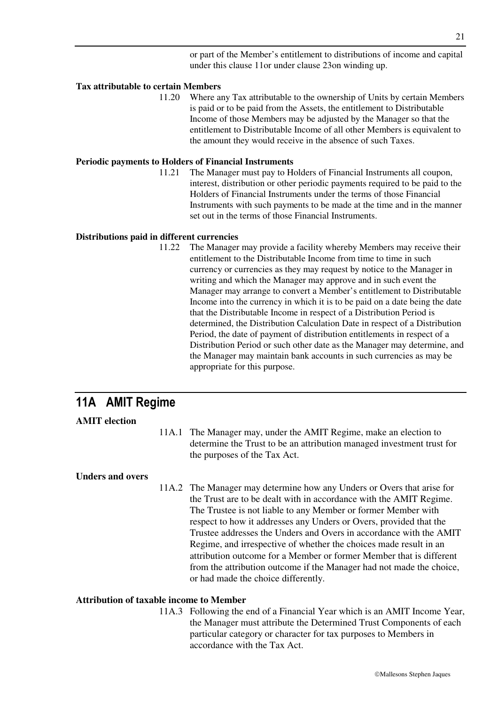or part of the Member's entitlement to distributions of income and capital under this clause 11or under clause 23on winding up.

#### **Tax attributable to certain Members**

11.20 Where any Tax attributable to the ownership of Units by certain Members is paid or to be paid from the Assets, the entitlement to Distributable Income of those Members may be adjusted by the Manager so that the entitlement to Distributable Income of all other Members is equivalent to the amount they would receive in the absence of such Taxes.

#### **Periodic payments to Holders of Financial Instruments**

11.21 The Manager must pay to Holders of Financial Instruments all coupon, interest, distribution or other periodic payments required to be paid to the Holders of Financial Instruments under the terms of those Financial Instruments with such payments to be made at the time and in the manner set out in the terms of those Financial Instruments.

#### **Distributions paid in different currencies**

11.22 The Manager may provide a facility whereby Members may receive their entitlement to the Distributable Income from time to time in such currency or currencies as they may request by notice to the Manager in writing and which the Manager may approve and in such event the Manager may arrange to convert a Member's entitlement to Distributable Income into the currency in which it is to be paid on a date being the date that the Distributable Income in respect of a Distribution Period is determined, the Distribution Calculation Date in respect of a Distribution Period, the date of payment of distribution entitlements in respect of a Distribution Period or such other date as the Manager may determine, and the Manager may maintain bank accounts in such currencies as may be appropriate for this purpose.

# **11A AMIT Regime**

#### **AMIT election**

11A.1 The Manager may, under the AMIT Regime, make an election to determine the Trust to be an attribution managed investment trust for the purposes of the Tax Act.

#### **Unders and overs**

11A.2 The Manager may determine how any Unders or Overs that arise for the Trust are to be dealt with in accordance with the AMIT Regime. The Trustee is not liable to any Member or former Member with respect to how it addresses any Unders or Overs, provided that the Trustee addresses the Unders and Overs in accordance with the AMIT Regime, and irrespective of whether the choices made result in an attribution outcome for a Member or former Member that is different from the attribution outcome if the Manager had not made the choice, or had made the choice differently.

#### **Attribution of taxable income to Member**

11A.3 Following the end of a Financial Year which is an AMIT Income Year, the Manager must attribute the Determined Trust Components of each particular category or character for tax purposes to Members in accordance with the Tax Act.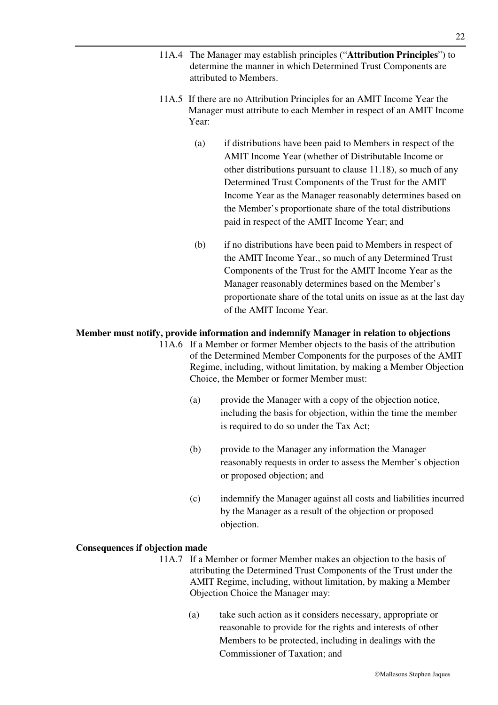- 11A.4 The Manager may establish principles ("**Attribution Principles**") to determine the manner in which Determined Trust Components are attributed to Members.
- 11A.5 If there are no Attribution Principles for an AMIT Income Year the Manager must attribute to each Member in respect of an AMIT Income Year:
	- (a) if distributions have been paid to Members in respect of the AMIT Income Year (whether of Distributable Income or other distributions pursuant to clause 11.18), so much of any Determined Trust Components of the Trust for the AMIT Income Year as the Manager reasonably determines based on the Member's proportionate share of the total distributions paid in respect of the AMIT Income Year; and
	- (b) if no distributions have been paid to Members in respect of the AMIT Income Year., so much of any Determined Trust Components of the Trust for the AMIT Income Year as the Manager reasonably determines based on the Member's proportionate share of the total units on issue as at the last day of the AMIT Income Year.

#### **Member must notify, provide information and indemnify Manager in relation to objections**

- 11A.6 If a Member or former Member objects to the basis of the attribution of the Determined Member Components for the purposes of the AMIT Regime, including, without limitation, by making a Member Objection Choice, the Member or former Member must:
	- (a) provide the Manager with a copy of the objection notice, including the basis for objection, within the time the member is required to do so under the Tax Act;
	- (b) provide to the Manager any information the Manager reasonably requests in order to assess the Member's objection or proposed objection; and
	- (c) indemnify the Manager against all costs and liabilities incurred by the Manager as a result of the objection or proposed objection.

#### **Consequences if objection made**

- 11A.7 If a Member or former Member makes an objection to the basis of attributing the Determined Trust Components of the Trust under the AMIT Regime, including, without limitation, by making a Member Objection Choice the Manager may:
	- (a) take such action as it considers necessary, appropriate or reasonable to provide for the rights and interests of other Members to be protected, including in dealings with the Commissioner of Taxation; and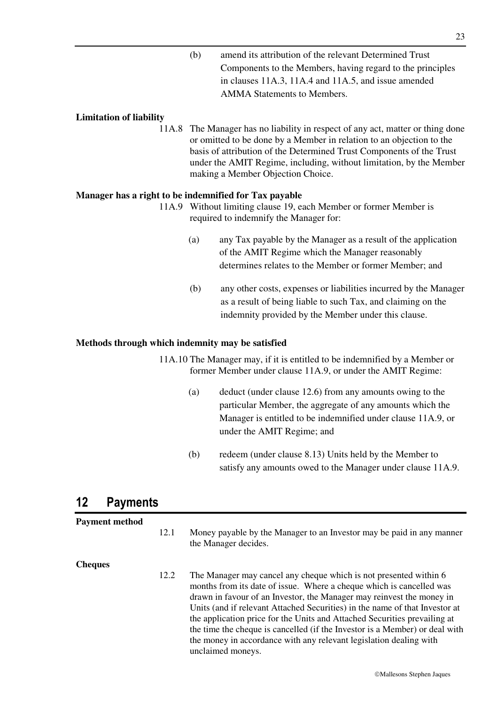(b) amend its attribution of the relevant Determined Trust Components to the Members, having regard to the principles in clauses 11A.3, 11A.4 and 11A.5, and issue amended AMMA Statements to Members.

#### **Limitation of liability**

11A.8 The Manager has no liability in respect of any act, matter or thing done or omitted to be done by a Member in relation to an objection to the basis of attribution of the Determined Trust Components of the Trust under the AMIT Regime, including, without limitation, by the Member making a Member Objection Choice.

#### **Manager has a right to be indemnified for Tax payable**

- 11A.9 Without limiting clause 19, each Member or former Member is required to indemnify the Manager for:
	- (a) any Tax payable by the Manager as a result of the application of the AMIT Regime which the Manager reasonably determines relates to the Member or former Member; and
	- (b) any other costs, expenses or liabilities incurred by the Manager as a result of being liable to such Tax, and claiming on the indemnity provided by the Member under this clause.

#### **Methods through which indemnity may be satisfied**

11A.10 The Manager may, if it is entitled to be indemnified by a Member or former Member under clause 11A.9, or under the AMIT Regime:

- (a) deduct (under clause 12.6) from any amounts owing to the particular Member, the aggregate of any amounts which the Manager is entitled to be indemnified under clause 11A.9, or under the AMIT Regime; and
- (b) redeem (under clause 8.13) Units held by the Member to satisfy any amounts owed to the Manager under clause 11A.9.

### **12 Payments**

#### **Payment method**

12.1 Money payable by the Manager to an Investor may be paid in any manner the Manager decides.

#### **Cheques**

12.2 The Manager may cancel any cheque which is not presented within 6 months from its date of issue. Where a cheque which is cancelled was drawn in favour of an Investor, the Manager may reinvest the money in Units (and if relevant Attached Securities) in the name of that Investor at the application price for the Units and Attached Securities prevailing at the time the cheque is cancelled (if the Investor is a Member) or deal with the money in accordance with any relevant legislation dealing with unclaimed moneys.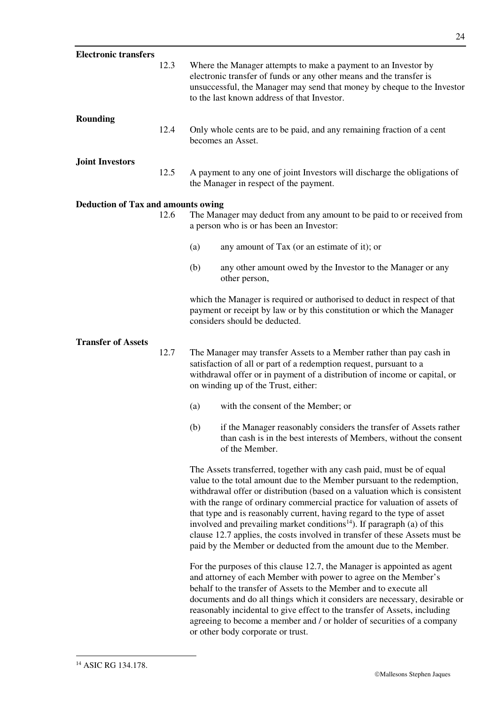| <b>Electronic transfers</b>               |      |                                                                                                                                                                                                                                                               |                                                                                                                                                                                                                                                                                                                                                                                                                                                                                                                                                                                                                                   |
|-------------------------------------------|------|---------------------------------------------------------------------------------------------------------------------------------------------------------------------------------------------------------------------------------------------------------------|-----------------------------------------------------------------------------------------------------------------------------------------------------------------------------------------------------------------------------------------------------------------------------------------------------------------------------------------------------------------------------------------------------------------------------------------------------------------------------------------------------------------------------------------------------------------------------------------------------------------------------------|
|                                           | 12.3 |                                                                                                                                                                                                                                                               | Where the Manager attempts to make a payment to an Investor by<br>electronic transfer of funds or any other means and the transfer is<br>unsuccessful, the Manager may send that money by cheque to the Investor<br>to the last known address of that Investor.                                                                                                                                                                                                                                                                                                                                                                   |
| <b>Rounding</b>                           | 12.4 |                                                                                                                                                                                                                                                               | Only whole cents are to be paid, and any remaining fraction of a cent<br>becomes an Asset.                                                                                                                                                                                                                                                                                                                                                                                                                                                                                                                                        |
| <b>Joint Investors</b>                    | 12.5 |                                                                                                                                                                                                                                                               | A payment to any one of joint Investors will discharge the obligations of<br>the Manager in respect of the payment.                                                                                                                                                                                                                                                                                                                                                                                                                                                                                                               |
| <b>Deduction of Tax and amounts owing</b> |      |                                                                                                                                                                                                                                                               |                                                                                                                                                                                                                                                                                                                                                                                                                                                                                                                                                                                                                                   |
|                                           | 12.6 |                                                                                                                                                                                                                                                               | The Manager may deduct from any amount to be paid to or received from<br>a person who is or has been an Investor:                                                                                                                                                                                                                                                                                                                                                                                                                                                                                                                 |
|                                           |      | (a)                                                                                                                                                                                                                                                           | any amount of Tax (or an estimate of it); or                                                                                                                                                                                                                                                                                                                                                                                                                                                                                                                                                                                      |
|                                           |      | (b)                                                                                                                                                                                                                                                           | any other amount owed by the Investor to the Manager or any<br>other person,                                                                                                                                                                                                                                                                                                                                                                                                                                                                                                                                                      |
|                                           |      |                                                                                                                                                                                                                                                               | which the Manager is required or authorised to deduct in respect of that<br>payment or receipt by law or by this constitution or which the Manager<br>considers should be deducted.                                                                                                                                                                                                                                                                                                                                                                                                                                               |
| <b>Transfer of Assets</b>                 | 12.7 | The Manager may transfer Assets to a Member rather than pay cash in<br>satisfaction of all or part of a redemption request, pursuant to a<br>withdrawal offer or in payment of a distribution of income or capital, or<br>on winding up of the Trust, either: |                                                                                                                                                                                                                                                                                                                                                                                                                                                                                                                                                                                                                                   |
|                                           |      | (a)                                                                                                                                                                                                                                                           | with the consent of the Member; or                                                                                                                                                                                                                                                                                                                                                                                                                                                                                                                                                                                                |
|                                           |      | (b)                                                                                                                                                                                                                                                           | if the Manager reasonably considers the transfer of Assets rather<br>than cash is in the best interests of Members, without the consent<br>of the Member.                                                                                                                                                                                                                                                                                                                                                                                                                                                                         |
|                                           |      |                                                                                                                                                                                                                                                               | The Assets transferred, together with any cash paid, must be of equal<br>value to the total amount due to the Member pursuant to the redemption,<br>withdrawal offer or distribution (based on a valuation which is consistent<br>with the range of ordinary commercial practice for valuation of assets of<br>that type and is reasonably current, having regard to the type of asset<br>involved and prevailing market conditions <sup>14</sup> ). If paragraph (a) of this<br>clause 12.7 applies, the costs involved in transfer of these Assets must be<br>paid by the Member or deducted from the amount due to the Member. |
|                                           |      |                                                                                                                                                                                                                                                               | For the purposes of this clause 12.7, the Manager is appointed as agent<br>and attorney of each Member with power to agree on the Member's<br>behalf to the transfer of Assets to the Member and to execute all<br>documents and do all things which it considers are necessary, desirable or<br>reasonably incidental to give effect to the transfer of Assets, including<br>agreeing to become a member and / or holder of securities of a company<br>or other body corporate or trust.                                                                                                                                         |

-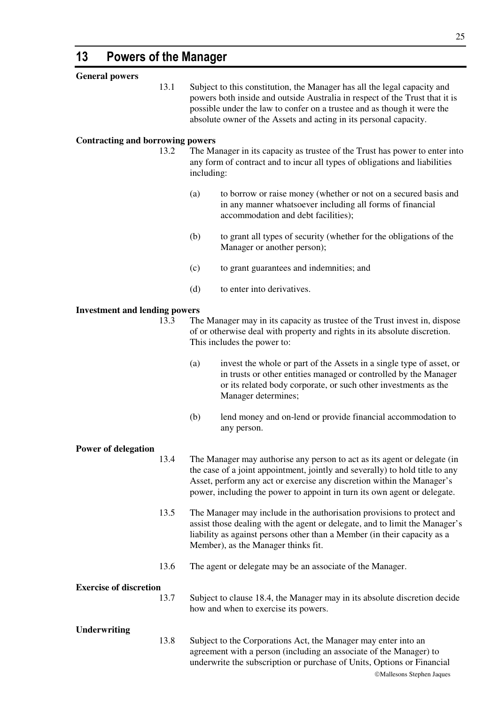| <b>General powers</b>                   |      |                                                                                                                                                                                                                                                                                                                |                                                                                                                                                                                                                                             |  |
|-----------------------------------------|------|----------------------------------------------------------------------------------------------------------------------------------------------------------------------------------------------------------------------------------------------------------------------------------------------------------------|---------------------------------------------------------------------------------------------------------------------------------------------------------------------------------------------------------------------------------------------|--|
|                                         | 13.1 | Subject to this constitution, the Manager has all the legal capacity and<br>powers both inside and outside Australia in respect of the Trust that it is<br>possible under the law to confer on a trustee and as though it were the<br>absolute owner of the Assets and acting in its personal capacity.        |                                                                                                                                                                                                                                             |  |
| <b>Contracting and borrowing powers</b> |      |                                                                                                                                                                                                                                                                                                                |                                                                                                                                                                                                                                             |  |
|                                         | 13.2 | including:                                                                                                                                                                                                                                                                                                     | The Manager in its capacity as trustee of the Trust has power to enter into<br>any form of contract and to incur all types of obligations and liabilities                                                                                   |  |
|                                         |      | (a)                                                                                                                                                                                                                                                                                                            | to borrow or raise money (whether or not on a secured basis and<br>in any manner whatsoever including all forms of financial<br>accommodation and debt facilities);                                                                         |  |
|                                         |      | (b)                                                                                                                                                                                                                                                                                                            | to grant all types of security (whether for the obligations of the<br>Manager or another person);                                                                                                                                           |  |
|                                         |      | (c)                                                                                                                                                                                                                                                                                                            | to grant guarantees and indemnities; and                                                                                                                                                                                                    |  |
|                                         |      | (d)                                                                                                                                                                                                                                                                                                            | to enter into derivatives.                                                                                                                                                                                                                  |  |
| <b>Investment and lending powers</b>    |      |                                                                                                                                                                                                                                                                                                                |                                                                                                                                                                                                                                             |  |
|                                         | 13.3 |                                                                                                                                                                                                                                                                                                                | The Manager may in its capacity as trustee of the Trust invest in, dispose                                                                                                                                                                  |  |
|                                         |      |                                                                                                                                                                                                                                                                                                                | of or otherwise deal with property and rights in its absolute discretion.<br>This includes the power to:                                                                                                                                    |  |
|                                         |      | (a)                                                                                                                                                                                                                                                                                                            | invest the whole or part of the Assets in a single type of asset, or<br>in trusts or other entities managed or controlled by the Manager<br>or its related body corporate, or such other investments as the<br>Manager determines;          |  |
|                                         |      | (b)                                                                                                                                                                                                                                                                                                            | lend money and on-lend or provide financial accommodation to<br>any person.                                                                                                                                                                 |  |
|                                         |      |                                                                                                                                                                                                                                                                                                                |                                                                                                                                                                                                                                             |  |
| <b>Power of delegation</b>              | 13.4 | The Manager may authorise any person to act as its agent or delegate (in<br>the case of a joint appointment, jointly and severally) to hold title to any<br>Asset, perform any act or exercise any discretion within the Manager's<br>power, including the power to appoint in turn its own agent or delegate. |                                                                                                                                                                                                                                             |  |
|                                         | 13.5 | The Manager may include in the authorisation provisions to protect and<br>assist those dealing with the agent or delegate, and to limit the Manager's<br>liability as against persons other than a Member (in their capacity as a<br>Member), as the Manager thinks fit.                                       |                                                                                                                                                                                                                                             |  |
|                                         | 13.6 |                                                                                                                                                                                                                                                                                                                | The agent or delegate may be an associate of the Manager.                                                                                                                                                                                   |  |
| <b>Exercise of discretion</b>           |      |                                                                                                                                                                                                                                                                                                                |                                                                                                                                                                                                                                             |  |
|                                         | 13.7 |                                                                                                                                                                                                                                                                                                                | Subject to clause 18.4, the Manager may in its absolute discretion decide<br>how and when to exercise its powers.                                                                                                                           |  |
| <b>Underwriting</b>                     | 13.8 |                                                                                                                                                                                                                                                                                                                | Subject to the Corporations Act, the Manager may enter into an<br>agreement with a person (including an associate of the Manager) to<br>underwrite the subscription or purchase of Units, Options or Financial<br>©Mallesons Stephen Jaques |  |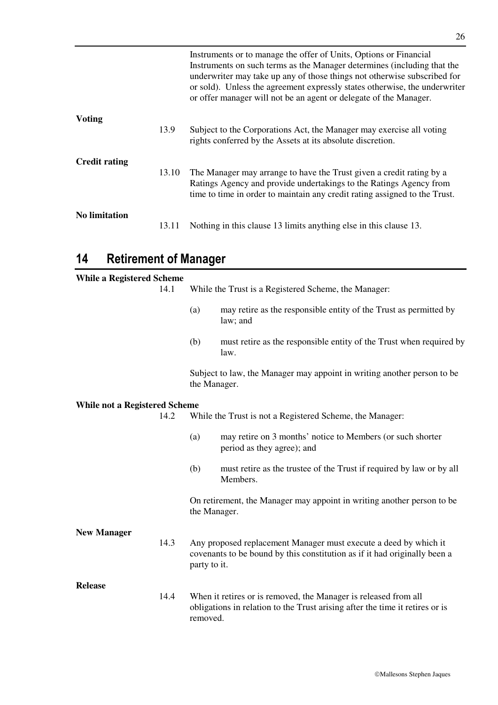|                      |       | Instruments or to manage the offer of Units, Options or Financial<br>Instruments on such terms as the Manager determines (including that the<br>underwriter may take up any of those things not otherwise subscribed for<br>or sold). Unless the agreement expressly states otherwise, the underwriter<br>or offer manager will not be an agent or delegate of the Manager. |
|----------------------|-------|-----------------------------------------------------------------------------------------------------------------------------------------------------------------------------------------------------------------------------------------------------------------------------------------------------------------------------------------------------------------------------|
| <b>Voting</b>        | 13.9  | Subject to the Corporations Act, the Manager may exercise all voting<br>rights conferred by the Assets at its absolute discretion.                                                                                                                                                                                                                                          |
| <b>Credit rating</b> | 13.10 | The Manager may arrange to have the Trust given a credit rating by a<br>Ratings Agency and provide undertakings to the Ratings Agency from<br>time to time in order to maintain any credit rating assigned to the Trust.                                                                                                                                                    |
| <b>No limitation</b> | 13.11 | Nothing in this clause 13 limits anything else in this clause 13.                                                                                                                                                                                                                                                                                                           |

# **14 Retirement of Manager**

| <b>While a Registered Scheme</b>     | 14.1 |                                                                                                                                                             | While the Trust is a Registered Scheme, the Manager:                                                                                          |
|--------------------------------------|------|-------------------------------------------------------------------------------------------------------------------------------------------------------------|-----------------------------------------------------------------------------------------------------------------------------------------------|
|                                      |      | (a)                                                                                                                                                         | may retire as the responsible entity of the Trust as permitted by<br>law; and                                                                 |
|                                      |      | (b)                                                                                                                                                         | must retire as the responsible entity of the Trust when required by<br>law.                                                                   |
|                                      |      | the Manager.                                                                                                                                                | Subject to law, the Manager may appoint in writing another person to be                                                                       |
| <b>While not a Registered Scheme</b> |      |                                                                                                                                                             |                                                                                                                                               |
|                                      | 14.2 | While the Trust is not a Registered Scheme, the Manager:                                                                                                    |                                                                                                                                               |
|                                      |      | (a)                                                                                                                                                         | may retire on 3 months' notice to Members (or such shorter<br>period as they agree); and                                                      |
|                                      |      | (b)                                                                                                                                                         | must retire as the trustee of the Trust if required by law or by all<br>Members.                                                              |
|                                      |      | the Manager.                                                                                                                                                | On retirement, the Manager may appoint in writing another person to be                                                                        |
| <b>New Manager</b>                   |      |                                                                                                                                                             |                                                                                                                                               |
|                                      | 14.3 | party to it.                                                                                                                                                | Any proposed replacement Manager must execute a deed by which it<br>covenants to be bound by this constitution as if it had originally been a |
| <b>Release</b>                       | 14.4 | When it retires or is removed, the Manager is released from all<br>obligations in relation to the Trust arising after the time it retires or is<br>removed. |                                                                                                                                               |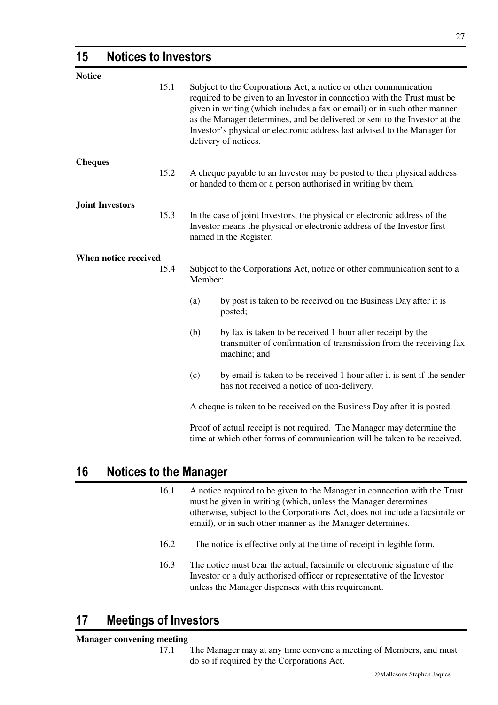### **15 Notices to Investors**

| <b>Notice</b>          |      |                                                                                                                                                                                |                                                                                                                                                                                                                                                                                                                                                                                                             |  |
|------------------------|------|--------------------------------------------------------------------------------------------------------------------------------------------------------------------------------|-------------------------------------------------------------------------------------------------------------------------------------------------------------------------------------------------------------------------------------------------------------------------------------------------------------------------------------------------------------------------------------------------------------|--|
|                        | 15.1 |                                                                                                                                                                                | Subject to the Corporations Act, a notice or other communication<br>required to be given to an Investor in connection with the Trust must be<br>given in writing (which includes a fax or email) or in such other manner<br>as the Manager determines, and be delivered or sent to the Investor at the<br>Investor's physical or electronic address last advised to the Manager for<br>delivery of notices. |  |
| <b>Cheques</b>         |      |                                                                                                                                                                                |                                                                                                                                                                                                                                                                                                                                                                                                             |  |
|                        | 15.2 |                                                                                                                                                                                | A cheque payable to an Investor may be posted to their physical address<br>or handed to them or a person authorised in writing by them.                                                                                                                                                                                                                                                                     |  |
| <b>Joint Investors</b> |      |                                                                                                                                                                                |                                                                                                                                                                                                                                                                                                                                                                                                             |  |
|                        | 15.3 | In the case of joint Investors, the physical or electronic address of the<br>Investor means the physical or electronic address of the Investor first<br>named in the Register. |                                                                                                                                                                                                                                                                                                                                                                                                             |  |
| When notice received   |      |                                                                                                                                                                                |                                                                                                                                                                                                                                                                                                                                                                                                             |  |
|                        | 15.4 | Subject to the Corporations Act, notice or other communication sent to a<br>Member:                                                                                            |                                                                                                                                                                                                                                                                                                                                                                                                             |  |
|                        |      | (a)                                                                                                                                                                            | by post is taken to be received on the Business Day after it is<br>posted;                                                                                                                                                                                                                                                                                                                                  |  |
|                        |      | (b)                                                                                                                                                                            | by fax is taken to be received 1 hour after receipt by the<br>transmitter of confirmation of transmission from the receiving fax<br>machine; and                                                                                                                                                                                                                                                            |  |
|                        |      | (c)                                                                                                                                                                            | by email is taken to be received 1 hour after it is sent if the sender<br>has not received a notice of non-delivery.                                                                                                                                                                                                                                                                                        |  |
|                        |      |                                                                                                                                                                                | A cheque is taken to be received on the Business Day after it is posted.                                                                                                                                                                                                                                                                                                                                    |  |
|                        |      |                                                                                                                                                                                |                                                                                                                                                                                                                                                                                                                                                                                                             |  |
|                        |      |                                                                                                                                                                                | Proof of actual receipt is not required. The Manager may determine the<br>time at which other forms of communication will be taken to be received.                                                                                                                                                                                                                                                          |  |

### **16 Notices to the Manager**

- 16.1 A notice required to be given to the Manager in connection with the Trust must be given in writing (which, unless the Manager determines otherwise, subject to the Corporations Act, does not include a facsimile or email), or in such other manner as the Manager determines.
- 16.2 The notice is effective only at the time of receipt in legible form.
- 16.3 The notice must bear the actual, facsimile or electronic signature of the Investor or a duly authorised officer or representative of the Investor unless the Manager dispenses with this requirement.

# **17 Meetings of Investors**

#### **Manager convening meeting**

17.1 The Manager may at any time convene a meeting of Members, and must do so if required by the Corporations Act.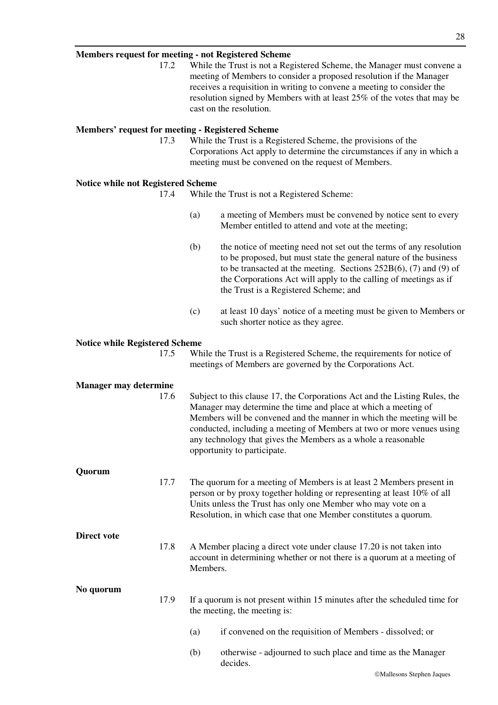#### **Members request for meeting - not Registered Scheme**

17.2 While the Trust is not a Registered Scheme, the Manager must convene a meeting of Members to consider a proposed resolution if the Manager receives a requisition in writing to convene a meeting to consider the resolution signed by Members with at least 25% of the votes that may be cast on the resolution.

#### **Members' request for meeting - Registered Scheme**

17.3 While the Trust is a Registered Scheme, the provisions of the Corporations Act apply to determine the circumstances if any in which a meeting must be convened on the request of Members.

#### **Notice while not Registered Scheme**

- 17.4 While the Trust is not a Registered Scheme:
	- (a) a meeting of Members must be convened by notice sent to every Member entitled to attend and vote at the meeting;
	- (b) the notice of meeting need not set out the terms of any resolution to be proposed, but must state the general nature of the business to be transacted at the meeting. Sections 252B(6), (7) and (9) of the Corporations Act will apply to the calling of meetings as if the Trust is a Registered Scheme; and
	- (c) at least 10 days' notice of a meeting must be given to Members or such shorter notice as they agree.

#### **Notice while Registered Scheme**

| 17.5 | While the Trust is a Registered Scheme, the requirements for notice of |
|------|------------------------------------------------------------------------|
|      | meetings of Members are governed by the Corporations Act.              |

| <b>Manager may determine</b> |      |                                                                                                                                                                                                                                                                                                                                                                                               |  |
|------------------------------|------|-----------------------------------------------------------------------------------------------------------------------------------------------------------------------------------------------------------------------------------------------------------------------------------------------------------------------------------------------------------------------------------------------|--|
|                              | 17.6 | Subject to this clause 17, the Corporations Act and the Listing Rules, the<br>Manager may determine the time and place at which a meeting of<br>Members will be convened and the manner in which the meeting will be<br>conducted, including a meeting of Members at two or more venues using<br>any technology that gives the Members as a whole a reasonable<br>opportunity to participate. |  |
| Quorum                       |      |                                                                                                                                                                                                                                                                                                                                                                                               |  |
|                              | 17.7 | The quorum for a meeting of Members is at least 2 Members present in<br>person or by proxy together holding or representing at least 10% of all<br>Units unless the Trust has only one Member who may vote on a<br>Resolution, in which case that one Member constitutes a quorum.                                                                                                            |  |
| <b>Direct vote</b>           |      |                                                                                                                                                                                                                                                                                                                                                                                               |  |
|                              | 17.8 | A Member placing a direct vote under clause 17.20 is not taken into<br>account in determining whether or not there is a quorum at a meeting of<br>Members.                                                                                                                                                                                                                                    |  |
| No quorum                    |      |                                                                                                                                                                                                                                                                                                                                                                                               |  |
|                              | 17.9 | If a quorum is not present within 15 minutes after the scheduled time for<br>the meeting, the meeting is:                                                                                                                                                                                                                                                                                     |  |
|                              |      | if convened on the requisition of Members - dissolved; or<br>(a)                                                                                                                                                                                                                                                                                                                              |  |
|                              |      | otherwise - adjourned to such place and time as the Manager<br>(b)<br>decides.                                                                                                                                                                                                                                                                                                                |  |
|                              |      | ©Mallesons Stephen Jaques                                                                                                                                                                                                                                                                                                                                                                     |  |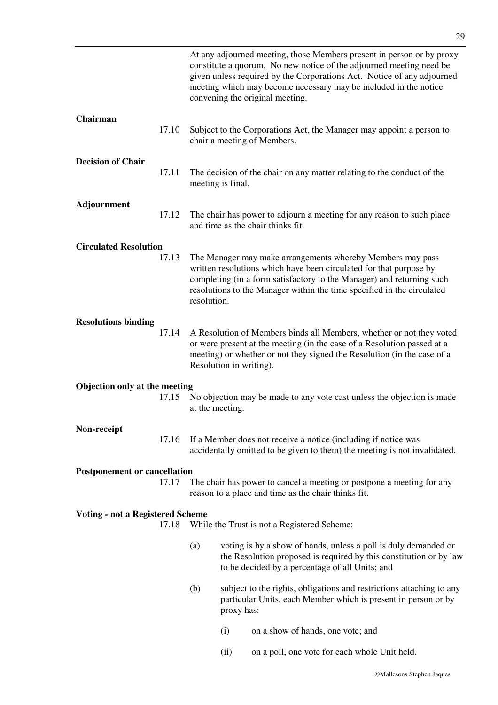|                                         |       |                 |                         | At any adjourned meeting, those Members present in person or by proxy<br>constitute a quorum. No new notice of the adjourned meeting need be<br>given unless required by the Corporations Act. Notice of any adjourned<br>meeting which may become necessary may be included in the notice<br>convening the original meeting. |
|-----------------------------------------|-------|-----------------|-------------------------|-------------------------------------------------------------------------------------------------------------------------------------------------------------------------------------------------------------------------------------------------------------------------------------------------------------------------------|
| Chairman                                | 17.10 |                 |                         | Subject to the Corporations Act, the Manager may appoint a person to<br>chair a meeting of Members.                                                                                                                                                                                                                           |
| <b>Decision of Chair</b>                | 17.11 |                 | meeting is final.       | The decision of the chair on any matter relating to the conduct of the                                                                                                                                                                                                                                                        |
| <b>Adjournment</b>                      | 17.12 |                 |                         | The chair has power to adjourn a meeting for any reason to such place<br>and time as the chair thinks fit.                                                                                                                                                                                                                    |
| <b>Circulated Resolution</b>            | 17.13 | resolution.     |                         | The Manager may make arrangements whereby Members may pass<br>written resolutions which have been circulated for that purpose by<br>completing (in a form satisfactory to the Manager) and returning such<br>resolutions to the Manager within the time specified in the circulated                                           |
| <b>Resolutions binding</b>              | 17.14 |                 | Resolution in writing). | A Resolution of Members binds all Members, whether or not they voted<br>or were present at the meeting (in the case of a Resolution passed at a<br>meeting) or whether or not they signed the Resolution (in the case of a                                                                                                    |
| Objection only at the meeting           |       |                 |                         |                                                                                                                                                                                                                                                                                                                               |
|                                         | 17.15 | at the meeting. |                         | No objection may be made to any vote cast unless the objection is made                                                                                                                                                                                                                                                        |
| Non-receipt                             | 17.16 |                 |                         | If a Member does not receive a notice (including if notice was<br>accidentally omitted to be given to them) the meeting is not invalidated.                                                                                                                                                                                   |
| <b>Postponement or cancellation</b>     |       |                 |                         |                                                                                                                                                                                                                                                                                                                               |
|                                         | 17.17 |                 |                         | The chair has power to cancel a meeting or postpone a meeting for any<br>reason to a place and time as the chair thinks fit.                                                                                                                                                                                                  |
| <b>Voting - not a Registered Scheme</b> |       |                 |                         |                                                                                                                                                                                                                                                                                                                               |
|                                         | 17.18 |                 |                         | While the Trust is not a Registered Scheme:                                                                                                                                                                                                                                                                                   |
|                                         |       | (a)             |                         | voting is by a show of hands, unless a poll is duly demanded or<br>the Resolution proposed is required by this constitution or by law<br>to be decided by a percentage of all Units; and                                                                                                                                      |
|                                         |       | (b)             | proxy has:              | subject to the rights, obligations and restrictions attaching to any<br>particular Units, each Member which is present in person or by                                                                                                                                                                                        |
|                                         |       |                 | (i)                     | on a show of hands, one vote; and                                                                                                                                                                                                                                                                                             |
|                                         |       |                 | (ii)                    | on a poll, one vote for each whole Unit held.                                                                                                                                                                                                                                                                                 |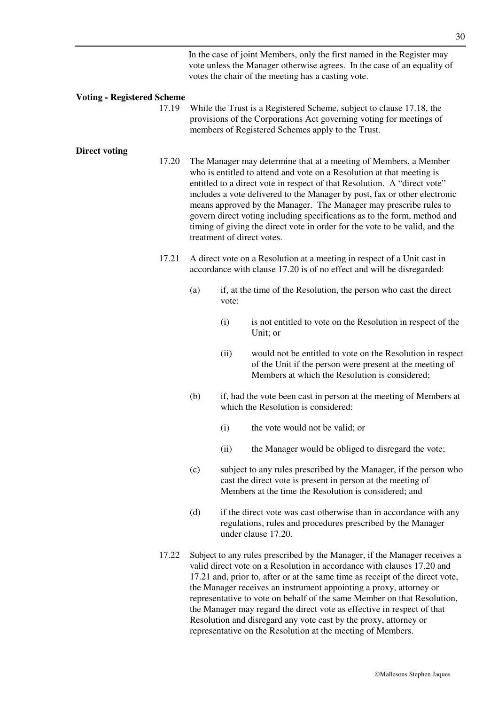In the case of joint Members, only the first named in the Register may vote unless the Manager otherwise agrees. In the case of an equality of votes the chair of the meeting has a casting vote.

#### **Voting - Registered Scheme**

17.19 While the Trust is a Registered Scheme, subject to clause 17.18, the provisions of the Corporations Act governing voting for meetings of members of Registered Schemes apply to the Trust.

#### **Direct voting**

- 17.20 The Manager may determine that at a meeting of Members, a Member who is entitled to attend and vote on a Resolution at that meeting is entitled to a direct vote in respect of that Resolution. A "direct vote" includes a vote delivered to the Manager by post, fax or other electronic means approved by the Manager. The Manager may prescribe rules to govern direct voting including specifications as to the form, method and timing of giving the direct vote in order for the vote to be valid, and the treatment of direct votes.
- 17.21 A direct vote on a Resolution at a meeting in respect of a Unit cast in accordance with clause 17.20 is of no effect and will be disregarded:
	- (a) if, at the time of the Resolution, the person who cast the direct vote:
		- (i) is not entitled to vote on the Resolution in respect of the Unit; or
		- (ii) would not be entitled to vote on the Resolution in respect of the Unit if the person were present at the meeting of Members at which the Resolution is considered;
	- (b) if, had the vote been cast in person at the meeting of Members at which the Resolution is considered:
		- (i) the vote would not be valid; or
		- (ii) the Manager would be obliged to disregard the vote;
	- (c) subject to any rules prescribed by the Manager, if the person who cast the direct vote is present in person at the meeting of Members at the time the Resolution is considered; and
	- (d) if the direct vote was cast otherwise than in accordance with any regulations, rules and procedures prescribed by the Manager under clause 17.20.
- 17.22 Subject to any rules prescribed by the Manager, if the Manager receives a valid direct vote on a Resolution in accordance with clauses 17.20 and 17.21 and, prior to, after or at the same time as receipt of the direct vote, the Manager receives an instrument appointing a proxy, attorney or representative to vote on behalf of the same Member on that Resolution, the Manager may regard the direct vote as effective in respect of that Resolution and disregard any vote cast by the proxy, attorney or representative on the Resolution at the meeting of Members.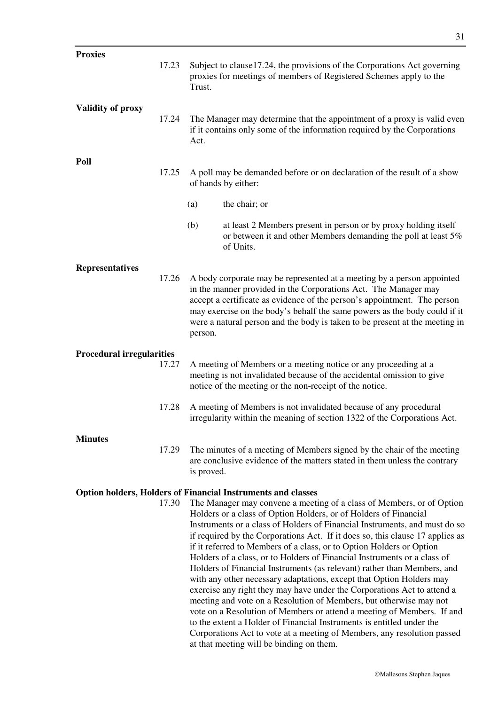| <b>Proxies</b>                   | 17.23 | Trust.     | Subject to clause 17.24, the provisions of the Corporations Act governing<br>proxies for meetings of members of Registered Schemes apply to the                                                                                                                                                                                                                                                                                                                                                                                                                                                                                                                                                                                                                                                                                                                                                                                                                                                                                            |
|----------------------------------|-------|------------|--------------------------------------------------------------------------------------------------------------------------------------------------------------------------------------------------------------------------------------------------------------------------------------------------------------------------------------------------------------------------------------------------------------------------------------------------------------------------------------------------------------------------------------------------------------------------------------------------------------------------------------------------------------------------------------------------------------------------------------------------------------------------------------------------------------------------------------------------------------------------------------------------------------------------------------------------------------------------------------------------------------------------------------------|
| <b>Validity of proxy</b>         | 17.24 | Act.       | The Manager may determine that the appointment of a proxy is valid even<br>if it contains only some of the information required by the Corporations                                                                                                                                                                                                                                                                                                                                                                                                                                                                                                                                                                                                                                                                                                                                                                                                                                                                                        |
| Poll                             | 17.25 |            | A poll may be demanded before or on declaration of the result of a show<br>of hands by either:                                                                                                                                                                                                                                                                                                                                                                                                                                                                                                                                                                                                                                                                                                                                                                                                                                                                                                                                             |
|                                  |       | (a)        | the chair; or                                                                                                                                                                                                                                                                                                                                                                                                                                                                                                                                                                                                                                                                                                                                                                                                                                                                                                                                                                                                                              |
|                                  |       | (b)        | at least 2 Members present in person or by proxy holding itself<br>or between it and other Members demanding the poll at least 5%<br>of Units.                                                                                                                                                                                                                                                                                                                                                                                                                                                                                                                                                                                                                                                                                                                                                                                                                                                                                             |
| <b>Representatives</b>           | 17.26 | person.    | A body corporate may be represented at a meeting by a person appointed<br>in the manner provided in the Corporations Act. The Manager may<br>accept a certificate as evidence of the person's appointment. The person<br>may exercise on the body's behalf the same powers as the body could if it<br>were a natural person and the body is taken to be present at the meeting in                                                                                                                                                                                                                                                                                                                                                                                                                                                                                                                                                                                                                                                          |
| <b>Procedural irregularities</b> |       |            |                                                                                                                                                                                                                                                                                                                                                                                                                                                                                                                                                                                                                                                                                                                                                                                                                                                                                                                                                                                                                                            |
|                                  | 17.27 |            | A meeting of Members or a meeting notice or any proceeding at a<br>meeting is not invalidated because of the accidental omission to give<br>notice of the meeting or the non-receipt of the notice.                                                                                                                                                                                                                                                                                                                                                                                                                                                                                                                                                                                                                                                                                                                                                                                                                                        |
|                                  | 17.28 |            | A meeting of Members is not invalidated because of any procedural<br>irregularity within the meaning of section 1322 of the Corporations Act.                                                                                                                                                                                                                                                                                                                                                                                                                                                                                                                                                                                                                                                                                                                                                                                                                                                                                              |
| <b>Minutes</b>                   | 17.29 | is proved. | The minutes of a meeting of Members signed by the chair of the meeting<br>are conclusive evidence of the matters stated in them unless the contrary                                                                                                                                                                                                                                                                                                                                                                                                                                                                                                                                                                                                                                                                                                                                                                                                                                                                                        |
|                                  |       |            | <b>Option holders, Holders of Financial Instruments and classes</b>                                                                                                                                                                                                                                                                                                                                                                                                                                                                                                                                                                                                                                                                                                                                                                                                                                                                                                                                                                        |
|                                  | 17.30 |            | The Manager may convene a meeting of a class of Members, or of Option<br>Holders or a class of Option Holders, or of Holders of Financial<br>Instruments or a class of Holders of Financial Instruments, and must do so<br>if required by the Corporations Act. If it does so, this clause 17 applies as<br>if it referred to Members of a class, or to Option Holders or Option<br>Holders of a class, or to Holders of Financial Instruments or a class of<br>Holders of Financial Instruments (as relevant) rather than Members, and<br>with any other necessary adaptations, except that Option Holders may<br>exercise any right they may have under the Corporations Act to attend a<br>meeting and vote on a Resolution of Members, but otherwise may not<br>vote on a Resolution of Members or attend a meeting of Members. If and<br>to the extent a Holder of Financial Instruments is entitled under the<br>Corporations Act to vote at a meeting of Members, any resolution passed<br>at that meeting will be binding on them. |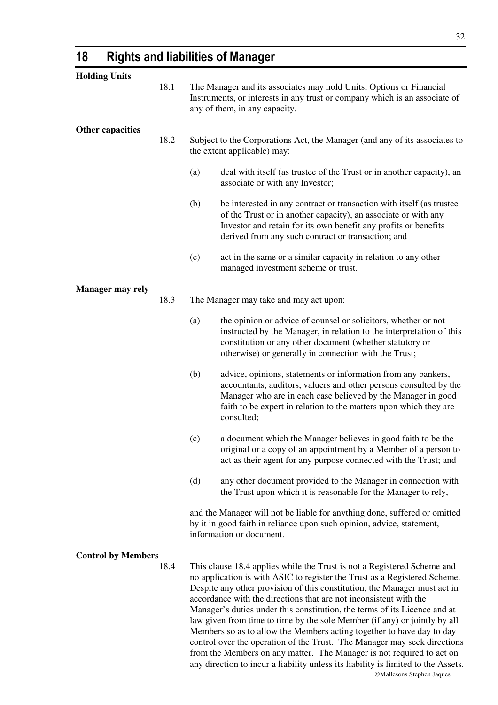# **18 Rights and liabilities of Manager**

| <b>Holding Units</b>      |      |     |                                                                                                                                                                                                                                                                                                                                                                                                                                                                                                                                                                                                                                                                                                                                                                                     |
|---------------------------|------|-----|-------------------------------------------------------------------------------------------------------------------------------------------------------------------------------------------------------------------------------------------------------------------------------------------------------------------------------------------------------------------------------------------------------------------------------------------------------------------------------------------------------------------------------------------------------------------------------------------------------------------------------------------------------------------------------------------------------------------------------------------------------------------------------------|
|                           | 18.1 |     | The Manager and its associates may hold Units, Options or Financial<br>Instruments, or interests in any trust or company which is an associate of<br>any of them, in any capacity.                                                                                                                                                                                                                                                                                                                                                                                                                                                                                                                                                                                                  |
| <b>Other capacities</b>   | 18.2 |     | Subject to the Corporations Act, the Manager (and any of its associates to<br>the extent applicable) may:                                                                                                                                                                                                                                                                                                                                                                                                                                                                                                                                                                                                                                                                           |
|                           |      | (a) | deal with itself (as trustee of the Trust or in another capacity), an<br>associate or with any Investor;                                                                                                                                                                                                                                                                                                                                                                                                                                                                                                                                                                                                                                                                            |
|                           |      | (b) | be interested in any contract or transaction with itself (as trustee<br>of the Trust or in another capacity), an associate or with any<br>Investor and retain for its own benefit any profits or benefits<br>derived from any such contract or transaction; and                                                                                                                                                                                                                                                                                                                                                                                                                                                                                                                     |
|                           |      | (c) | act in the same or a similar capacity in relation to any other<br>managed investment scheme or trust.                                                                                                                                                                                                                                                                                                                                                                                                                                                                                                                                                                                                                                                                               |
| <b>Manager may rely</b>   |      |     |                                                                                                                                                                                                                                                                                                                                                                                                                                                                                                                                                                                                                                                                                                                                                                                     |
|                           | 18.3 |     | The Manager may take and may act upon:                                                                                                                                                                                                                                                                                                                                                                                                                                                                                                                                                                                                                                                                                                                                              |
|                           |      | (a) | the opinion or advice of counsel or solicitors, whether or not<br>instructed by the Manager, in relation to the interpretation of this<br>constitution or any other document (whether statutory or<br>otherwise) or generally in connection with the Trust;                                                                                                                                                                                                                                                                                                                                                                                                                                                                                                                         |
|                           |      | (b) | advice, opinions, statements or information from any bankers,<br>accountants, auditors, valuers and other persons consulted by the<br>Manager who are in each case believed by the Manager in good<br>faith to be expert in relation to the matters upon which they are<br>consulted;                                                                                                                                                                                                                                                                                                                                                                                                                                                                                               |
|                           |      | (c) | a document which the Manager believes in good faith to be the<br>original or a copy of an appointment by a Member of a person to<br>act as their agent for any purpose connected with the Trust; and                                                                                                                                                                                                                                                                                                                                                                                                                                                                                                                                                                                |
|                           |      | (d) | any other document provided to the Manager in connection with<br>the Trust upon which it is reasonable for the Manager to rely,                                                                                                                                                                                                                                                                                                                                                                                                                                                                                                                                                                                                                                                     |
|                           |      |     | and the Manager will not be liable for anything done, suffered or omitted<br>by it in good faith in reliance upon such opinion, advice, statement,<br>information or document.                                                                                                                                                                                                                                                                                                                                                                                                                                                                                                                                                                                                      |
| <b>Control by Members</b> |      |     |                                                                                                                                                                                                                                                                                                                                                                                                                                                                                                                                                                                                                                                                                                                                                                                     |
|                           | 18.4 |     | This clause 18.4 applies while the Trust is not a Registered Scheme and<br>no application is with ASIC to register the Trust as a Registered Scheme.<br>Despite any other provision of this constitution, the Manager must act in<br>accordance with the directions that are not inconsistent with the<br>Manager's duties under this constitution, the terms of its Licence and at<br>law given from time to time by the sole Member (if any) or jointly by all<br>Members so as to allow the Members acting together to have day to day<br>control over the operation of the Trust. The Manager may seek directions<br>from the Members on any matter. The Manager is not required to act on<br>any direction to incur a liability unless its liability is limited to the Assets. |

Mallesons Stephen Jaques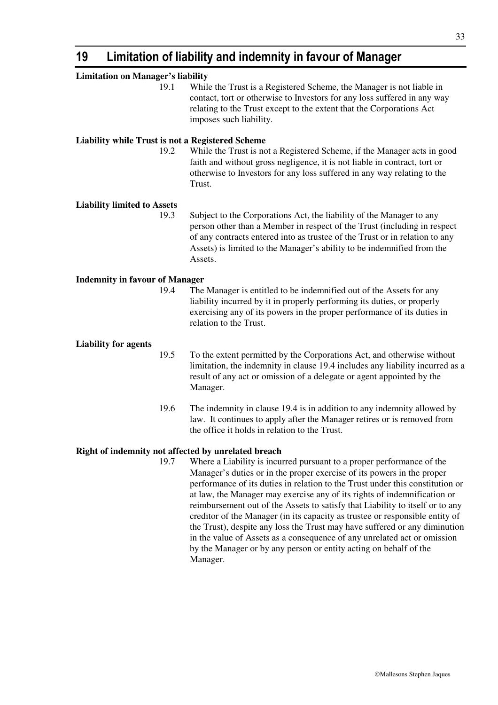# **19 Limitation of liability and indemnity in favour of Manager**

| <b>Limitation on Manager's liability</b>                |      |                                                                                                                                                                                                                                                                                                                      |
|---------------------------------------------------------|------|----------------------------------------------------------------------------------------------------------------------------------------------------------------------------------------------------------------------------------------------------------------------------------------------------------------------|
|                                                         | 19.1 | While the Trust is a Registered Scheme, the Manager is not liable in<br>contact, tort or otherwise to Investors for any loss suffered in any way<br>relating to the Trust except to the extent that the Corporations Act<br>imposes such liability.                                                                  |
| <b>Liability while Trust is not a Registered Scheme</b> |      |                                                                                                                                                                                                                                                                                                                      |
|                                                         | 19.2 | While the Trust is not a Registered Scheme, if the Manager acts in good<br>faith and without gross negligence, it is not liable in contract, tort or<br>otherwise to Investors for any loss suffered in any way relating to the<br>Trust.                                                                            |
| <b>Liability limited to Assets</b>                      |      |                                                                                                                                                                                                                                                                                                                      |
|                                                         | 19.3 | Subject to the Corporations Act, the liability of the Manager to any<br>person other than a Member in respect of the Trust (including in respect<br>of any contracts entered into as trustee of the Trust or in relation to any<br>Assets) is limited to the Manager's ability to be indemnified from the<br>Assets. |
| <b>Indemnity in favour of Manager</b>                   |      |                                                                                                                                                                                                                                                                                                                      |
|                                                         | 19.4 | The Manager is entitled to be indemnified out of the Assets for any<br>liability incurred by it in properly performing its duties, or properly<br>exercising any of its powers in the proper performance of its duties in<br>relation to the Trust.                                                                  |
| <b>Liability for agents</b>                             |      |                                                                                                                                                                                                                                                                                                                      |
|                                                         | 19.5 | To the extent permitted by the Corporations Act, and otherwise without<br>limitation, the indemnity in clause 19.4 includes any liability incurred as a<br>result of any act or omission of a delegate or agent appointed by the<br>Manager.                                                                         |
|                                                         | 19.6 | The indemnity in clause 19.4 is in addition to any indemnity allowed by<br>law. It continues to apply after the Manager retires or is removed from<br>the office it holds in relation to the Trust.                                                                                                                  |
| Right of indemnity not affected by unrelated breach     |      |                                                                                                                                                                                                                                                                                                                      |
|                                                         | 19.7 | Where a Liability is incurred pursuant to a proper performance of the<br>Manager's duties or in the proper exercise of its nowers in the proper                                                                                                                                                                      |

Manager's duties or in the proper exercise of its powers in the proper performance of its duties in relation to the Trust under this constitution or at law, the Manager may exercise any of its rights of indemnification or reimbursement out of the Assets to satisfy that Liability to itself or to any creditor of the Manager (in its capacity as trustee or responsible entity of the Trust), despite any loss the Trust may have suffered or any diminution in the value of Assets as a consequence of any unrelated act or omission by the Manager or by any person or entity acting on behalf of the Manager.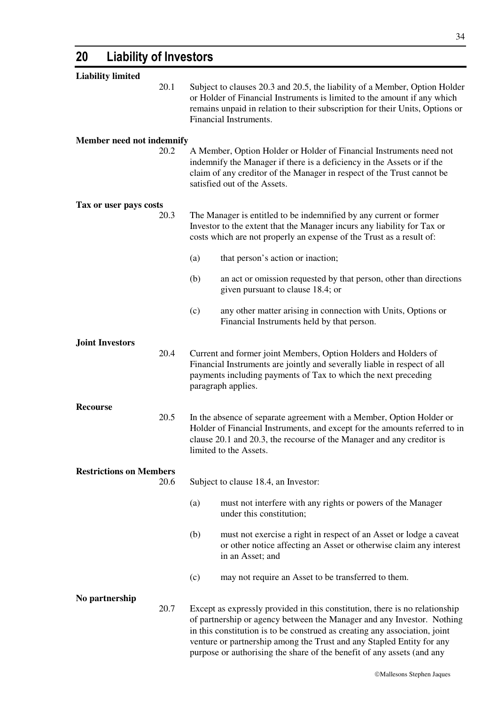| <b>Liability limited</b>         |      |                                                                                                                                                                                                                                                                                                              |                                                                                                                                                                                                                                                         |  |
|----------------------------------|------|--------------------------------------------------------------------------------------------------------------------------------------------------------------------------------------------------------------------------------------------------------------------------------------------------------------|---------------------------------------------------------------------------------------------------------------------------------------------------------------------------------------------------------------------------------------------------------|--|
|                                  | 20.1 | Subject to clauses 20.3 and 20.5, the liability of a Member, Option Holder<br>or Holder of Financial Instruments is limited to the amount if any which<br>remains unpaid in relation to their subscription for their Units, Options or<br>Financial Instruments.                                             |                                                                                                                                                                                                                                                         |  |
| <b>Member need not indemnify</b> |      |                                                                                                                                                                                                                                                                                                              |                                                                                                                                                                                                                                                         |  |
|                                  | 20.2 |                                                                                                                                                                                                                                                                                                              | A Member, Option Holder or Holder of Financial Instruments need not<br>indemnify the Manager if there is a deficiency in the Assets or if the<br>claim of any creditor of the Manager in respect of the Trust cannot be<br>satisfied out of the Assets. |  |
| Tax or user pays costs           |      |                                                                                                                                                                                                                                                                                                              |                                                                                                                                                                                                                                                         |  |
|                                  | 20.3 | The Manager is entitled to be indemnified by any current or former<br>Investor to the extent that the Manager incurs any liability for Tax or<br>costs which are not properly an expense of the Trust as a result of:                                                                                        |                                                                                                                                                                                                                                                         |  |
|                                  |      | (a)                                                                                                                                                                                                                                                                                                          | that person's action or inaction;                                                                                                                                                                                                                       |  |
|                                  |      | (b)                                                                                                                                                                                                                                                                                                          | an act or omission requested by that person, other than directions<br>given pursuant to clause 18.4; or                                                                                                                                                 |  |
|                                  |      | (c)                                                                                                                                                                                                                                                                                                          | any other matter arising in connection with Units, Options or<br>Financial Instruments held by that person.                                                                                                                                             |  |
| <b>Joint Investors</b>           |      |                                                                                                                                                                                                                                                                                                              |                                                                                                                                                                                                                                                         |  |
|                                  | 20.4 |                                                                                                                                                                                                                                                                                                              | Current and former joint Members, Option Holders and Holders of<br>Financial Instruments are jointly and severally liable in respect of all<br>payments including payments of Tax to which the next preceding<br>paragraph applies.                     |  |
| <b>Recourse</b>                  |      |                                                                                                                                                                                                                                                                                                              |                                                                                                                                                                                                                                                         |  |
|                                  | 20.5 | In the absence of separate agreement with a Member, Option Holder or<br>Holder of Financial Instruments, and except for the amounts referred to in<br>clause 20.1 and 20.3, the recourse of the Manager and any creditor is<br>limited to the Assets.                                                        |                                                                                                                                                                                                                                                         |  |
| <b>Restrictions on Members</b>   |      |                                                                                                                                                                                                                                                                                                              |                                                                                                                                                                                                                                                         |  |
|                                  | 20.6 |                                                                                                                                                                                                                                                                                                              | Subject to clause 18.4, an Investor:                                                                                                                                                                                                                    |  |
|                                  |      | (a)                                                                                                                                                                                                                                                                                                          | must not interfere with any rights or powers of the Manager<br>under this constitution;                                                                                                                                                                 |  |
|                                  |      | (b)                                                                                                                                                                                                                                                                                                          | must not exercise a right in respect of an Asset or lodge a caveat<br>or other notice affecting an Asset or otherwise claim any interest<br>in an Asset; and                                                                                            |  |
|                                  |      | (c)                                                                                                                                                                                                                                                                                                          | may not require an Asset to be transferred to them.                                                                                                                                                                                                     |  |
| No partnership                   |      |                                                                                                                                                                                                                                                                                                              |                                                                                                                                                                                                                                                         |  |
|                                  | 20.7 | Except as expressly provided in this constitution, there is no relationship<br>of partnership or agency between the Manager and any Investor. Nothing<br>in this constitution is to be construed as creating any association, joint<br>venture or partnership among the Trust and any Stapled Entity for any |                                                                                                                                                                                                                                                         |  |

purpose or authorising the share of the benefit of any assets (and any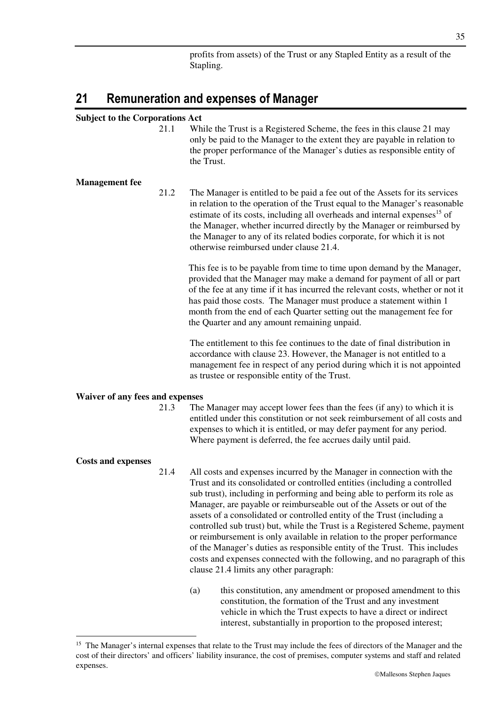profits from assets) of the Trust or any Stapled Entity as a result of the Stapling.

## **21 Remuneration and expenses of Manager**

## **Subject to the Corporations Act**

21.1 While the Trust is a Registered Scheme, the fees in this clause 21 may only be paid to the Manager to the extent they are payable in relation to the proper performance of the Manager's duties as responsible entity of the Trust.

#### **Management fee**

21.2 The Manager is entitled to be paid a fee out of the Assets for its services in relation to the operation of the Trust equal to the Manager's reasonable estimate of its costs, including all overheads and internal expenses<sup>15</sup> of the Manager, whether incurred directly by the Manager or reimbursed by the Manager to any of its related bodies corporate, for which it is not otherwise reimbursed under clause 21.4.

This fee is to be payable from time to time upon demand by the Manager, provided that the Manager may make a demand for payment of all or part of the fee at any time if it has incurred the relevant costs, whether or not it has paid those costs. The Manager must produce a statement within 1 month from the end of each Quarter setting out the management fee for the Quarter and any amount remaining unpaid.

The entitlement to this fee continues to the date of final distribution in accordance with clause 23. However, the Manager is not entitled to a management fee in respect of any period during which it is not appointed as trustee or responsible entity of the Trust.

### **Waiver of any fees and expenses**

21.3 The Manager may accept lower fees than the fees (if any) to which it is entitled under this constitution or not seek reimbursement of all costs and expenses to which it is entitled, or may defer payment for any period. Where payment is deferred, the fee accrues daily until paid.

#### **Costs and expenses**

-

- 21.4 All costs and expenses incurred by the Manager in connection with the Trust and its consolidated or controlled entities (including a controlled sub trust), including in performing and being able to perform its role as Manager, are payable or reimburseable out of the Assets or out of the assets of a consolidated or controlled entity of the Trust (including a controlled sub trust) but, while the Trust is a Registered Scheme, payment or reimbursement is only available in relation to the proper performance of the Manager's duties as responsible entity of the Trust. This includes costs and expenses connected with the following, and no paragraph of this clause 21.4 limits any other paragraph:
	- (a) this constitution, any amendment or proposed amendment to this constitution, the formation of the Trust and any investment vehicle in which the Trust expects to have a direct or indirect interest, substantially in proportion to the proposed interest;

<sup>&</sup>lt;sup>15</sup> The Manager's internal expenses that relate to the Trust may include the fees of directors of the Manager and the cost of their directors' and officers' liability insurance, the cost of premises, computer systems and staff and related expenses.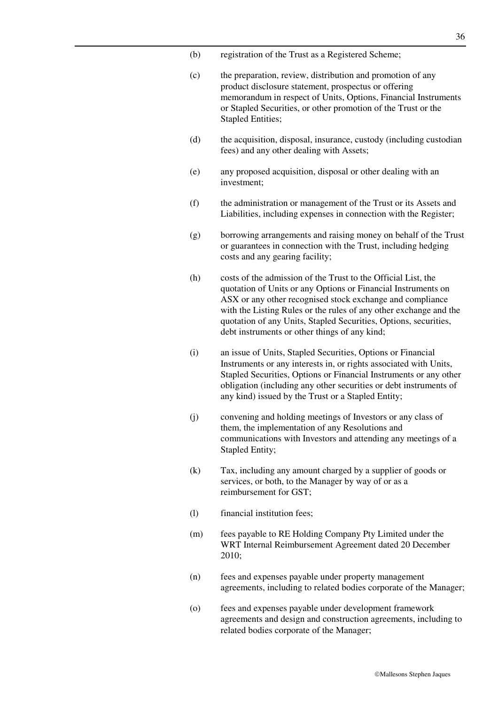- (b) registration of the Trust as a Registered Scheme;
- (c) the preparation, review, distribution and promotion of any product disclosure statement, prospectus or offering memorandum in respect of Units, Options, Financial Instruments or Stapled Securities, or other promotion of the Trust or the Stapled Entities;
- (d) the acquisition, disposal, insurance, custody (including custodian fees) and any other dealing with Assets;
- (e) any proposed acquisition, disposal or other dealing with an investment;
- (f) the administration or management of the Trust or its Assets and Liabilities, including expenses in connection with the Register;
- (g) borrowing arrangements and raising money on behalf of the Trust or guarantees in connection with the Trust, including hedging costs and any gearing facility;
- (h) costs of the admission of the Trust to the Official List, the quotation of Units or any Options or Financial Instruments on ASX or any other recognised stock exchange and compliance with the Listing Rules or the rules of any other exchange and the quotation of any Units, Stapled Securities, Options, securities, debt instruments or other things of any kind;
- (i) an issue of Units, Stapled Securities, Options or Financial Instruments or any interests in, or rights associated with Units, Stapled Securities, Options or Financial Instruments or any other obligation (including any other securities or debt instruments of any kind) issued by the Trust or a Stapled Entity;
- (j) convening and holding meetings of Investors or any class of them, the implementation of any Resolutions and communications with Investors and attending any meetings of a Stapled Entity;
- (k) Tax, including any amount charged by a supplier of goods or services, or both, to the Manager by way of or as a reimbursement for GST;
- (l) financial institution fees;
- (m) fees payable to RE Holding Company Pty Limited under the WRT Internal Reimbursement Agreement dated 20 December 2010;
- (n) fees and expenses payable under property management agreements, including to related bodies corporate of the Manager;
- (o) fees and expenses payable under development framework agreements and design and construction agreements, including to related bodies corporate of the Manager;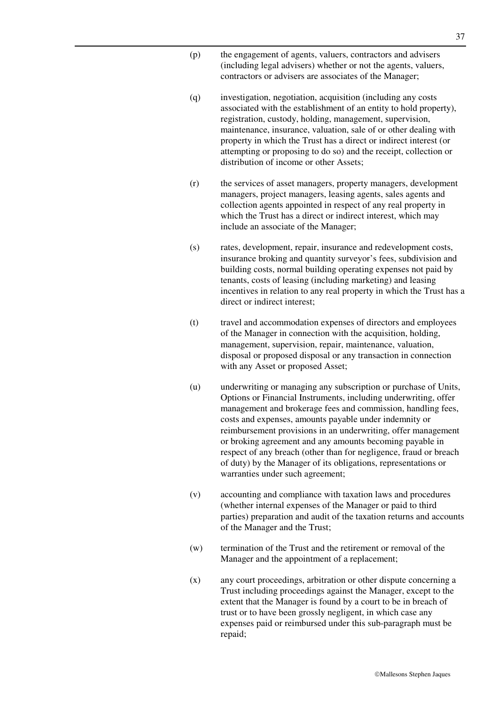- (p) the engagement of agents, valuers, contractors and advisers (including legal advisers) whether or not the agents, valuers, contractors or advisers are associates of the Manager;
- (q) investigation, negotiation, acquisition (including any costs associated with the establishment of an entity to hold property), registration, custody, holding, management, supervision, maintenance, insurance, valuation, sale of or other dealing with property in which the Trust has a direct or indirect interest (or attempting or proposing to do so) and the receipt, collection or distribution of income or other Assets;
- (r) the services of asset managers, property managers, development managers, project managers, leasing agents, sales agents and collection agents appointed in respect of any real property in which the Trust has a direct or indirect interest, which may include an associate of the Manager;
- (s) rates, development, repair, insurance and redevelopment costs, insurance broking and quantity surveyor's fees, subdivision and building costs, normal building operating expenses not paid by tenants, costs of leasing (including marketing) and leasing incentives in relation to any real property in which the Trust has a direct or indirect interest;
- (t) travel and accommodation expenses of directors and employees of the Manager in connection with the acquisition, holding, management, supervision, repair, maintenance, valuation, disposal or proposed disposal or any transaction in connection with any Asset or proposed Asset;
- (u) underwriting or managing any subscription or purchase of Units, Options or Financial Instruments, including underwriting, offer management and brokerage fees and commission, handling fees, costs and expenses, amounts payable under indemnity or reimbursement provisions in an underwriting, offer management or broking agreement and any amounts becoming payable in respect of any breach (other than for negligence, fraud or breach of duty) by the Manager of its obligations, representations or warranties under such agreement;
- (v) accounting and compliance with taxation laws and procedures (whether internal expenses of the Manager or paid to third parties) preparation and audit of the taxation returns and accounts of the Manager and the Trust;
- (w) termination of the Trust and the retirement or removal of the Manager and the appointment of a replacement;
- (x) any court proceedings, arbitration or other dispute concerning a Trust including proceedings against the Manager, except to the extent that the Manager is found by a court to be in breach of trust or to have been grossly negligent, in which case any expenses paid or reimbursed under this sub-paragraph must be repaid;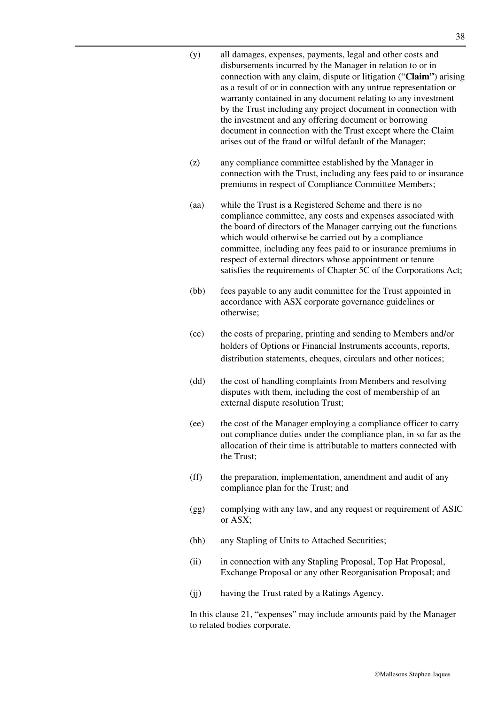| (y) | all damages, expenses, payments, legal and other costs and         |
|-----|--------------------------------------------------------------------|
|     | disbursements incurred by the Manager in relation to or in         |
|     | connection with any claim, dispute or litigation ("Claim") arising |
|     | as a result of or in connection with any untrue representation or  |
|     | warranty contained in any document relating to any investment      |
|     | by the Trust including any project document in connection with     |
|     | the investment and any offering document or borrowing              |
|     | document in connection with the Trust except where the Claim       |
|     | arises out of the fraud or wilful default of the Manager;          |

- (z) any compliance committee established by the Manager in connection with the Trust, including any fees paid to or insurance premiums in respect of Compliance Committee Members;
- (aa) while the Trust is a Registered Scheme and there is no compliance committee, any costs and expenses associated with the board of directors of the Manager carrying out the functions which would otherwise be carried out by a compliance committee, including any fees paid to or insurance premiums in respect of external directors whose appointment or tenure satisfies the requirements of Chapter 5C of the Corporations Act;
- (bb) fees payable to any audit committee for the Trust appointed in accordance with ASX corporate governance guidelines or otherwise;
- (cc) the costs of preparing, printing and sending to Members and/or holders of Options or Financial Instruments accounts, reports, distribution statements, cheques, circulars and other notices;
- (dd) the cost of handling complaints from Members and resolving disputes with them, including the cost of membership of an external dispute resolution Trust;
- (ee) the cost of the Manager employing a compliance officer to carry out compliance duties under the compliance plan, in so far as the allocation of their time is attributable to matters connected with the Trust;
- (ff) the preparation, implementation, amendment and audit of any compliance plan for the Trust; and
- (gg) complying with any law, and any request or requirement of ASIC or ASX;
- (hh) any Stapling of Units to Attached Securities;
- (ii) in connection with any Stapling Proposal, Top Hat Proposal, Exchange Proposal or any other Reorganisation Proposal; and
- (jj) having the Trust rated by a Ratings Agency.

In this clause 21, "expenses" may include amounts paid by the Manager to related bodies corporate.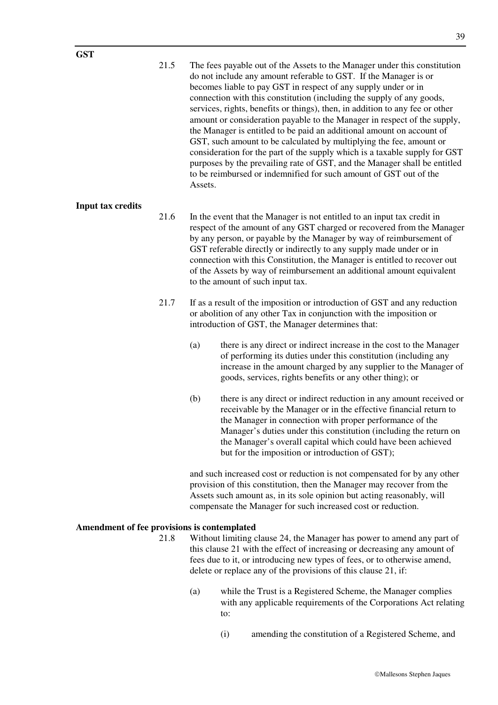21.5 The fees payable out of the Assets to the Manager under this constitution do not include any amount referable to GST. If the Manager is or becomes liable to pay GST in respect of any supply under or in connection with this constitution (including the supply of any goods, services, rights, benefits or things), then, in addition to any fee or other amount or consideration payable to the Manager in respect of the supply, the Manager is entitled to be paid an additional amount on account of GST, such amount to be calculated by multiplying the fee, amount or consideration for the part of the supply which is a taxable supply for GST purposes by the prevailing rate of GST, and the Manager shall be entitled to be reimbursed or indemnified for such amount of GST out of the Assets.

#### **Input tax credits**

- 21.6 In the event that the Manager is not entitled to an input tax credit in respect of the amount of any GST charged or recovered from the Manager by any person, or payable by the Manager by way of reimbursement of GST referable directly or indirectly to any supply made under or in connection with this Constitution, the Manager is entitled to recover out of the Assets by way of reimbursement an additional amount equivalent to the amount of such input tax.
- 21.7 If as a result of the imposition or introduction of GST and any reduction or abolition of any other Tax in conjunction with the imposition or introduction of GST, the Manager determines that:
	- (a) there is any direct or indirect increase in the cost to the Manager of performing its duties under this constitution (including any increase in the amount charged by any supplier to the Manager of goods, services, rights benefits or any other thing); or
	- (b) there is any direct or indirect reduction in any amount received or receivable by the Manager or in the effective financial return to the Manager in connection with proper performance of the Manager's duties under this constitution (including the return on the Manager's overall capital which could have been achieved but for the imposition or introduction of GST);

and such increased cost or reduction is not compensated for by any other provision of this constitution, then the Manager may recover from the Assets such amount as, in its sole opinion but acting reasonably, will compensate the Manager for such increased cost or reduction.

#### **Amendment of fee provisions is contemplated**

- 21.8 Without limiting clause 24, the Manager has power to amend any part of this clause 21 with the effect of increasing or decreasing any amount of fees due to it, or introducing new types of fees, or to otherwise amend, delete or replace any of the provisions of this clause 21, if:
	- (a) while the Trust is a Registered Scheme, the Manager complies with any applicable requirements of the Corporations Act relating to:
		- (i) amending the constitution of a Registered Scheme, and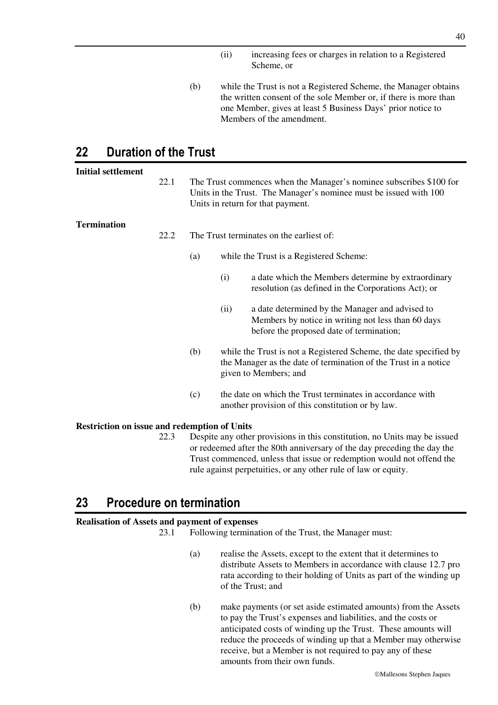- (ii) increasing fees or charges in relation to a Registered Scheme, or
- (b) while the Trust is not a Registered Scheme, the Manager obtains the written consent of the sole Member or, if there is more than one Member, gives at least 5 Business Days' prior notice to Members of the amendment.

## **22 Duration of the Trust**

| <b>Initial settlement</b>                           |      |     |                                                                                                                                                                               |
|-----------------------------------------------------|------|-----|-------------------------------------------------------------------------------------------------------------------------------------------------------------------------------|
|                                                     | 22.1 |     | The Trust commences when the Manager's nominee subscribes \$100 for<br>Units in the Trust. The Manager's nominee must be issued with 100<br>Units in return for that payment. |
| <b>Termination</b>                                  |      |     |                                                                                                                                                                               |
|                                                     | 22.2 |     | The Trust terminates on the earliest of:                                                                                                                                      |
|                                                     |      | (a) | while the Trust is a Registered Scheme:                                                                                                                                       |
|                                                     |      |     | a date which the Members determine by extraordinary<br>(i)<br>resolution (as defined in the Corporations Act); or                                                             |
|                                                     |      |     | a date determined by the Manager and advised to<br>(ii)<br>Members by notice in writing not less than 60 days<br>before the proposed date of termination;                     |
|                                                     |      | (b) | while the Trust is not a Registered Scheme, the date specified by<br>the Manager as the date of termination of the Trust in a notice<br>given to Members; and                 |
|                                                     |      | (c) | the date on which the Trust terminates in accordance with<br>another provision of this constitution or by law.                                                                |
| <b>Restriction on issue and redemption of Units</b> |      |     |                                                                                                                                                                               |
|                                                     | 22.3 |     | Despite any other provisions in this constitution, no Units may be issued<br>or redeemed after the 80th anniversary of the day preceding the day the                          |

or redeemed after the 80th anniversary of the day preceding the day the Trust commenced, unless that issue or redemption would not offend the rule against perpetuities, or any other rule of law or equity.

## **23 Procedure on termination**

### **Realisation of Assets and payment of expenses**

23.1 Following termination of the Trust, the Manager must:

- (a) realise the Assets, except to the extent that it determines to distribute Assets to Members in accordance with clause 12.7 pro rata according to their holding of Units as part of the winding up of the Trust; and
- (b) make payments (or set aside estimated amounts) from the Assets to pay the Trust's expenses and liabilities, and the costs or anticipated costs of winding up the Trust. These amounts will reduce the proceeds of winding up that a Member may otherwise receive, but a Member is not required to pay any of these amounts from their own funds.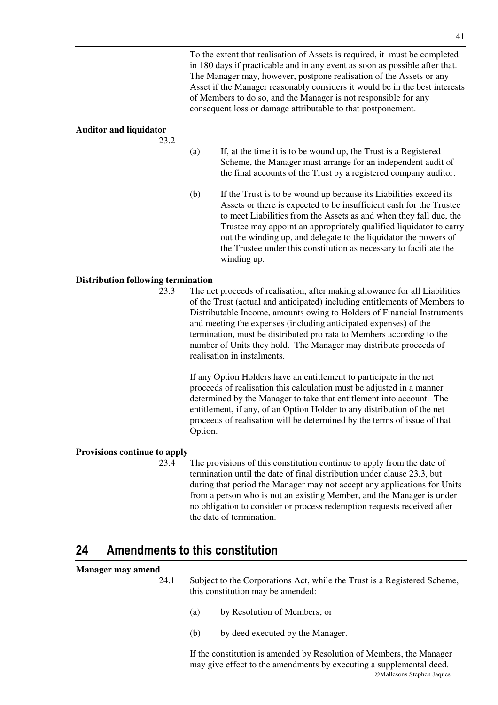To the extent that realisation of Assets is required, it must be completed in 180 days if practicable and in any event as soon as possible after that. The Manager may, however, postpone realisation of the Assets or any Asset if the Manager reasonably considers it would be in the best interests of Members to do so, and the Manager is not responsible for any consequent loss or damage attributable to that postponement.

### **Auditor and liquidator**

23.2

- (a) If, at the time it is to be wound up, the Trust is a Registered Scheme, the Manager must arrange for an independent audit of the final accounts of the Trust by a registered company auditor.
	- (b) If the Trust is to be wound up because its Liabilities exceed its Assets or there is expected to be insufficient cash for the Trustee to meet Liabilities from the Assets as and when they fall due, the Trustee may appoint an appropriately qualified liquidator to carry out the winding up, and delegate to the liquidator the powers of the Trustee under this constitution as necessary to facilitate the winding up.

### **Distribution following termination**

23.3 The net proceeds of realisation, after making allowance for all Liabilities of the Trust (actual and anticipated) including entitlements of Members to Distributable Income, amounts owing to Holders of Financial Instruments and meeting the expenses (including anticipated expenses) of the termination, must be distributed pro rata to Members according to the number of Units they hold. The Manager may distribute proceeds of realisation in instalments.

If any Option Holders have an entitlement to participate in the net proceeds of realisation this calculation must be adjusted in a manner determined by the Manager to take that entitlement into account. The entitlement, if any, of an Option Holder to any distribution of the net proceeds of realisation will be determined by the terms of issue of that Option.

### **Provisions continue to apply**

23.4 The provisions of this constitution continue to apply from the date of termination until the date of final distribution under clause 23.3, but during that period the Manager may not accept any applications for Units from a person who is not an existing Member, and the Manager is under no obligation to consider or process redemption requests received after the date of termination.

## **24 Amendments to this constitution**

#### **Manager may amend**

24.1 Subject to the Corporations Act, while the Trust is a Registered Scheme, this constitution may be amended:

- (a) by Resolution of Members; or
- (b) by deed executed by the Manager.

Mallesons Stephen Jaques If the constitution is amended by Resolution of Members, the Manager may give effect to the amendments by executing a supplemental deed.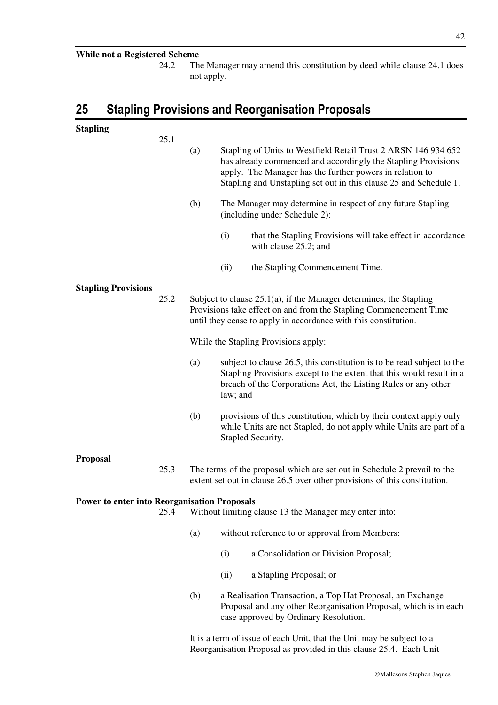### **While not a Registered Scheme**

24.2 The Manager may amend this constitution by deed while clause 24.1 does not apply.

# **25 Stapling Provisions and Reorganisation Proposals**

| <b>Stapling</b>                                     |      |                                                                                                                                             |                                                                                                                                                                                                                                                                  |  |
|-----------------------------------------------------|------|---------------------------------------------------------------------------------------------------------------------------------------------|------------------------------------------------------------------------------------------------------------------------------------------------------------------------------------------------------------------------------------------------------------------|--|
|                                                     | 25.1 | (a)                                                                                                                                         | Stapling of Units to Westfield Retail Trust 2 ARSN 146 934 652<br>has already commenced and accordingly the Stapling Provisions<br>apply. The Manager has the further powers in relation to<br>Stapling and Unstapling set out in this clause 25 and Schedule 1. |  |
|                                                     |      | (b)                                                                                                                                         | The Manager may determine in respect of any future Stapling<br>(including under Schedule 2):                                                                                                                                                                     |  |
|                                                     |      |                                                                                                                                             | (i)<br>that the Stapling Provisions will take effect in accordance<br>with clause 25.2; and                                                                                                                                                                      |  |
|                                                     |      |                                                                                                                                             | (ii)<br>the Stapling Commencement Time.                                                                                                                                                                                                                          |  |
| <b>Stapling Provisions</b>                          |      |                                                                                                                                             |                                                                                                                                                                                                                                                                  |  |
|                                                     | 25.2 |                                                                                                                                             | Subject to clause $25.1(a)$ , if the Manager determines, the Stapling<br>Provisions take effect on and from the Stapling Commencement Time<br>until they cease to apply in accordance with this constitution.                                                    |  |
|                                                     |      |                                                                                                                                             | While the Stapling Provisions apply:                                                                                                                                                                                                                             |  |
|                                                     |      | (a)                                                                                                                                         | subject to clause 26.5, this constitution is to be read subject to the<br>Stapling Provisions except to the extent that this would result in a<br>breach of the Corporations Act, the Listing Rules or any other<br>law; and                                     |  |
|                                                     |      | (b)                                                                                                                                         | provisions of this constitution, which by their context apply only<br>while Units are not Stapled, do not apply while Units are part of a<br>Stapled Security.                                                                                                   |  |
| <b>Proposal</b>                                     |      |                                                                                                                                             |                                                                                                                                                                                                                                                                  |  |
|                                                     | 25.3 |                                                                                                                                             | The terms of the proposal which are set out in Schedule 2 prevail to the<br>extent set out in clause 26.5 over other provisions of this constitution.                                                                                                            |  |
| <b>Power to enter into Reorganisation Proposals</b> |      |                                                                                                                                             |                                                                                                                                                                                                                                                                  |  |
|                                                     | 25.4 |                                                                                                                                             | Without limiting clause 13 the Manager may enter into:                                                                                                                                                                                                           |  |
|                                                     |      | (a)                                                                                                                                         | without reference to or approval from Members:                                                                                                                                                                                                                   |  |
|                                                     |      |                                                                                                                                             | a Consolidation or Division Proposal;<br>(i)                                                                                                                                                                                                                     |  |
|                                                     |      |                                                                                                                                             | a Stapling Proposal; or<br>(ii)                                                                                                                                                                                                                                  |  |
|                                                     |      | (b)                                                                                                                                         | a Realisation Transaction, a Top Hat Proposal, an Exchange<br>Proposal and any other Reorganisation Proposal, which is in each<br>case approved by Ordinary Resolution.                                                                                          |  |
|                                                     |      | It is a term of issue of each Unit, that the Unit may be subject to a<br>Reorganisation Proposal as provided in this clause 25.4. Each Unit |                                                                                                                                                                                                                                                                  |  |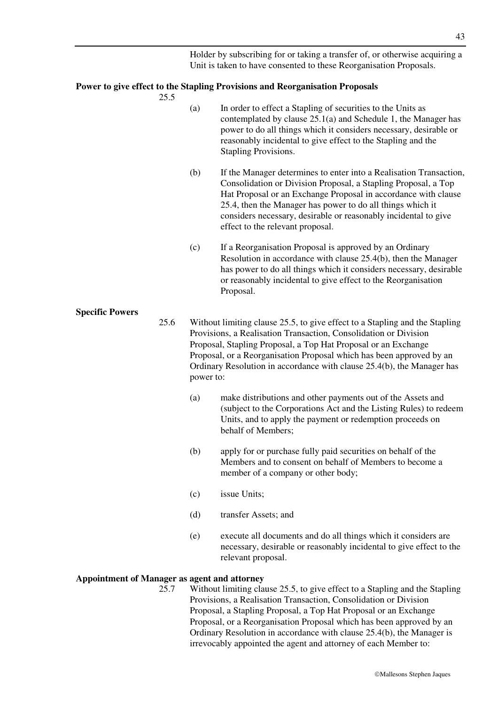Holder by subscribing for or taking a transfer of, or otherwise acquiring a Unit is taken to have consented to these Reorganisation Proposals.

### **Power to give effect to the Stapling Provisions and Reorganisation Proposals**

25.5

- (a) In order to effect a Stapling of securities to the Units as contemplated by clause 25.1(a) and Schedule 1, the Manager has power to do all things which it considers necessary, desirable or reasonably incidental to give effect to the Stapling and the Stapling Provisions.
- (b) If the Manager determines to enter into a Realisation Transaction, Consolidation or Division Proposal, a Stapling Proposal, a Top Hat Proposal or an Exchange Proposal in accordance with clause 25.4, then the Manager has power to do all things which it considers necessary, desirable or reasonably incidental to give effect to the relevant proposal.
- (c) If a Reorganisation Proposal is approved by an Ordinary Resolution in accordance with clause 25.4(b), then the Manager has power to do all things which it considers necessary, desirable or reasonably incidental to give effect to the Reorganisation Proposal.

#### **Specific Powers**

- 25.6 Without limiting clause 25.5, to give effect to a Stapling and the Stapling Provisions, a Realisation Transaction, Consolidation or Division Proposal, Stapling Proposal, a Top Hat Proposal or an Exchange Proposal, or a Reorganisation Proposal which has been approved by an Ordinary Resolution in accordance with clause 25.4(b), the Manager has power to:
	- (a) make distributions and other payments out of the Assets and (subject to the Corporations Act and the Listing Rules) to redeem Units, and to apply the payment or redemption proceeds on behalf of Members;
	- (b) apply for or purchase fully paid securities on behalf of the Members and to consent on behalf of Members to become a member of a company or other body;
	- (c) issue Units;
	- (d) transfer Assets; and
	- (e) execute all documents and do all things which it considers are necessary, desirable or reasonably incidental to give effect to the relevant proposal.

#### **Appointment of Manager as agent and attorney**

25.7 Without limiting clause 25.5, to give effect to a Stapling and the Stapling Provisions, a Realisation Transaction, Consolidation or Division Proposal, a Stapling Proposal, a Top Hat Proposal or an Exchange Proposal, or a Reorganisation Proposal which has been approved by an Ordinary Resolution in accordance with clause 25.4(b), the Manager is irrevocably appointed the agent and attorney of each Member to: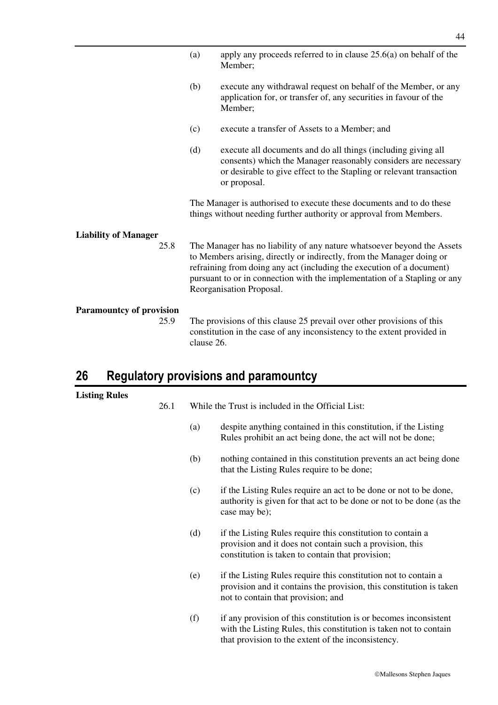|                                 | (a)        | apply any proceeds referred to in clause $25.6(a)$ on behalf of the<br>Member;                                                                                                                                                                                                                                                     |
|---------------------------------|------------|------------------------------------------------------------------------------------------------------------------------------------------------------------------------------------------------------------------------------------------------------------------------------------------------------------------------------------|
|                                 | (b)        | execute any withdrawal request on behalf of the Member, or any<br>application for, or transfer of, any securities in favour of the<br>Member;                                                                                                                                                                                      |
|                                 | (c)        | execute a transfer of Assets to a Member; and                                                                                                                                                                                                                                                                                      |
|                                 | (d)        | execute all documents and do all things (including giving all<br>consents) which the Manager reasonably considers are necessary<br>or desirable to give effect to the Stapling or relevant transaction<br>or proposal.                                                                                                             |
|                                 |            | The Manager is authorised to execute these documents and to do these<br>things without needing further authority or approval from Members.                                                                                                                                                                                         |
| <b>Liability of Manager</b>     |            |                                                                                                                                                                                                                                                                                                                                    |
| 25.8                            |            | The Manager has no liability of any nature whatsoever beyond the Assets<br>to Members arising, directly or indirectly, from the Manager doing or<br>refraining from doing any act (including the execution of a document)<br>pursuant to or in connection with the implementation of a Stapling or any<br>Reorganisation Proposal. |
| <b>Paramountcy of provision</b> |            |                                                                                                                                                                                                                                                                                                                                    |
| 25.9                            | clause 26. | The provisions of this clause 25 prevail over other provisions of this<br>constitution in the case of any inconsistency to the extent provided in                                                                                                                                                                                  |

# **26 Regulatory provisions and paramountcy**

# **Listing Rules**

| <b>Rules</b> | 26.1 |     | While the Trust is included in the Official List:                                                                                                                                           |  |  |
|--------------|------|-----|---------------------------------------------------------------------------------------------------------------------------------------------------------------------------------------------|--|--|
|              |      |     |                                                                                                                                                                                             |  |  |
|              |      | (a) | despite anything contained in this constitution, if the Listing<br>Rules prohibit an act being done, the act will not be done;                                                              |  |  |
|              |      | (b) | nothing contained in this constitution prevents an act being done<br>that the Listing Rules require to be done;                                                                             |  |  |
|              |      | (c) | if the Listing Rules require an act to be done or not to be done,<br>authority is given for that act to be done or not to be done (as the<br>case may be);                                  |  |  |
|              |      | (d) | if the Listing Rules require this constitution to contain a<br>provision and it does not contain such a provision, this<br>constitution is taken to contain that provision;                 |  |  |
|              |      | (e) | if the Listing Rules require this constitution not to contain a<br>provision and it contains the provision, this constitution is taken<br>not to contain that provision; and                |  |  |
|              |      | (f) | if any provision of this constitution is or becomes inconsistent<br>with the Listing Rules, this constitution is taken not to contain<br>that provision to the extent of the inconsistency. |  |  |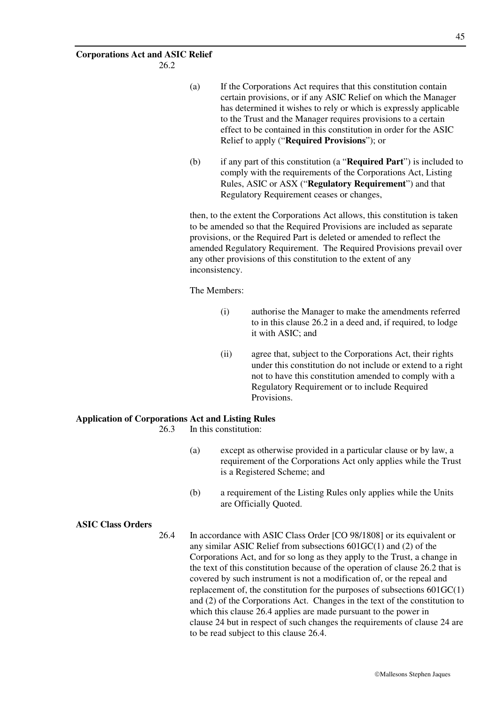26.2

- (a) If the Corporations Act requires that this constitution contain certain provisions, or if any ASIC Relief on which the Manager has determined it wishes to rely or which is expressly applicable to the Trust and the Manager requires provisions to a certain effect to be contained in this constitution in order for the ASIC Relief to apply ("**Required Provisions**"); or
- (b) if any part of this constitution (a "**Required Part**") is included to comply with the requirements of the Corporations Act, Listing Rules, ASIC or ASX ("**Regulatory Requirement**") and that Regulatory Requirement ceases or changes,

then, to the extent the Corporations Act allows, this constitution is taken to be amended so that the Required Provisions are included as separate provisions, or the Required Part is deleted or amended to reflect the amended Regulatory Requirement. The Required Provisions prevail over any other provisions of this constitution to the extent of any inconsistency.

The Members:

- (i) authorise the Manager to make the amendments referred to in this clause 26.2 in a deed and, if required, to lodge it with ASIC; and
- (ii) agree that, subject to the Corporations Act, their rights under this constitution do not include or extend to a right not to have this constitution amended to comply with a Regulatory Requirement or to include Required Provisions.

### **Application of Corporations Act and Listing Rules**

26.3 In this constitution:

- (a) except as otherwise provided in a particular clause or by law, a requirement of the Corporations Act only applies while the Trust is a Registered Scheme; and
- (b) a requirement of the Listing Rules only applies while the Units are Officially Quoted.

#### **ASIC Class Orders**

26.4 In accordance with ASIC Class Order [CO 98/1808] or its equivalent or any similar ASIC Relief from subsections 601GC(1) and (2) of the Corporations Act, and for so long as they apply to the Trust, a change in the text of this constitution because of the operation of clause 26.2 that is covered by such instrument is not a modification of, or the repeal and replacement of, the constitution for the purposes of subsections  $601 \text{GC}(1)$ and (2) of the Corporations Act. Changes in the text of the constitution to which this clause 26.4 applies are made pursuant to the power in clause 24 but in respect of such changes the requirements of clause 24 are to be read subject to this clause 26.4.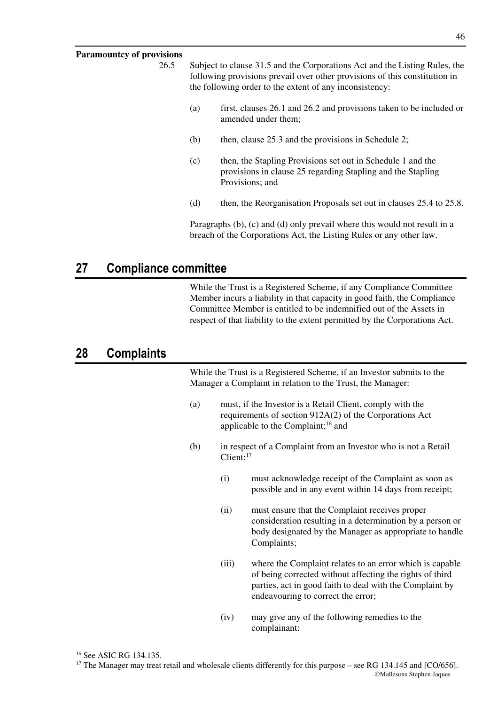## **Paramountoy of provisions**

| і аганічніку чі ргоўімніз |     |                                                                                                                                                                                                                     |
|---------------------------|-----|---------------------------------------------------------------------------------------------------------------------------------------------------------------------------------------------------------------------|
| 26.5                      |     | Subject to clause 31.5 and the Corporations Act and the Listing Rules, the<br>following provisions prevail over other provisions of this constitution in<br>the following order to the extent of any inconsistency: |
|                           | (a) | first, clauses 26.1 and 26.2 and provisions taken to be included or<br>amended under them;                                                                                                                          |
|                           | (b) | then, clause 25.3 and the provisions in Schedule 2;                                                                                                                                                                 |
|                           | (c) | then, the Stapling Provisions set out in Schedule 1 and the<br>provisions in clause 25 regarding Stapling and the Stapling<br>Provisions; and                                                                       |
|                           | (d) | then, the Reorganisation Proposals set out in clauses 25.4 to 25.8.                                                                                                                                                 |
|                           |     | Paragraphs $(b)$ , $(c)$ and $(d)$ only prevail where this would not result in a<br>breach of the Corporations Act, the Listing Rules or any other law.                                                             |

## **27 Compliance committee**

While the Trust is a Registered Scheme, if any Compliance Committee Member incurs a liability in that capacity in good faith, the Compliance Committee Member is entitled to be indemnified out of the Assets in respect of that liability to the extent permitted by the Corporations Act.

## **28 Complaints**

While the Trust is a Registered Scheme, if an Investor submits to the Manager a Complaint in relation to the Trust, the Manager:

- (a) must, if the Investor is a Retail Client, comply with the requirements of section 912A(2) of the Corporations Act applicable to the Complaint;<sup>16</sup> and
- (b) in respect of a Complaint from an Investor who is not a Retail Client:<sup>17</sup>
	- (i) must acknowledge receipt of the Complaint as soon as possible and in any event within 14 days from receipt;
	- (ii) must ensure that the Complaint receives proper consideration resulting in a determination by a person or body designated by the Manager as appropriate to handle Complaints;
	- (iii) where the Complaint relates to an error which is capable of being corrected without affecting the rights of third parties, act in good faith to deal with the Complaint by endeavouring to correct the error;
	- (iv) may give any of the following remedies to the complainant:

<u>.</u>

<sup>16</sup> See ASIC RG 134.135.

Mallesons Stephen Jaques  $17$  The Manager may treat retail and wholesale clients differently for this purpose – see RG 134.145 and [CO/656].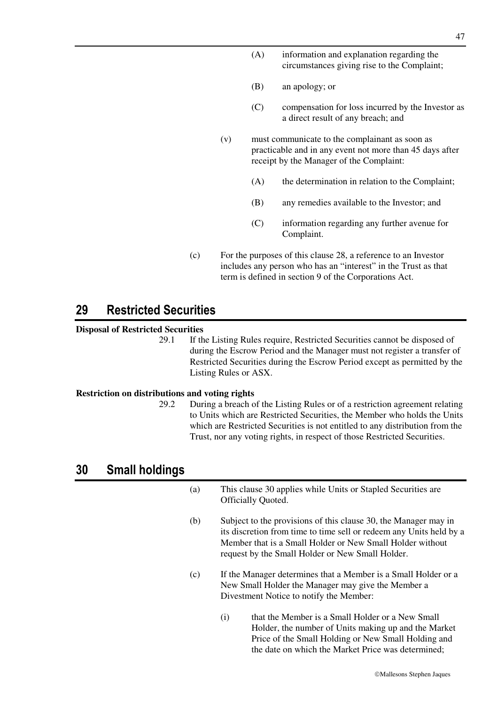- (A) information and explanation regarding the circumstances giving rise to the Complaint;
- (B) an apology; or
- (C) compensation for loss incurred by the Investor as a direct result of any breach; and
- (v) must communicate to the complainant as soon as practicable and in any event not more than 45 days after receipt by the Manager of the Complaint:
	- (A) the determination in relation to the Complaint;
	- (B) any remedies available to the Investor; and
	- (C) information regarding any further avenue for Complaint.
- (c) For the purposes of this clause 28, a reference to an Investor includes any person who has an "interest" in the Trust as that term is defined in section 9 of the Corporations Act.

## **29 Restricted Securities**

#### **Disposal of Restricted Securities**

29.1 If the Listing Rules require, Restricted Securities cannot be disposed of during the Escrow Period and the Manager must not register a transfer of Restricted Securities during the Escrow Period except as permitted by the Listing Rules or ASX.

#### **Restriction on distributions and voting rights**

29.2 During a breach of the Listing Rules or of a restriction agreement relating to Units which are Restricted Securities, the Member who holds the Units which are Restricted Securities is not entitled to any distribution from the Trust, nor any voting rights, in respect of those Restricted Securities.

## **30 Small holdings**

(a) This clause 30 applies while Units or Stapled Securities are Officially Quoted. (b) Subject to the provisions of this clause 30, the Manager may in its discretion from time to time sell or redeem any Units held by a Member that is a Small Holder or New Small Holder without request by the Small Holder or New Small Holder. (c) If the Manager determines that a Member is a Small Holder or a New Small Holder the Manager may give the Member a

Divestment Notice to notify the Member:

(i) that the Member is a Small Holder or a New Small Holder, the number of Units making up and the Market Price of the Small Holding or New Small Holding and the date on which the Market Price was determined;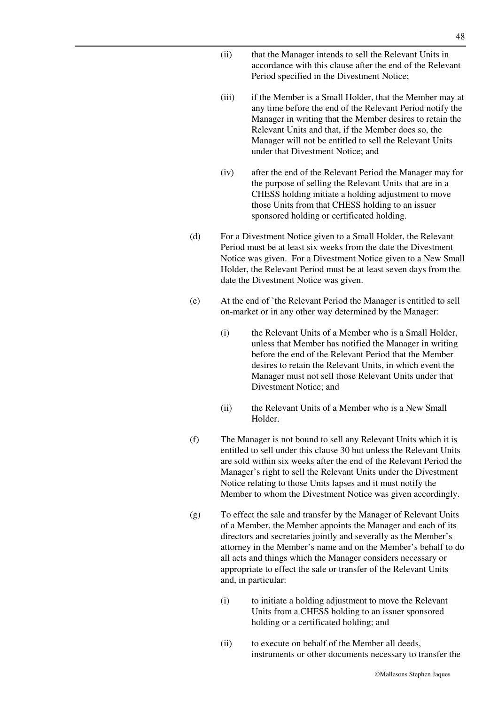- (ii) that the Manager intends to sell the Relevant Units in accordance with this clause after the end of the Relevant Period specified in the Divestment Notice;
- (iii) if the Member is a Small Holder, that the Member may at any time before the end of the Relevant Period notify the Manager in writing that the Member desires to retain the Relevant Units and that, if the Member does so, the Manager will not be entitled to sell the Relevant Units under that Divestment Notice; and
- (iv) after the end of the Relevant Period the Manager may for the purpose of selling the Relevant Units that are in a CHESS holding initiate a holding adjustment to move those Units from that CHESS holding to an issuer sponsored holding or certificated holding.
- (d) For a Divestment Notice given to a Small Holder, the Relevant Period must be at least six weeks from the date the Divestment Notice was given. For a Divestment Notice given to a New Small Holder, the Relevant Period must be at least seven days from the date the Divestment Notice was given.
- (e) At the end of `the Relevant Period the Manager is entitled to sell on-market or in any other way determined by the Manager:
	- (i) the Relevant Units of a Member who is a Small Holder, unless that Member has notified the Manager in writing before the end of the Relevant Period that the Member desires to retain the Relevant Units, in which event the Manager must not sell those Relevant Units under that Divestment Notice; and
	- (ii) the Relevant Units of a Member who is a New Small Holder.
- (f) The Manager is not bound to sell any Relevant Units which it is entitled to sell under this clause 30 but unless the Relevant Units are sold within six weeks after the end of the Relevant Period the Manager's right to sell the Relevant Units under the Divestment Notice relating to those Units lapses and it must notify the Member to whom the Divestment Notice was given accordingly.
- (g) To effect the sale and transfer by the Manager of Relevant Units of a Member, the Member appoints the Manager and each of its directors and secretaries jointly and severally as the Member's attorney in the Member's name and on the Member's behalf to do all acts and things which the Manager considers necessary or appropriate to effect the sale or transfer of the Relevant Units and, in particular:
	- (i) to initiate a holding adjustment to move the Relevant Units from a CHESS holding to an issuer sponsored holding or a certificated holding; and
	- (ii) to execute on behalf of the Member all deeds, instruments or other documents necessary to transfer the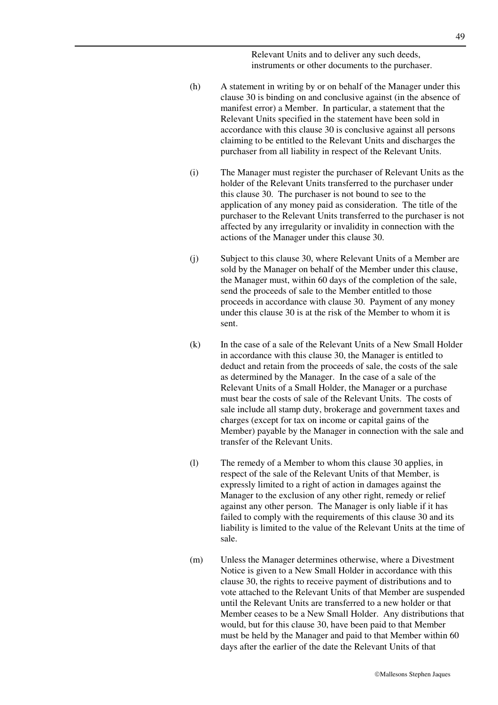Relevant Units and to deliver any such deeds, instruments or other documents to the purchaser.

- (h) A statement in writing by or on behalf of the Manager under this clause 30 is binding on and conclusive against (in the absence of manifest error) a Member. In particular, a statement that the Relevant Units specified in the statement have been sold in accordance with this clause 30 is conclusive against all persons claiming to be entitled to the Relevant Units and discharges the purchaser from all liability in respect of the Relevant Units.
- (i) The Manager must register the purchaser of Relevant Units as the holder of the Relevant Units transferred to the purchaser under this clause 30. The purchaser is not bound to see to the application of any money paid as consideration. The title of the purchaser to the Relevant Units transferred to the purchaser is not affected by any irregularity or invalidity in connection with the actions of the Manager under this clause 30.
- (j) Subject to this clause 30, where Relevant Units of a Member are sold by the Manager on behalf of the Member under this clause, the Manager must, within 60 days of the completion of the sale, send the proceeds of sale to the Member entitled to those proceeds in accordance with clause 30. Payment of any money under this clause 30 is at the risk of the Member to whom it is sent.
- (k) In the case of a sale of the Relevant Units of a New Small Holder in accordance with this clause 30, the Manager is entitled to deduct and retain from the proceeds of sale, the costs of the sale as determined by the Manager. In the case of a sale of the Relevant Units of a Small Holder, the Manager or a purchase must bear the costs of sale of the Relevant Units. The costs of sale include all stamp duty, brokerage and government taxes and charges (except for tax on income or capital gains of the Member) payable by the Manager in connection with the sale and transfer of the Relevant Units.
- (l) The remedy of a Member to whom this clause 30 applies, in respect of the sale of the Relevant Units of that Member, is expressly limited to a right of action in damages against the Manager to the exclusion of any other right, remedy or relief against any other person. The Manager is only liable if it has failed to comply with the requirements of this clause 30 and its liability is limited to the value of the Relevant Units at the time of sale.
- (m) Unless the Manager determines otherwise, where a Divestment Notice is given to a New Small Holder in accordance with this clause 30, the rights to receive payment of distributions and to vote attached to the Relevant Units of that Member are suspended until the Relevant Units are transferred to a new holder or that Member ceases to be a New Small Holder. Any distributions that would, but for this clause 30, have been paid to that Member must be held by the Manager and paid to that Member within 60 days after the earlier of the date the Relevant Units of that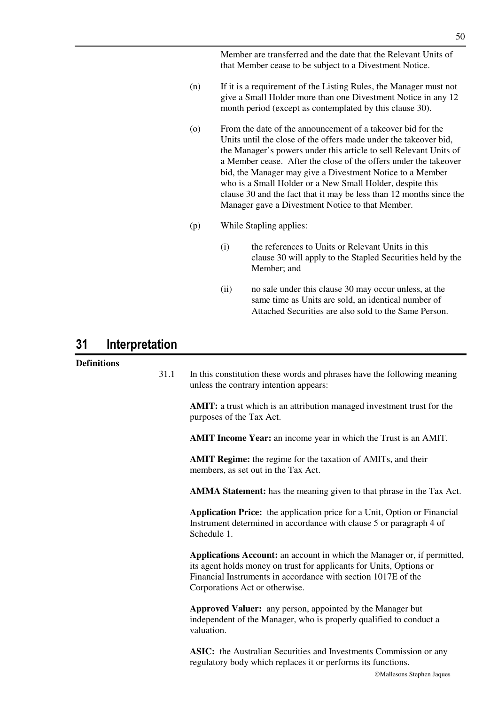Member are transferred and the date that the Relevant Units of that Member cease to be subject to a Divestment Notice.

- (n) If it is a requirement of the Listing Rules, the Manager must not give a Small Holder more than one Divestment Notice in any 12 month period (except as contemplated by this clause 30).
- (o) From the date of the announcement of a takeover bid for the Units until the close of the offers made under the takeover bid, the Manager's powers under this article to sell Relevant Units of a Member cease. After the close of the offers under the takeover bid, the Manager may give a Divestment Notice to a Member who is a Small Holder or a New Small Holder, despite this clause 30 and the fact that it may be less than 12 months since the Manager gave a Divestment Notice to that Member.
- (p) While Stapling applies:
	- (i) the references to Units or Relevant Units in this clause 30 will apply to the Stapled Securities held by the Member; and
	- (ii) no sale under this clause 30 may occur unless, at the same time as Units are sold, an identical number of Attached Securities are also sold to the Same Person.

## **31 Interpretation**

### **Definitions**

| 31.1 | In this constitution these words and phrases have the following meaning<br>unless the contrary intention appears:                                                                                                                                 |
|------|---------------------------------------------------------------------------------------------------------------------------------------------------------------------------------------------------------------------------------------------------|
|      | <b>AMIT:</b> a trust which is an attribution managed investment trust for the<br>purposes of the Tax Act.                                                                                                                                         |
|      | <b>AMIT Income Year:</b> an income year in which the Trust is an AMIT.                                                                                                                                                                            |
|      | <b>AMIT Regime:</b> the regime for the taxation of AMITs, and their<br>members, as set out in the Tax Act.                                                                                                                                        |
|      | <b>AMMA Statement:</b> has the meaning given to that phrase in the Tax Act.                                                                                                                                                                       |
|      | <b>Application Price:</b> the application price for a Unit, Option or Financial<br>Instrument determined in accordance with clause 5 or paragraph 4 of<br>Schedule 1.                                                                             |
|      | Applications Account: an account in which the Manager or, if permitted,<br>its agent holds money on trust for applicants for Units, Options or<br>Financial Instruments in accordance with section 1017E of the<br>Corporations Act or otherwise. |
|      | Approved Valuer: any person, appointed by the Manager but<br>independent of the Manager, who is properly qualified to conduct a<br>valuation.                                                                                                     |
|      | <b>ASIC:</b> the Australian Securities and Investments Commission or any                                                                                                                                                                          |

regulatory body which replaces it or performs its functions.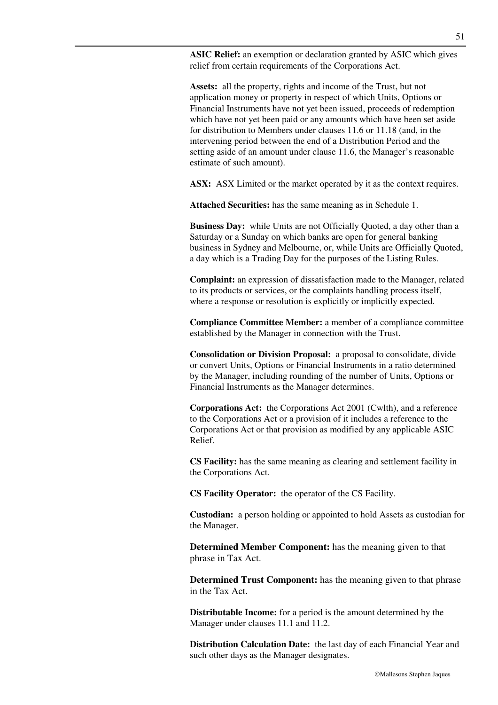**ASIC Relief:** an exemption or declaration granted by ASIC which gives relief from certain requirements of the Corporations Act.

**Assets:** all the property, rights and income of the Trust, but not application money or property in respect of which Units, Options or Financial Instruments have not yet been issued, proceeds of redemption which have not yet been paid or any amounts which have been set aside for distribution to Members under clauses 11.6 or 11.18 (and, in the intervening period between the end of a Distribution Period and the setting aside of an amount under clause 11.6, the Manager's reasonable estimate of such amount).

**ASX:** ASX Limited or the market operated by it as the context requires.

**Attached Securities:** has the same meaning as in Schedule 1.

**Business Day:** while Units are not Officially Quoted, a day other than a Saturday or a Sunday on which banks are open for general banking business in Sydney and Melbourne, or, while Units are Officially Quoted, a day which is a Trading Day for the purposes of the Listing Rules.

**Complaint:** an expression of dissatisfaction made to the Manager, related to its products or services, or the complaints handling process itself, where a response or resolution is explicitly or implicitly expected.

**Compliance Committee Member:** a member of a compliance committee established by the Manager in connection with the Trust.

**Consolidation or Division Proposal:** a proposal to consolidate, divide or convert Units, Options or Financial Instruments in a ratio determined by the Manager, including rounding of the number of Units, Options or Financial Instruments as the Manager determines.

**Corporations Act:** the Corporations Act 2001 (Cwlth), and a reference to the Corporations Act or a provision of it includes a reference to the Corporations Act or that provision as modified by any applicable ASIC Relief.

**CS Facility:** has the same meaning as clearing and settlement facility in the Corporations Act.

**CS Facility Operator:** the operator of the CS Facility.

**Custodian:** a person holding or appointed to hold Assets as custodian for the Manager.

**Determined Member Component:** has the meaning given to that phrase in Tax Act.

**Determined Trust Component:** has the meaning given to that phrase in the Tax Act.

**Distributable Income:** for a period is the amount determined by the Manager under clauses 11.1 and 11.2.

**Distribution Calculation Date:** the last day of each Financial Year and such other days as the Manager designates.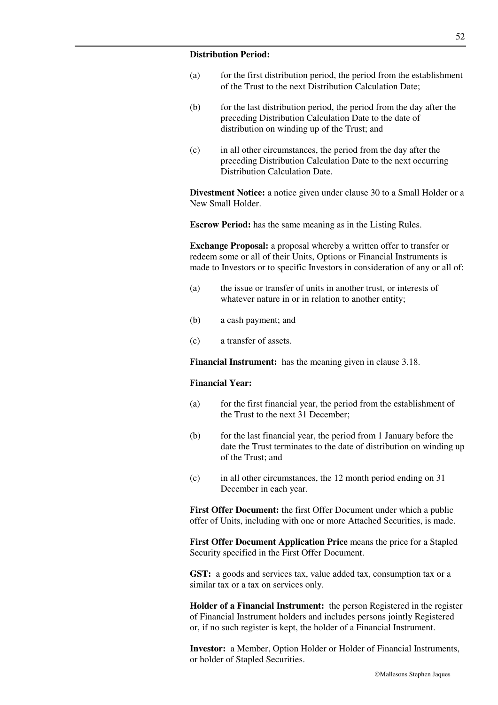#### **Distribution Period:**

- (a) for the first distribution period, the period from the establishment of the Trust to the next Distribution Calculation Date;
- (b) for the last distribution period, the period from the day after the preceding Distribution Calculation Date to the date of distribution on winding up of the Trust; and
- (c) in all other circumstances, the period from the day after the preceding Distribution Calculation Date to the next occurring Distribution Calculation Date.

**Divestment Notice:** a notice given under clause 30 to a Small Holder or a New Small Holder.

**Escrow Period:** has the same meaning as in the Listing Rules.

**Exchange Proposal:** a proposal whereby a written offer to transfer or redeem some or all of their Units, Options or Financial Instruments is made to Investors or to specific Investors in consideration of any or all of:

- (a) the issue or transfer of units in another trust, or interests of whatever nature in or in relation to another entity;
- (b) a cash payment; and
- (c) a transfer of assets.

**Financial Instrument:** has the meaning given in clause 3.18.

#### **Financial Year:**

- (a) for the first financial year, the period from the establishment of the Trust to the next 31 December;
- (b) for the last financial year, the period from 1 January before the date the Trust terminates to the date of distribution on winding up of the Trust; and
- (c) in all other circumstances, the 12 month period ending on 31 December in each year.

**First Offer Document:** the first Offer Document under which a public offer of Units, including with one or more Attached Securities, is made.

**First Offer Document Application Price** means the price for a Stapled Security specified in the First Offer Document.

**GST:** a goods and services tax, value added tax, consumption tax or a similar tax or a tax on services only.

**Holder of a Financial Instrument:** the person Registered in the register of Financial Instrument holders and includes persons jointly Registered or, if no such register is kept, the holder of a Financial Instrument.

**Investor:** a Member, Option Holder or Holder of Financial Instruments, or holder of Stapled Securities.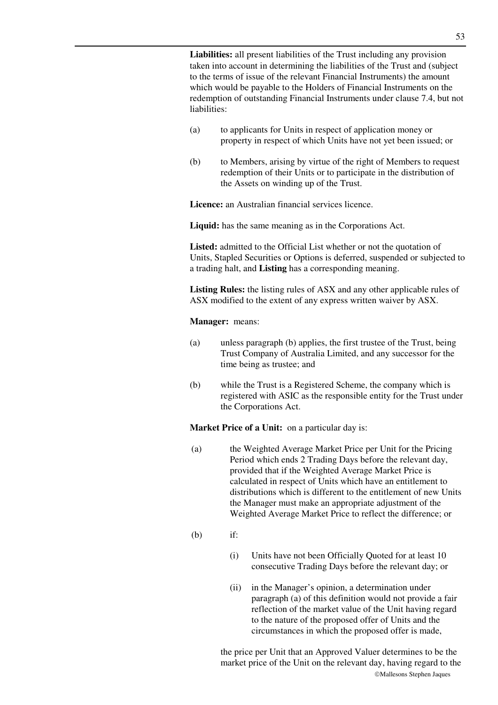**Liabilities:** all present liabilities of the Trust including any provision taken into account in determining the liabilities of the Trust and (subject to the terms of issue of the relevant Financial Instruments) the amount which would be payable to the Holders of Financial Instruments on the redemption of outstanding Financial Instruments under clause 7.4, but not liabilities:

- (a) to applicants for Units in respect of application money or property in respect of which Units have not yet been issued; or
- (b) to Members, arising by virtue of the right of Members to request redemption of their Units or to participate in the distribution of the Assets on winding up of the Trust.

**Licence:** an Australian financial services licence.

**Liquid:** has the same meaning as in the Corporations Act.

**Listed:** admitted to the Official List whether or not the quotation of Units, Stapled Securities or Options is deferred, suspended or subjected to a trading halt, and **Listing** has a corresponding meaning.

**Listing Rules:** the listing rules of ASX and any other applicable rules of ASX modified to the extent of any express written waiver by ASX.

**Manager:** means:

- (a) unless paragraph (b) applies, the first trustee of the Trust, being Trust Company of Australia Limited, and any successor for the time being as trustee; and
- (b) while the Trust is a Registered Scheme, the company which is registered with ASIC as the responsible entity for the Trust under the Corporations Act.

**Market Price of a Unit:** on a particular day is:

- (a) the Weighted Average Market Price per Unit for the Pricing Period which ends 2 Trading Days before the relevant day, provided that if the Weighted Average Market Price is calculated in respect of Units which have an entitlement to distributions which is different to the entitlement of new Units the Manager must make an appropriate adjustment of the Weighted Average Market Price to reflect the difference; or
- (b) if:
	- (i) Units have not been Officially Quoted for at least 10 consecutive Trading Days before the relevant day; or
	- (ii) in the Manager's opinion, a determination under paragraph (a) of this definition would not provide a fair reflection of the market value of the Unit having regard to the nature of the proposed offer of Units and the circumstances in which the proposed offer is made,

Mallesons Stephen Jaques the price per Unit that an Approved Valuer determines to be the market price of the Unit on the relevant day, having regard to the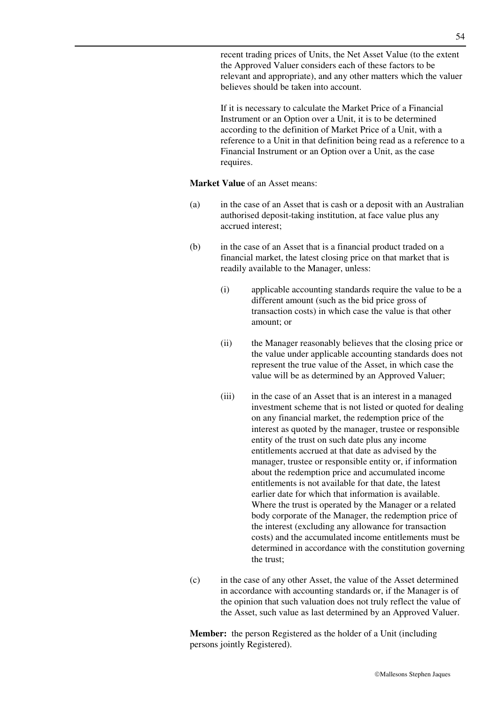recent trading prices of Units, the Net Asset Value (to the extent the Approved Valuer considers each of these factors to be relevant and appropriate), and any other matters which the valuer believes should be taken into account.

If it is necessary to calculate the Market Price of a Financial Instrument or an Option over a Unit, it is to be determined according to the definition of Market Price of a Unit, with a reference to a Unit in that definition being read as a reference to a Financial Instrument or an Option over a Unit, as the case requires.

#### **Market Value** of an Asset means:

- (a) in the case of an Asset that is cash or a deposit with an Australian authorised deposit-taking institution, at face value plus any accrued interest;
- (b) in the case of an Asset that is a financial product traded on a financial market, the latest closing price on that market that is readily available to the Manager, unless:
	- (i) applicable accounting standards require the value to be a different amount (such as the bid price gross of transaction costs) in which case the value is that other amount; or
	- (ii) the Manager reasonably believes that the closing price or the value under applicable accounting standards does not represent the true value of the Asset, in which case the value will be as determined by an Approved Valuer;
	- (iii) in the case of an Asset that is an interest in a managed investment scheme that is not listed or quoted for dealing on any financial market, the redemption price of the interest as quoted by the manager, trustee or responsible entity of the trust on such date plus any income entitlements accrued at that date as advised by the manager, trustee or responsible entity or, if information about the redemption price and accumulated income entitlements is not available for that date, the latest earlier date for which that information is available. Where the trust is operated by the Manager or a related body corporate of the Manager, the redemption price of the interest (excluding any allowance for transaction costs) and the accumulated income entitlements must be determined in accordance with the constitution governing the trust;
- (c) in the case of any other Asset, the value of the Asset determined in accordance with accounting standards or, if the Manager is of the opinion that such valuation does not truly reflect the value of the Asset, such value as last determined by an Approved Valuer.

**Member:** the person Registered as the holder of a Unit (including persons jointly Registered).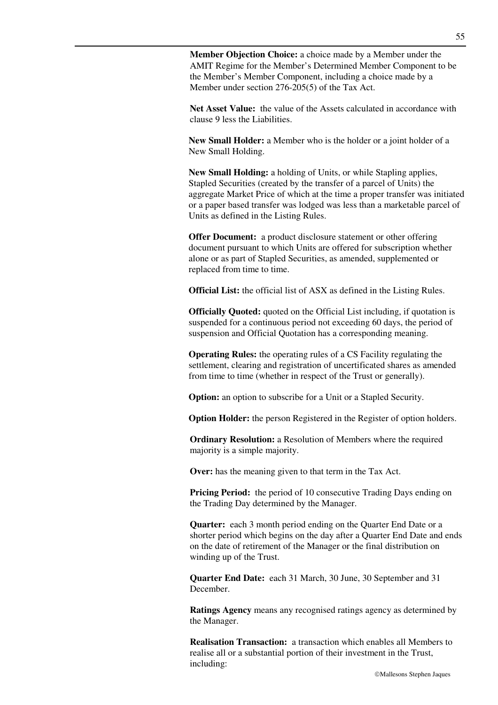**Member Objection Choice:** a choice made by a Member under the AMIT Regime for the Member's Determined Member Component to be the Member's Member Component, including a choice made by a Member under section 276-205(5) of the Tax Act.

**Net Asset Value:** the value of the Assets calculated in accordance with clause 9 less the Liabilities.

**New Small Holder:** a Member who is the holder or a joint holder of a New Small Holding.

**New Small Holding:** a holding of Units, or while Stapling applies, Stapled Securities (created by the transfer of a parcel of Units) the aggregate Market Price of which at the time a proper transfer was initiated or a paper based transfer was lodged was less than a marketable parcel of Units as defined in the Listing Rules.

**Offer Document:** a product disclosure statement or other offering document pursuant to which Units are offered for subscription whether alone or as part of Stapled Securities, as amended, supplemented or replaced from time to time.

**Official List:** the official list of ASX as defined in the Listing Rules.

**Officially Quoted:** quoted on the Official List including, if quotation is suspended for a continuous period not exceeding 60 days, the period of suspension and Official Quotation has a corresponding meaning.

**Operating Rules:** the operating rules of a CS Facility regulating the settlement, clearing and registration of uncertificated shares as amended from time to time (whether in respect of the Trust or generally).

**Option:** an option to subscribe for a Unit or a Stapled Security.

**Option Holder:** the person Registered in the Register of option holders.

**Ordinary Resolution:** a Resolution of Members where the required majority is a simple majority.

**Over:** has the meaning given to that term in the Tax Act.

**Pricing Period:** the period of 10 consecutive Trading Days ending on the Trading Day determined by the Manager.

**Quarter:** each 3 month period ending on the Quarter End Date or a shorter period which begins on the day after a Quarter End Date and ends on the date of retirement of the Manager or the final distribution on winding up of the Trust.

**Quarter End Date:** each 31 March, 30 June, 30 September and 31 December.

**Ratings Agency** means any recognised ratings agency as determined by the Manager.

**Realisation Transaction:** a transaction which enables all Members to realise all or a substantial portion of their investment in the Trust, including: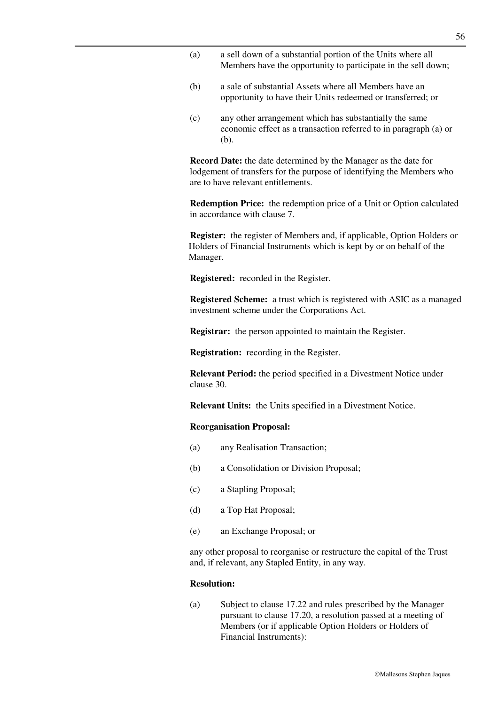- (a) a sell down of a substantial portion of the Units where all Members have the opportunity to participate in the sell down;
- (b) a sale of substantial Assets where all Members have an opportunity to have their Units redeemed or transferred; or
- (c) any other arrangement which has substantially the same economic effect as a transaction referred to in paragraph (a) or (b).

**Record Date:** the date determined by the Manager as the date for lodgement of transfers for the purpose of identifying the Members who are to have relevant entitlements.

**Redemption Price:** the redemption price of a Unit or Option calculated in accordance with clause 7.

**Register:** the register of Members and, if applicable, Option Holders or Holders of Financial Instruments which is kept by or on behalf of the Manager.

**Registered:** recorded in the Register.

**Registered Scheme:** a trust which is registered with ASIC as a managed investment scheme under the Corporations Act.

**Registrar:** the person appointed to maintain the Register.

**Registration:** recording in the Register.

**Relevant Period:** the period specified in a Divestment Notice under clause 30.

**Relevant Units:** the Units specified in a Divestment Notice.

#### **Reorganisation Proposal:**

- (a) any Realisation Transaction;
- (b) a Consolidation or Division Proposal;
- (c) a Stapling Proposal;
- (d) a Top Hat Proposal;
- (e) an Exchange Proposal; or

any other proposal to reorganise or restructure the capital of the Trust and, if relevant, any Stapled Entity, in any way.

### **Resolution:**

(a) Subject to clause 17.22 and rules prescribed by the Manager pursuant to clause 17.20, a resolution passed at a meeting of Members (or if applicable Option Holders or Holders of Financial Instruments):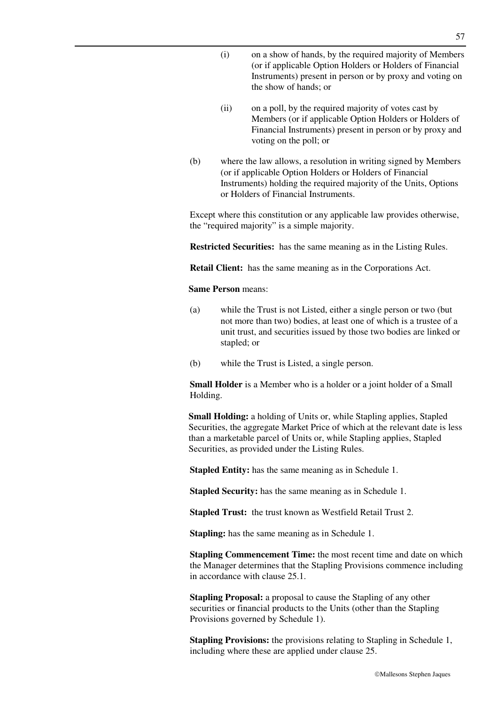- (i) on a show of hands, by the required majority of Members (or if applicable Option Holders or Holders of Financial Instruments) present in person or by proxy and voting on the show of hands; or
- (ii) on a poll, by the required majority of votes cast by Members (or if applicable Option Holders or Holders of Financial Instruments) present in person or by proxy and voting on the poll; or
- (b) where the law allows, a resolution in writing signed by Members (or if applicable Option Holders or Holders of Financial Instruments) holding the required majority of the Units, Options or Holders of Financial Instruments.

Except where this constitution or any applicable law provides otherwise, the "required majority" is a simple majority.

**Restricted Securities:** has the same meaning as in the Listing Rules.

**Retail Client:** has the same meaning as in the Corporations Act.

#### **Same Person** means:

- (a) while the Trust is not Listed, either a single person or two (but not more than two) bodies, at least one of which is a trustee of a unit trust, and securities issued by those two bodies are linked or stapled; or
- (b) while the Trust is Listed, a single person.

**Small Holder** is a Member who is a holder or a joint holder of a Small Holding.

**Small Holding:** a holding of Units or, while Stapling applies, Stapled Securities, the aggregate Market Price of which at the relevant date is less than a marketable parcel of Units or, while Stapling applies, Stapled Securities, as provided under the Listing Rules.

**Stapled Entity:** has the same meaning as in Schedule 1.

**Stapled Security:** has the same meaning as in Schedule 1.

**Stapled Trust:** the trust known as Westfield Retail Trust 2.

**Stapling:** has the same meaning as in Schedule 1.

**Stapling Commencement Time:** the most recent time and date on which the Manager determines that the Stapling Provisions commence including in accordance with clause 25.1.

**Stapling Proposal:** a proposal to cause the Stapling of any other securities or financial products to the Units (other than the Stapling Provisions governed by Schedule 1).

**Stapling Provisions:** the provisions relating to Stapling in Schedule 1, including where these are applied under clause 25.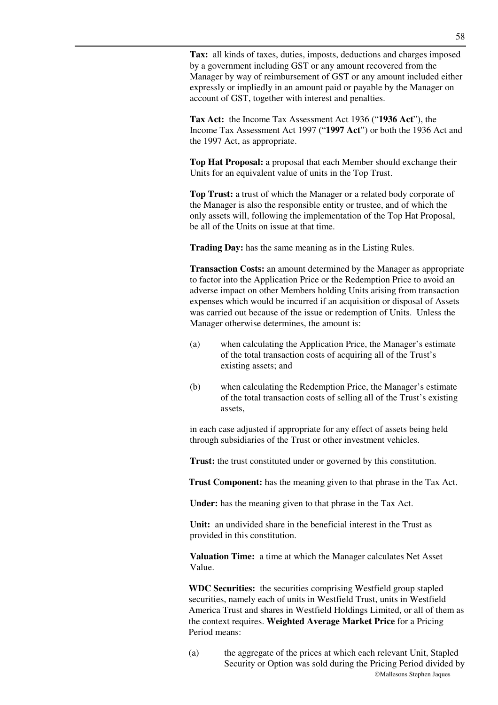**Tax:** all kinds of taxes, duties, imposts, deductions and charges imposed by a government including GST or any amount recovered from the Manager by way of reimbursement of GST or any amount included either expressly or impliedly in an amount paid or payable by the Manager on account of GST, together with interest and penalties.

**Tax Act:** the Income Tax Assessment Act 1936 ("**1936 Act**"), the Income Tax Assessment Act 1997 ("**1997 Act**") or both the 1936 Act and the 1997 Act, as appropriate.

**Top Hat Proposal:** a proposal that each Member should exchange their Units for an equivalent value of units in the Top Trust.

**Top Trust:** a trust of which the Manager or a related body corporate of the Manager is also the responsible entity or trustee, and of which the only assets will, following the implementation of the Top Hat Proposal, be all of the Units on issue at that time.

**Trading Day:** has the same meaning as in the Listing Rules.

**Transaction Costs:** an amount determined by the Manager as appropriate to factor into the Application Price or the Redemption Price to avoid an adverse impact on other Members holding Units arising from transaction expenses which would be incurred if an acquisition or disposal of Assets was carried out because of the issue or redemption of Units. Unless the Manager otherwise determines, the amount is:

- (a) when calculating the Application Price, the Manager's estimate of the total transaction costs of acquiring all of the Trust's existing assets; and
- (b) when calculating the Redemption Price, the Manager's estimate of the total transaction costs of selling all of the Trust's existing assets,

in each case adjusted if appropriate for any effect of assets being held through subsidiaries of the Trust or other investment vehicles.

**Trust:** the trust constituted under or governed by this constitution.

**Trust Component:** has the meaning given to that phrase in the Tax Act.

**Under:** has the meaning given to that phrase in the Tax Act.

**Unit:** an undivided share in the beneficial interest in the Trust as provided in this constitution.

**Valuation Time:** a time at which the Manager calculates Net Asset Value.

**WDC Securities:** the securities comprising Westfield group stapled securities, namely each of units in Westfield Trust, units in Westfield America Trust and shares in Westfield Holdings Limited, or all of them as the context requires. **Weighted Average Market Price** for a Pricing Period means:

Mallesons Stephen Jaques (a) the aggregate of the prices at which each relevant Unit, Stapled Security or Option was sold during the Pricing Period divided by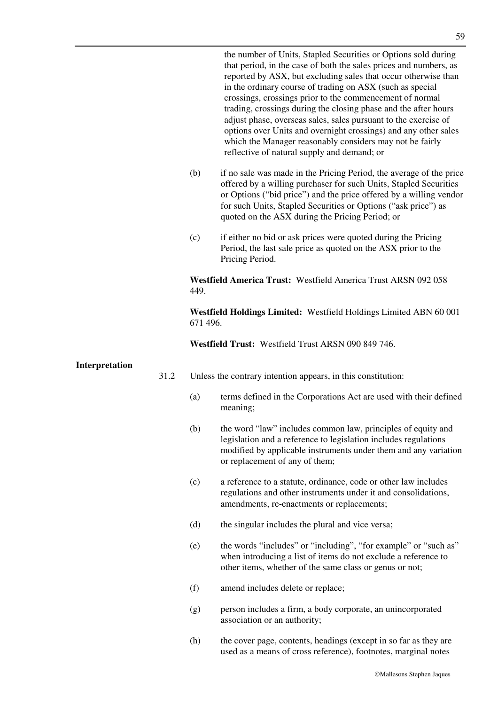the number of Units, Stapled Securities or Options sold during that period, in the case of both the sales prices and numbers, as reported by ASX, but excluding sales that occur otherwise than in the ordinary course of trading on ASX (such as special crossings, crossings prior to the commencement of normal trading, crossings during the closing phase and the after hours adjust phase, overseas sales, sales pursuant to the exercise of options over Units and overnight crossings) and any other sales which the Manager reasonably considers may not be fairly reflective of natural supply and demand; or

- (b) if no sale was made in the Pricing Period, the average of the price offered by a willing purchaser for such Units, Stapled Securities or Options ("bid price") and the price offered by a willing vendor for such Units, Stapled Securities or Options ("ask price") as quoted on the ASX during the Pricing Period; or
- (c) if either no bid or ask prices were quoted during the Pricing Period, the last sale price as quoted on the ASX prior to the Pricing Period.

**Westfield America Trust:** Westfield America Trust ARSN 092 058 449.

**Westfield Holdings Limited:** Westfield Holdings Limited ABN 60 001 671 496.

**Westfield Trust:** Westfield Trust ARSN 090 849 746.

#### **Interpretation**

- 31.2 Unless the contrary intention appears, in this constitution:
	- (a) terms defined in the Corporations Act are used with their defined meaning;
	- (b) the word "law" includes common law, principles of equity and legislation and a reference to legislation includes regulations modified by applicable instruments under them and any variation or replacement of any of them;
	- (c) a reference to a statute, ordinance, code or other law includes regulations and other instruments under it and consolidations, amendments, re-enactments or replacements;
	- (d) the singular includes the plural and vice versa;
	- (e) the words "includes" or "including", "for example" or "such as" when introducing a list of items do not exclude a reference to other items, whether of the same class or genus or not;
	- (f) amend includes delete or replace;
	- (g) person includes a firm, a body corporate, an unincorporated association or an authority;
	- (h) the cover page, contents, headings (except in so far as they are used as a means of cross reference), footnotes, marginal notes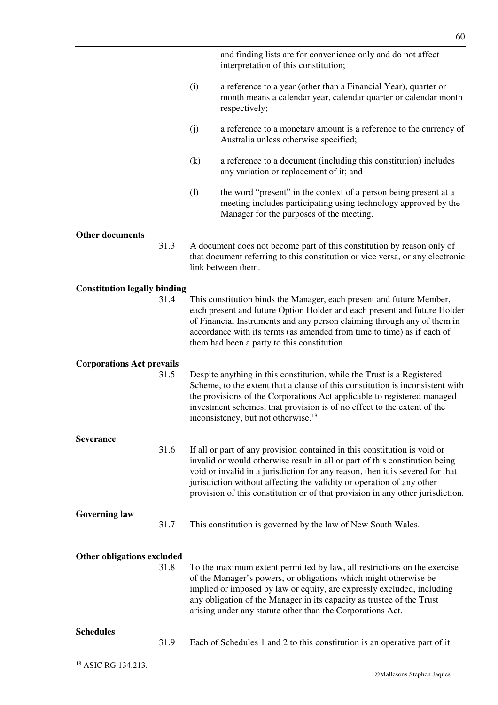|                                     |     | and finding lists are for convenience only and do not affect<br>interpretation of this constitution;                                                                                                                                                                                                                                                                                                 |
|-------------------------------------|-----|------------------------------------------------------------------------------------------------------------------------------------------------------------------------------------------------------------------------------------------------------------------------------------------------------------------------------------------------------------------------------------------------------|
|                                     | (i) | a reference to a year (other than a Financial Year), quarter or<br>month means a calendar year, calendar quarter or calendar month<br>respectively;                                                                                                                                                                                                                                                  |
|                                     | (j) | a reference to a monetary amount is a reference to the currency of<br>Australia unless otherwise specified;                                                                                                                                                                                                                                                                                          |
|                                     | (k) | a reference to a document (including this constitution) includes<br>any variation or replacement of it; and                                                                                                                                                                                                                                                                                          |
|                                     | (1) | the word "present" in the context of a person being present at a<br>meeting includes participating using technology approved by the<br>Manager for the purposes of the meeting.                                                                                                                                                                                                                      |
| <b>Other documents</b>              |     |                                                                                                                                                                                                                                                                                                                                                                                                      |
| 31.3                                |     | A document does not become part of this constitution by reason only of<br>that document referring to this constitution or vice versa, or any electronic<br>link between them.                                                                                                                                                                                                                        |
| <b>Constitution legally binding</b> |     |                                                                                                                                                                                                                                                                                                                                                                                                      |
| 31.4                                |     | This constitution binds the Manager, each present and future Member,<br>each present and future Option Holder and each present and future Holder<br>of Financial Instruments and any person claiming through any of them in<br>accordance with its terms (as amended from time to time) as if each of<br>them had been a party to this constitution.                                                 |
| <b>Corporations Act prevails</b>    |     |                                                                                                                                                                                                                                                                                                                                                                                                      |
| 31.5                                |     | Despite anything in this constitution, while the Trust is a Registered<br>Scheme, to the extent that a clause of this constitution is inconsistent with<br>the provisions of the Corporations Act applicable to registered managed<br>investment schemes, that provision is of no effect to the extent of the<br>inconsistency, but not otherwise. <sup>18</sup>                                     |
| <b>Severance</b>                    |     |                                                                                                                                                                                                                                                                                                                                                                                                      |
| 31.6                                |     | If all or part of any provision contained in this constitution is void or<br>invalid or would otherwise result in all or part of this constitution being<br>void or invalid in a jurisdiction for any reason, then it is severed for that<br>jurisdiction without affecting the validity or operation of any other<br>provision of this constitution or of that provision in any other jurisdiction. |
| <b>Governing law</b><br>31.7        |     | This constitution is governed by the law of New South Wales.                                                                                                                                                                                                                                                                                                                                         |
| <b>Other obligations excluded</b>   |     |                                                                                                                                                                                                                                                                                                                                                                                                      |
| 31.8                                |     | To the maximum extent permitted by law, all restrictions on the exercise<br>of the Manager's powers, or obligations which might otherwise be<br>implied or imposed by law or equity, are expressly excluded, including<br>any obligation of the Manager in its capacity as trustee of the Trust<br>arising under any statute other than the Corporations Act.                                        |
| <b>Schedules</b>                    |     |                                                                                                                                                                                                                                                                                                                                                                                                      |
| 31.9                                |     |                                                                                                                                                                                                                                                                                                                                                                                                      |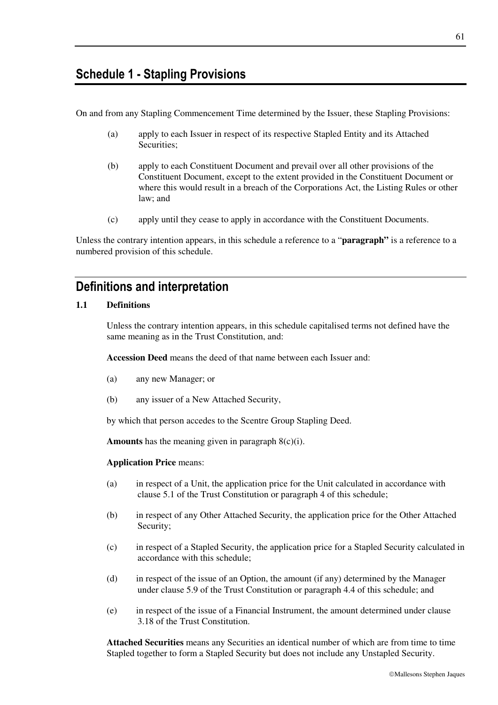## **Schedule 1 - Stapling Provisions**

On and from any Stapling Commencement Time determined by the Issuer, these Stapling Provisions:

- (a) apply to each Issuer in respect of its respective Stapled Entity and its Attached Securities;
- (b) apply to each Constituent Document and prevail over all other provisions of the Constituent Document, except to the extent provided in the Constituent Document or where this would result in a breach of the Corporations Act, the Listing Rules or other law; and
- (c) apply until they cease to apply in accordance with the Constituent Documents.

Unless the contrary intention appears, in this schedule a reference to a "**paragraph"** is a reference to a numbered provision of this schedule.

## **Definitions and interpretation**

#### **1.1 Definitions**

Unless the contrary intention appears, in this schedule capitalised terms not defined have the same meaning as in the Trust Constitution, and:

**Accession Deed** means the deed of that name between each Issuer and:

- (a) any new Manager; or
- (b) any issuer of a New Attached Security,

by which that person accedes to the Scentre Group Stapling Deed.

**Amounts** has the meaning given in paragraph  $8(c)(i)$ .

#### **Application Price** means:

- (a) in respect of a Unit, the application price for the Unit calculated in accordance with clause 5.1 of the Trust Constitution or paragraph 4 of this schedule;
- (b) in respect of any Other Attached Security, the application price for the Other Attached Security;
- (c) in respect of a Stapled Security, the application price for a Stapled Security calculated in accordance with this schedule;
- (d) in respect of the issue of an Option, the amount (if any) determined by the Manager under clause 5.9 of the Trust Constitution or paragraph 4.4 of this schedule; and
- (e) in respect of the issue of a Financial Instrument, the amount determined under clause 3.18 of the Trust Constitution.

**Attached Securities** means any Securities an identical number of which are from time to time Stapled together to form a Stapled Security but does not include any Unstapled Security.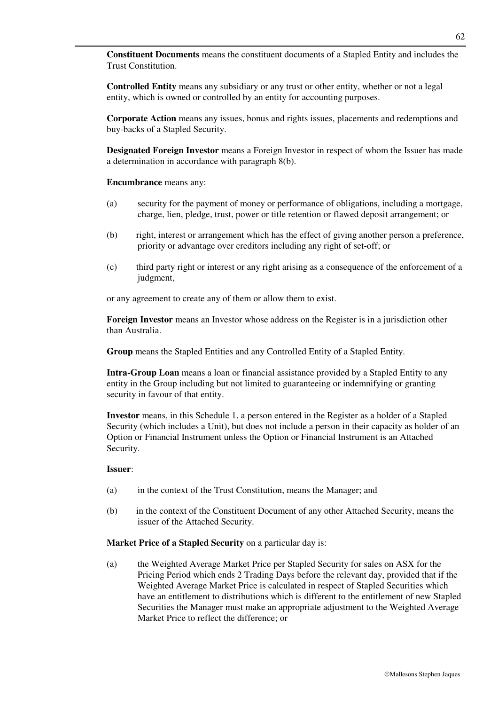**Constituent Documents** means the constituent documents of a Stapled Entity and includes the Trust Constitution.

**Controlled Entity** means any subsidiary or any trust or other entity, whether or not a legal entity, which is owned or controlled by an entity for accounting purposes.

**Corporate Action** means any issues, bonus and rights issues, placements and redemptions and buy-backs of a Stapled Security.

**Designated Foreign Investor** means a Foreign Investor in respect of whom the Issuer has made a determination in accordance with paragraph 8(b).

**Encumbrance** means any:

- (a) security for the payment of money or performance of obligations, including a mortgage, charge, lien, pledge, trust, power or title retention or flawed deposit arrangement; or
- (b) right, interest or arrangement which has the effect of giving another person a preference, priority or advantage over creditors including any right of set-off; or
- (c) third party right or interest or any right arising as a consequence of the enforcement of a judgment,

or any agreement to create any of them or allow them to exist.

**Foreign Investor** means an Investor whose address on the Register is in a jurisdiction other than Australia.

**Group** means the Stapled Entities and any Controlled Entity of a Stapled Entity.

**Intra-Group Loan** means a loan or financial assistance provided by a Stapled Entity to any entity in the Group including but not limited to guaranteeing or indemnifying or granting security in favour of that entity.

**Investor** means, in this Schedule 1, a person entered in the Register as a holder of a Stapled Security (which includes a Unit), but does not include a person in their capacity as holder of an Option or Financial Instrument unless the Option or Financial Instrument is an Attached Security.

#### **Issuer**:

- (a) in the context of the Trust Constitution, means the Manager; and
- (b) in the context of the Constituent Document of any other Attached Security, means the issuer of the Attached Security.

#### **Market Price of a Stapled Security** on a particular day is:

(a) the Weighted Average Market Price per Stapled Security for sales on ASX for the Pricing Period which ends 2 Trading Days before the relevant day, provided that if the Weighted Average Market Price is calculated in respect of Stapled Securities which have an entitlement to distributions which is different to the entitlement of new Stapled Securities the Manager must make an appropriate adjustment to the Weighted Average Market Price to reflect the difference; or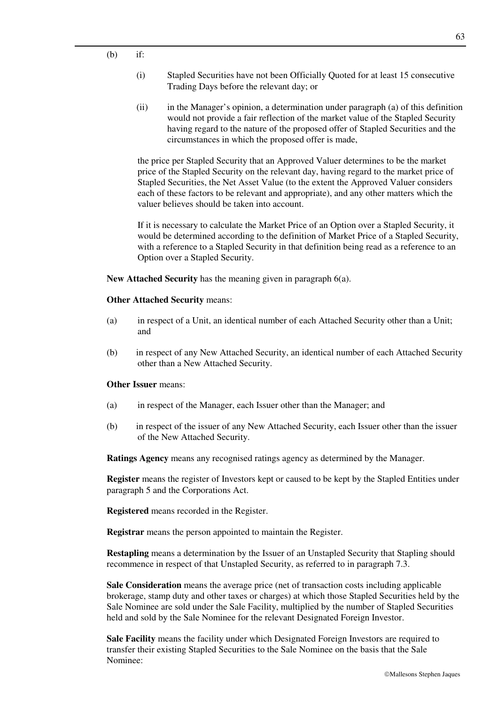- (i) Stapled Securities have not been Officially Quoted for at least 15 consecutive Trading Days before the relevant day; or
- (ii) in the Manager's opinion, a determination under paragraph (a) of this definition would not provide a fair reflection of the market value of the Stapled Security having regard to the nature of the proposed offer of Stapled Securities and the circumstances in which the proposed offer is made,

the price per Stapled Security that an Approved Valuer determines to be the market price of the Stapled Security on the relevant day, having regard to the market price of Stapled Securities, the Net Asset Value (to the extent the Approved Valuer considers each of these factors to be relevant and appropriate), and any other matters which the valuer believes should be taken into account.

If it is necessary to calculate the Market Price of an Option over a Stapled Security, it would be determined according to the definition of Market Price of a Stapled Security, with a reference to a Stapled Security in that definition being read as a reference to an Option over a Stapled Security.

**New Attached Security** has the meaning given in paragraph 6(a).

#### **Other Attached Security** means:

- (a) in respect of a Unit, an identical number of each Attached Security other than a Unit; and
- (b) in respect of any New Attached Security, an identical number of each Attached Security other than a New Attached Security.

### **Other Issuer** means:

- (a) in respect of the Manager, each Issuer other than the Manager; and
- (b) in respect of the issuer of any New Attached Security, each Issuer other than the issuer of the New Attached Security.

**Ratings Agency** means any recognised ratings agency as determined by the Manager.

**Register** means the register of Investors kept or caused to be kept by the Stapled Entities under paragraph 5 and the Corporations Act.

**Registered** means recorded in the Register.

**Registrar** means the person appointed to maintain the Register.

**Restapling** means a determination by the Issuer of an Unstapled Security that Stapling should recommence in respect of that Unstapled Security, as referred to in paragraph 7.3.

**Sale Consideration** means the average price (net of transaction costs including applicable brokerage, stamp duty and other taxes or charges) at which those Stapled Securities held by the Sale Nominee are sold under the Sale Facility, multiplied by the number of Stapled Securities held and sold by the Sale Nominee for the relevant Designated Foreign Investor.

**Sale Facility** means the facility under which Designated Foreign Investors are required to transfer their existing Stapled Securities to the Sale Nominee on the basis that the Sale Nominee: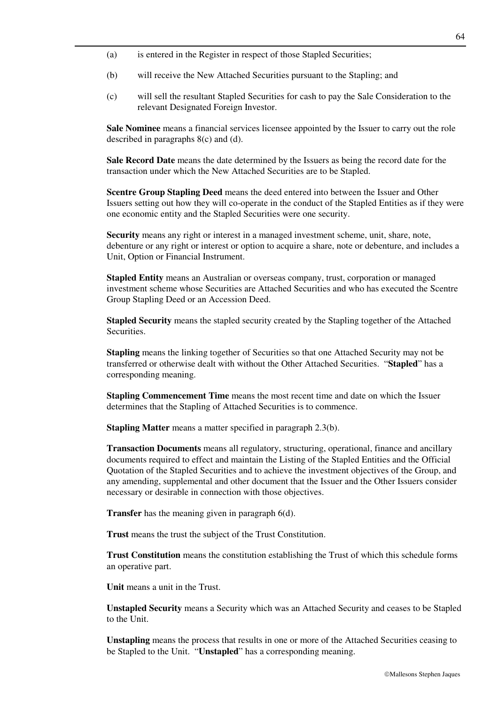- (a) is entered in the Register in respect of those Stapled Securities;
- (b) will receive the New Attached Securities pursuant to the Stapling; and
- (c) will sell the resultant Stapled Securities for cash to pay the Sale Consideration to the relevant Designated Foreign Investor.

**Sale Nominee** means a financial services licensee appointed by the Issuer to carry out the role described in paragraphs 8(c) and (d).

**Sale Record Date** means the date determined by the Issuers as being the record date for the transaction under which the New Attached Securities are to be Stapled.

**Scentre Group Stapling Deed** means the deed entered into between the Issuer and Other Issuers setting out how they will co-operate in the conduct of the Stapled Entities as if they were one economic entity and the Stapled Securities were one security.

**Security** means any right or interest in a managed investment scheme, unit, share, note, debenture or any right or interest or option to acquire a share, note or debenture, and includes a Unit, Option or Financial Instrument.

**Stapled Entity** means an Australian or overseas company, trust, corporation or managed investment scheme whose Securities are Attached Securities and who has executed the Scentre Group Stapling Deed or an Accession Deed.

**Stapled Security** means the stapled security created by the Stapling together of the Attached Securities.

**Stapling** means the linking together of Securities so that one Attached Security may not be transferred or otherwise dealt with without the Other Attached Securities. "**Stapled**" has a corresponding meaning.

**Stapling Commencement Time** means the most recent time and date on which the Issuer determines that the Stapling of Attached Securities is to commence.

**Stapling Matter** means a matter specified in paragraph 2.3(b).

**Transaction Documents** means all regulatory, structuring, operational, finance and ancillary documents required to effect and maintain the Listing of the Stapled Entities and the Official Quotation of the Stapled Securities and to achieve the investment objectives of the Group, and any amending, supplemental and other document that the Issuer and the Other Issuers consider necessary or desirable in connection with those objectives.

**Transfer** has the meaning given in paragraph 6(d).

**Trust** means the trust the subject of the Trust Constitution.

**Trust Constitution** means the constitution establishing the Trust of which this schedule forms an operative part.

**Unit** means a unit in the Trust.

**Unstapled Security** means a Security which was an Attached Security and ceases to be Stapled to the Unit.

**Unstapling** means the process that results in one or more of the Attached Securities ceasing to be Stapled to the Unit. "**Unstapled**" has a corresponding meaning.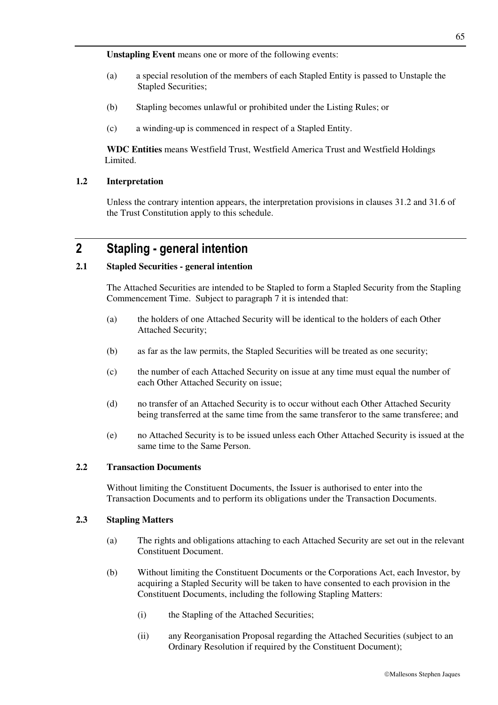**Unstapling Event** means one or more of the following events:

- (a) a special resolution of the members of each Stapled Entity is passed to Unstaple the Stapled Securities;
- (b) Stapling becomes unlawful or prohibited under the Listing Rules; or
- (c) a winding-up is commenced in respect of a Stapled Entity.

**WDC Entities** means Westfield Trust, Westfield America Trust and Westfield Holdings Limited.

## **1.2 Interpretation**

Unless the contrary intention appears, the interpretation provisions in clauses 31.2 and 31.6 of the Trust Constitution apply to this schedule.

## **2 Stapling - general intention**

### **2.1 Stapled Securities - general intention**

The Attached Securities are intended to be Stapled to form a Stapled Security from the Stapling Commencement Time. Subject to paragraph 7 it is intended that:

- (a) the holders of one Attached Security will be identical to the holders of each Other Attached Security;
- (b) as far as the law permits, the Stapled Securities will be treated as one security;
- (c) the number of each Attached Security on issue at any time must equal the number of each Other Attached Security on issue;
- (d) no transfer of an Attached Security is to occur without each Other Attached Security being transferred at the same time from the same transferor to the same transferee; and
- (e) no Attached Security is to be issued unless each Other Attached Security is issued at the same time to the Same Person.

## **2.2 Transaction Documents**

Without limiting the Constituent Documents, the Issuer is authorised to enter into the Transaction Documents and to perform its obligations under the Transaction Documents.

### **2.3 Stapling Matters**

- (a) The rights and obligations attaching to each Attached Security are set out in the relevant Constituent Document.
- (b) Without limiting the Constituent Documents or the Corporations Act, each Investor, by acquiring a Stapled Security will be taken to have consented to each provision in the Constituent Documents, including the following Stapling Matters:
	- (i) the Stapling of the Attached Securities;
	- (ii) any Reorganisation Proposal regarding the Attached Securities (subject to an Ordinary Resolution if required by the Constituent Document);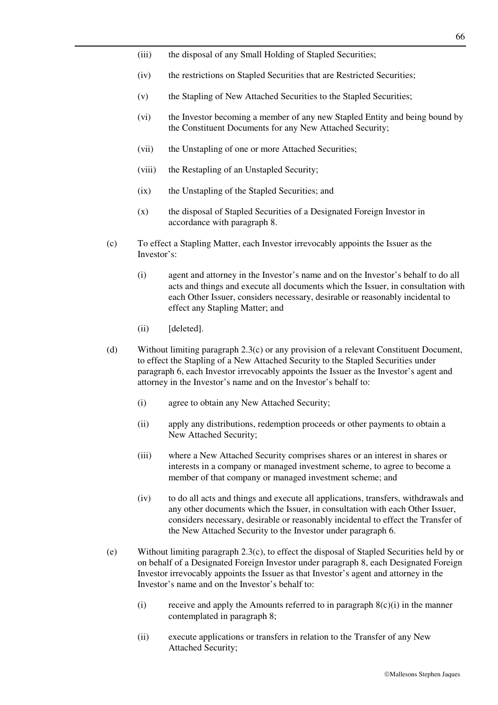- (iii) the disposal of any Small Holding of Stapled Securities;
- (iv) the restrictions on Stapled Securities that are Restricted Securities;
- (v) the Stapling of New Attached Securities to the Stapled Securities;
- (vi) the Investor becoming a member of any new Stapled Entity and being bound by the Constituent Documents for any New Attached Security;
- (vii) the Unstapling of one or more Attached Securities;
- (viii) the Restapling of an Unstapled Security;
- (ix) the Unstapling of the Stapled Securities; and
- (x) the disposal of Stapled Securities of a Designated Foreign Investor in accordance with paragraph 8.
- (c) To effect a Stapling Matter, each Investor irrevocably appoints the Issuer as the Investor's:
	- (i) agent and attorney in the Investor's name and on the Investor's behalf to do all acts and things and execute all documents which the Issuer, in consultation with each Other Issuer, considers necessary, desirable or reasonably incidental to effect any Stapling Matter; and
	- (ii) [deleted].
- (d) Without limiting paragraph 2.3(c) or any provision of a relevant Constituent Document, to effect the Stapling of a New Attached Security to the Stapled Securities under paragraph 6, each Investor irrevocably appoints the Issuer as the Investor's agent and attorney in the Investor's name and on the Investor's behalf to:
	- (i) agree to obtain any New Attached Security;
	- (ii) apply any distributions, redemption proceeds or other payments to obtain a New Attached Security;
	- (iii) where a New Attached Security comprises shares or an interest in shares or interests in a company or managed investment scheme, to agree to become a member of that company or managed investment scheme; and
	- (iv) to do all acts and things and execute all applications, transfers, withdrawals and any other documents which the Issuer, in consultation with each Other Issuer, considers necessary, desirable or reasonably incidental to effect the Transfer of the New Attached Security to the Investor under paragraph 6.
- (e) Without limiting paragraph 2.3(c), to effect the disposal of Stapled Securities held by or on behalf of a Designated Foreign Investor under paragraph 8, each Designated Foreign Investor irrevocably appoints the Issuer as that Investor's agent and attorney in the Investor's name and on the Investor's behalf to:
	- (i) receive and apply the Amounts referred to in paragraph  $8(c)(i)$  in the manner contemplated in paragraph 8;
	- (ii) execute applications or transfers in relation to the Transfer of any New Attached Security;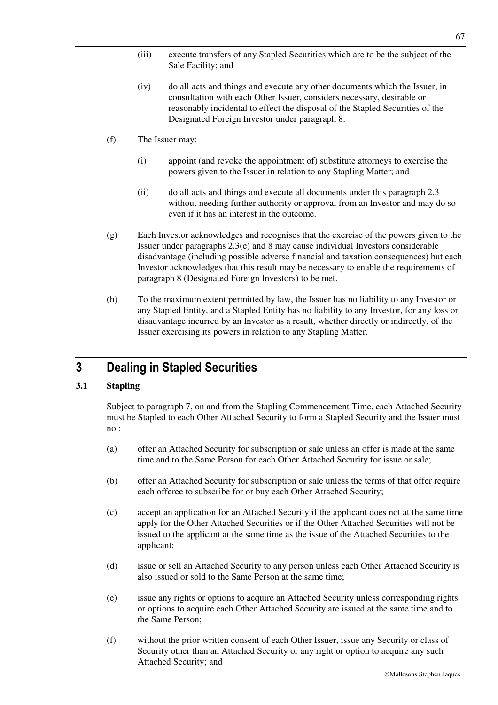- (iii) execute transfers of any Stapled Securities which are to be the subject of the Sale Facility; and
- (iv) do all acts and things and execute any other documents which the Issuer, in consultation with each Other Issuer, considers necessary, desirable or reasonably incidental to effect the disposal of the Stapled Securities of the Designated Foreign Investor under paragraph 8.
- (f) The Issuer may:
	- (i) appoint (and revoke the appointment of) substitute attorneys to exercise the powers given to the Issuer in relation to any Stapling Matter; and
	- (ii) do all acts and things and execute all documents under this paragraph 2.3 without needing further authority or approval from an Investor and may do so even if it has an interest in the outcome.
- (g) Each Investor acknowledges and recognises that the exercise of the powers given to the Issuer under paragraphs 2.3(e) and 8 may cause individual Investors considerable disadvantage (including possible adverse financial and taxation consequences) but each Investor acknowledges that this result may be necessary to enable the requirements of paragraph 8 (Designated Foreign Investors) to be met.
- (h) To the maximum extent permitted by law, the Issuer has no liability to any Investor or any Stapled Entity, and a Stapled Entity has no liability to any Investor, for any loss or disadvantage incurred by an Investor as a result, whether directly or indirectly, of the Issuer exercising its powers in relation to any Stapling Matter.

## **3 Dealing in Stapled Securities**

## **3.1 Stapling**

Subject to paragraph 7, on and from the Stapling Commencement Time, each Attached Security must be Stapled to each Other Attached Security to form a Stapled Security and the Issuer must not:

- (a) offer an Attached Security for subscription or sale unless an offer is made at the same time and to the Same Person for each Other Attached Security for issue or sale;
- (b) offer an Attached Security for subscription or sale unless the terms of that offer require each offeree to subscribe for or buy each Other Attached Security;
- (c) accept an application for an Attached Security if the applicant does not at the same time apply for the Other Attached Securities or if the Other Attached Securities will not be issued to the applicant at the same time as the issue of the Attached Securities to the applicant;
- (d) issue or sell an Attached Security to any person unless each Other Attached Security is also issued or sold to the Same Person at the same time;
- (e) issue any rights or options to acquire an Attached Security unless corresponding rights or options to acquire each Other Attached Security are issued at the same time and to the Same Person;
- (f) without the prior written consent of each Other Issuer, issue any Security or class of Security other than an Attached Security or any right or option to acquire any such Attached Security; and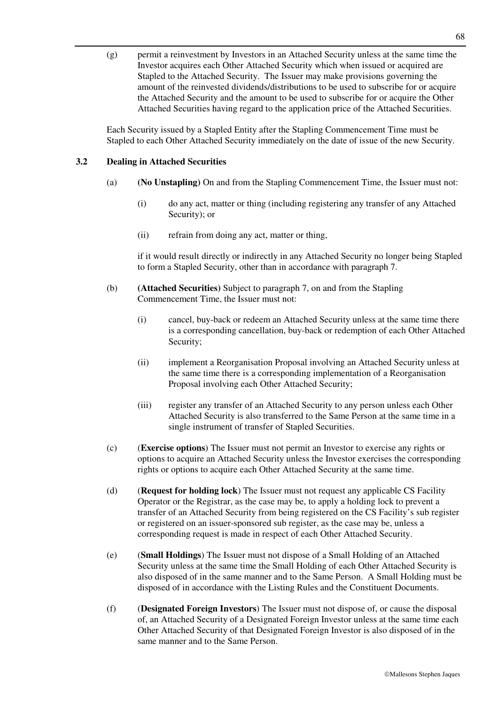(g) permit a reinvestment by Investors in an Attached Security unless at the same time the Investor acquires each Other Attached Security which when issued or acquired are Stapled to the Attached Security. The Issuer may make provisions governing the amount of the reinvested dividends/distributions to be used to subscribe for or acquire the Attached Security and the amount to be used to subscribe for or acquire the Other Attached Securities having regard to the application price of the Attached Securities.

Each Security issued by a Stapled Entity after the Stapling Commencement Time must be Stapled to each Other Attached Security immediately on the date of issue of the new Security.

## **3.2 Dealing in Attached Securities**

- (a) **(No Unstapling)** On and from the Stapling Commencement Time, the Issuer must not:
	- (i) do any act, matter or thing (including registering any transfer of any Attached Security); or
	- (ii) refrain from doing any act, matter or thing,

if it would result directly or indirectly in any Attached Security no longer being Stapled to form a Stapled Security, other than in accordance with paragraph 7.

- (b) **(Attached Securities)** Subject to paragraph 7, on and from the Stapling Commencement Time, the Issuer must not:
	- (i) cancel, buy-back or redeem an Attached Security unless at the same time there is a corresponding cancellation, buy-back or redemption of each Other Attached Security;
	- (ii) implement a Reorganisation Proposal involving an Attached Security unless at the same time there is a corresponding implementation of a Reorganisation Proposal involving each Other Attached Security;
	- (iii) register any transfer of an Attached Security to any person unless each Other Attached Security is also transferred to the Same Person at the same time in a single instrument of transfer of Stapled Securities.
- (c) (**Exercise options**) The Issuer must not permit an Investor to exercise any rights or options to acquire an Attached Security unless the Investor exercises the corresponding rights or options to acquire each Other Attached Security at the same time.
- (d) (**Request for holding lock**) The Issuer must not request any applicable CS Facility Operator or the Registrar, as the case may be, to apply a holding lock to prevent a transfer of an Attached Security from being registered on the CS Facility's sub register or registered on an issuer-sponsored sub register, as the case may be, unless a corresponding request is made in respect of each Other Attached Security.
- (e) (**Small Holdings**) The Issuer must not dispose of a Small Holding of an Attached Security unless at the same time the Small Holding of each Other Attached Security is also disposed of in the same manner and to the Same Person. A Small Holding must be disposed of in accordance with the Listing Rules and the Constituent Documents.
- (f) (**Designated Foreign Investors**) The Issuer must not dispose of, or cause the disposal of, an Attached Security of a Designated Foreign Investor unless at the same time each Other Attached Security of that Designated Foreign Investor is also disposed of in the same manner and to the Same Person.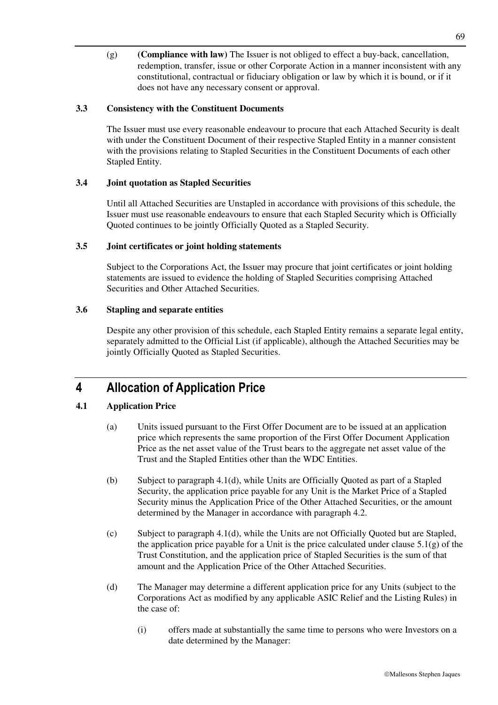(g) **(Compliance with law)** The Issuer is not obliged to effect a buy-back, cancellation, redemption, transfer, issue or other Corporate Action in a manner inconsistent with any constitutional, contractual or fiduciary obligation or law by which it is bound, or if it does not have any necessary consent or approval.

## **3.3 Consistency with the Constituent Documents**

The Issuer must use every reasonable endeavour to procure that each Attached Security is dealt with under the Constituent Document of their respective Stapled Entity in a manner consistent with the provisions relating to Stapled Securities in the Constituent Documents of each other Stapled Entity.

## **3.4 Joint quotation as Stapled Securities**

Until all Attached Securities are Unstapled in accordance with provisions of this schedule, the Issuer must use reasonable endeavours to ensure that each Stapled Security which is Officially Quoted continues to be jointly Officially Quoted as a Stapled Security.

## **3.5 Joint certificates or joint holding statements**

Subject to the Corporations Act, the Issuer may procure that joint certificates or joint holding statements are issued to evidence the holding of Stapled Securities comprising Attached Securities and Other Attached Securities.

## **3.6 Stapling and separate entities**

Despite any other provision of this schedule, each Stapled Entity remains a separate legal entity, separately admitted to the Official List (if applicable), although the Attached Securities may be jointly Officially Quoted as Stapled Securities.

## **4 Allocation of Application Price**

## **4.1 Application Price**

- (a) Units issued pursuant to the First Offer Document are to be issued at an application price which represents the same proportion of the First Offer Document Application Price as the net asset value of the Trust bears to the aggregate net asset value of the Trust and the Stapled Entities other than the WDC Entities.
- (b) Subject to paragraph 4.1(d), while Units are Officially Quoted as part of a Stapled Security, the application price payable for any Unit is the Market Price of a Stapled Security minus the Application Price of the Other Attached Securities, or the amount determined by the Manager in accordance with paragraph 4.2.
- (c) Subject to paragraph 4.1(d), while the Units are not Officially Quoted but are Stapled, the application price payable for a Unit is the price calculated under clause  $5.1(g)$  of the Trust Constitution, and the application price of Stapled Securities is the sum of that amount and the Application Price of the Other Attached Securities.
- (d) The Manager may determine a different application price for any Units (subject to the Corporations Act as modified by any applicable ASIC Relief and the Listing Rules) in the case of:
	- (i) offers made at substantially the same time to persons who were Investors on a date determined by the Manager: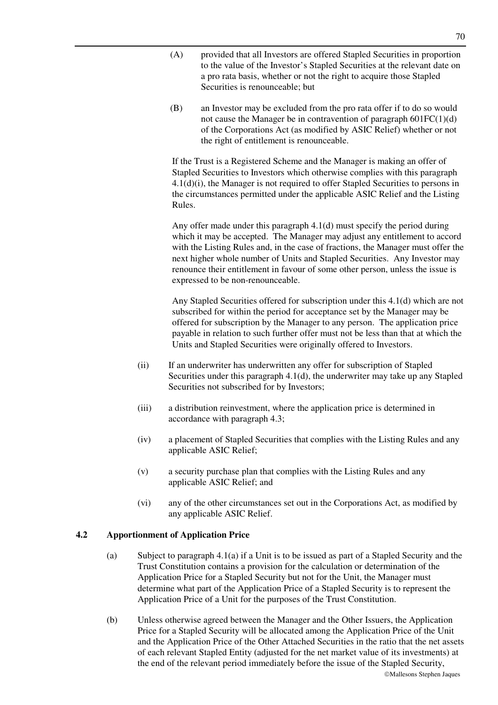- (A) provided that all Investors are offered Stapled Securities in proportion to the value of the Investor's Stapled Securities at the relevant date on a pro rata basis, whether or not the right to acquire those Stapled Securities is renounceable; but
- (B) an Investor may be excluded from the pro rata offer if to do so would not cause the Manager be in contravention of paragraph 601FC(1)(d) of the Corporations Act (as modified by ASIC Relief) whether or not the right of entitlement is renounceable.

If the Trust is a Registered Scheme and the Manager is making an offer of Stapled Securities to Investors which otherwise complies with this paragraph 4.1(d)(i), the Manager is not required to offer Stapled Securities to persons in the circumstances permitted under the applicable ASIC Relief and the Listing Rules.

Any offer made under this paragraph 4.1(d) must specify the period during which it may be accepted. The Manager may adjust any entitlement to accord with the Listing Rules and, in the case of fractions, the Manager must offer the next higher whole number of Units and Stapled Securities. Any Investor may renounce their entitlement in favour of some other person, unless the issue is expressed to be non-renounceable.

Any Stapled Securities offered for subscription under this 4.1(d) which are not subscribed for within the period for acceptance set by the Manager may be offered for subscription by the Manager to any person. The application price payable in relation to such further offer must not be less than that at which the Units and Stapled Securities were originally offered to Investors.

- (ii) If an underwriter has underwritten any offer for subscription of Stapled Securities under this paragraph 4.1(d), the underwriter may take up any Stapled Securities not subscribed for by Investors;
- (iii) a distribution reinvestment, where the application price is determined in accordance with paragraph 4.3;
- (iv) a placement of Stapled Securities that complies with the Listing Rules and any applicable ASIC Relief;
- (v) a security purchase plan that complies with the Listing Rules and any applicable ASIC Relief; and
- (vi) any of the other circumstances set out in the Corporations Act, as modified by any applicable ASIC Relief.

### **4.2 Apportionment of Application Price**

- (a) Subject to paragraph 4.1(a) if a Unit is to be issued as part of a Stapled Security and the Trust Constitution contains a provision for the calculation or determination of the Application Price for a Stapled Security but not for the Unit, the Manager must determine what part of the Application Price of a Stapled Security is to represent the Application Price of a Unit for the purposes of the Trust Constitution.
- (b) Unless otherwise agreed between the Manager and the Other Issuers, the Application Price for a Stapled Security will be allocated among the Application Price of the Unit and the Application Price of the Other Attached Securities in the ratio that the net assets of each relevant Stapled Entity (adjusted for the net market value of its investments) at the end of the relevant period immediately before the issue of the Stapled Security,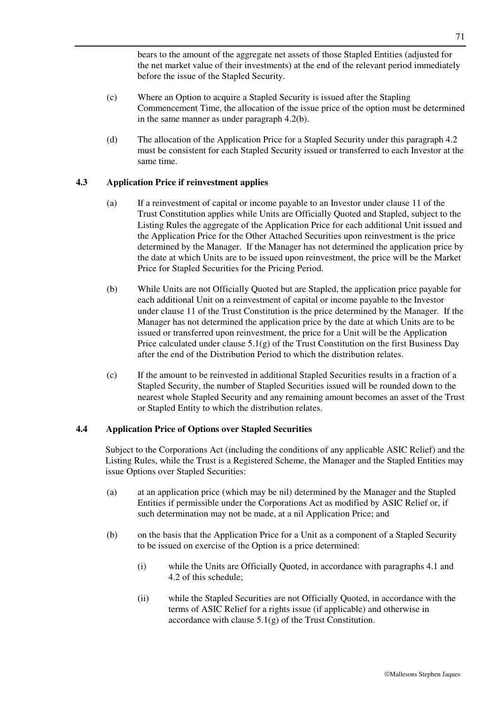bears to the amount of the aggregate net assets of those Stapled Entities (adjusted for the net market value of their investments) at the end of the relevant period immediately before the issue of the Stapled Security.

- (c) Where an Option to acquire a Stapled Security is issued after the Stapling Commencement Time, the allocation of the issue price of the option must be determined in the same manner as under paragraph 4.2(b).
- (d) The allocation of the Application Price for a Stapled Security under this paragraph 4.2 must be consistent for each Stapled Security issued or transferred to each Investor at the same time.

#### **4.3 Application Price if reinvestment applies**

- (a) If a reinvestment of capital or income payable to an Investor under clause 11 of the Trust Constitution applies while Units are Officially Quoted and Stapled, subject to the Listing Rules the aggregate of the Application Price for each additional Unit issued and the Application Price for the Other Attached Securities upon reinvestment is the price determined by the Manager. If the Manager has not determined the application price by the date at which Units are to be issued upon reinvestment, the price will be the Market Price for Stapled Securities for the Pricing Period.
- (b) While Units are not Officially Quoted but are Stapled, the application price payable for each additional Unit on a reinvestment of capital or income payable to the Investor under clause 11 of the Trust Constitution is the price determined by the Manager. If the Manager has not determined the application price by the date at which Units are to be issued or transferred upon reinvestment, the price for a Unit will be the Application Price calculated under clause  $5.1(g)$  of the Trust Constitution on the first Business Day after the end of the Distribution Period to which the distribution relates.
- (c) If the amount to be reinvested in additional Stapled Securities results in a fraction of a Stapled Security, the number of Stapled Securities issued will be rounded down to the nearest whole Stapled Security and any remaining amount becomes an asset of the Trust or Stapled Entity to which the distribution relates.

#### **4.4 Application Price of Options over Stapled Securities**

Subject to the Corporations Act (including the conditions of any applicable ASIC Relief) and the Listing Rules, while the Trust is a Registered Scheme, the Manager and the Stapled Entities may issue Options over Stapled Securities:

- (a) at an application price (which may be nil) determined by the Manager and the Stapled Entities if permissible under the Corporations Act as modified by ASIC Relief or, if such determination may not be made, at a nil Application Price; and
- (b) on the basis that the Application Price for a Unit as a component of a Stapled Security to be issued on exercise of the Option is a price determined:
	- (i) while the Units are Officially Quoted, in accordance with paragraphs 4.1 and 4.2 of this schedule;
	- (ii) while the Stapled Securities are not Officially Quoted, in accordance with the terms of ASIC Relief for a rights issue (if applicable) and otherwise in accordance with clause  $5.1(g)$  of the Trust Constitution.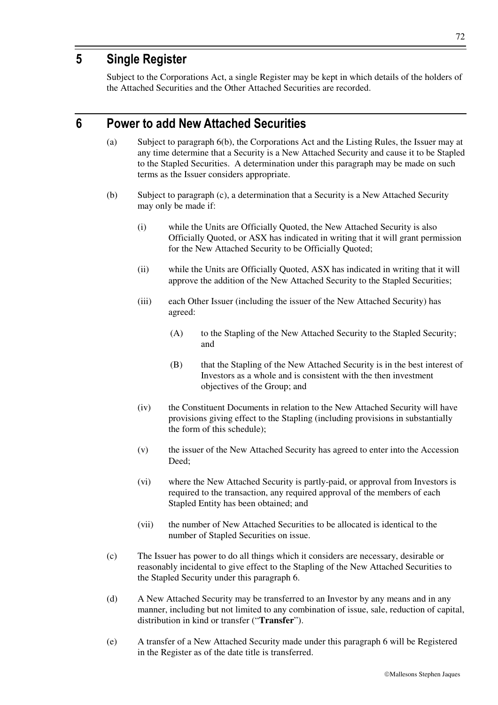# **5 Single Register**

Subject to the Corporations Act, a single Register may be kept in which details of the holders of the Attached Securities and the Other Attached Securities are recorded.

## **6 Power to add New Attached Securities**

- (a) Subject to paragraph 6(b), the Corporations Act and the Listing Rules, the Issuer may at any time determine that a Security is a New Attached Security and cause it to be Stapled to the Stapled Securities. A determination under this paragraph may be made on such terms as the Issuer considers appropriate.
- (b) Subject to paragraph (c), a determination that a Security is a New Attached Security may only be made if:
	- (i) while the Units are Officially Quoted, the New Attached Security is also Officially Quoted, or ASX has indicated in writing that it will grant permission for the New Attached Security to be Officially Quoted;
	- (ii) while the Units are Officially Quoted, ASX has indicated in writing that it will approve the addition of the New Attached Security to the Stapled Securities;
	- (iii) each Other Issuer (including the issuer of the New Attached Security) has agreed:
		- (A) to the Stapling of the New Attached Security to the Stapled Security; and
		- (B) that the Stapling of the New Attached Security is in the best interest of Investors as a whole and is consistent with the then investment objectives of the Group; and
	- (iv) the Constituent Documents in relation to the New Attached Security will have provisions giving effect to the Stapling (including provisions in substantially the form of this schedule);
	- (v) the issuer of the New Attached Security has agreed to enter into the Accession Deed;
	- (vi) where the New Attached Security is partly-paid, or approval from Investors is required to the transaction, any required approval of the members of each Stapled Entity has been obtained; and
	- (vii) the number of New Attached Securities to be allocated is identical to the number of Stapled Securities on issue.
- (c) The Issuer has power to do all things which it considers are necessary, desirable or reasonably incidental to give effect to the Stapling of the New Attached Securities to the Stapled Security under this paragraph 6.
- (d) A New Attached Security may be transferred to an Investor by any means and in any manner, including but not limited to any combination of issue, sale, reduction of capital, distribution in kind or transfer ("**Transfer**").
- (e) A transfer of a New Attached Security made under this paragraph 6 will be Registered in the Register as of the date title is transferred.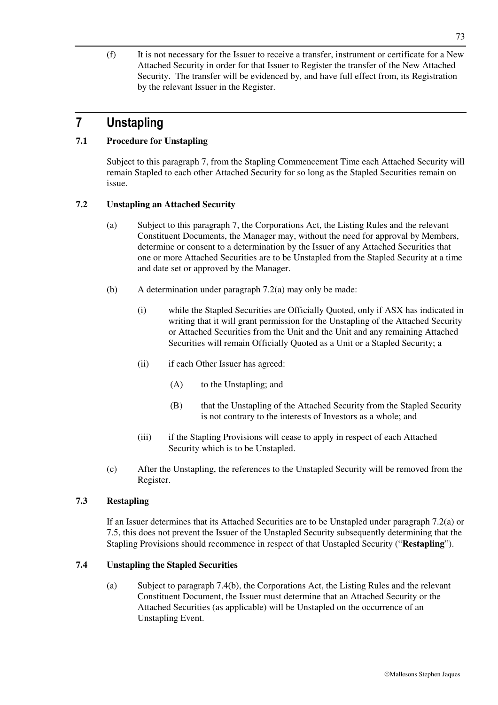(f) It is not necessary for the Issuer to receive a transfer, instrument or certificate for a New Attached Security in order for that Issuer to Register the transfer of the New Attached Security. The transfer will be evidenced by, and have full effect from, its Registration by the relevant Issuer in the Register.

## **7 Unstapling**

### **7.1 Procedure for Unstapling**

Subject to this paragraph 7, from the Stapling Commencement Time each Attached Security will remain Stapled to each other Attached Security for so long as the Stapled Securities remain on issue.

### **7.2 Unstapling an Attached Security**

- (a) Subject to this paragraph 7, the Corporations Act, the Listing Rules and the relevant Constituent Documents, the Manager may, without the need for approval by Members, determine or consent to a determination by the Issuer of any Attached Securities that one or more Attached Securities are to be Unstapled from the Stapled Security at a time and date set or approved by the Manager.
- (b) A determination under paragraph 7.2(a) may only be made:
	- (i) while the Stapled Securities are Officially Quoted, only if ASX has indicated in writing that it will grant permission for the Unstapling of the Attached Security or Attached Securities from the Unit and the Unit and any remaining Attached Securities will remain Officially Quoted as a Unit or a Stapled Security; a
	- (ii) if each Other Issuer has agreed:
		- (A) to the Unstapling; and
		- (B) that the Unstapling of the Attached Security from the Stapled Security is not contrary to the interests of Investors as a whole; and
	- (iii) if the Stapling Provisions will cease to apply in respect of each Attached Security which is to be Unstapled.
- (c) After the Unstapling, the references to the Unstapled Security will be removed from the Register.

#### **7.3 Restapling**

If an Issuer determines that its Attached Securities are to be Unstapled under paragraph 7.2(a) or 7.5, this does not prevent the Issuer of the Unstapled Security subsequently determining that the Stapling Provisions should recommence in respect of that Unstapled Security ("**Restapling**").

#### **7.4 Unstapling the Stapled Securities**

(a) Subject to paragraph 7.4(b), the Corporations Act, the Listing Rules and the relevant Constituent Document, the Issuer must determine that an Attached Security or the Attached Securities (as applicable) will be Unstapled on the occurrence of an Unstapling Event.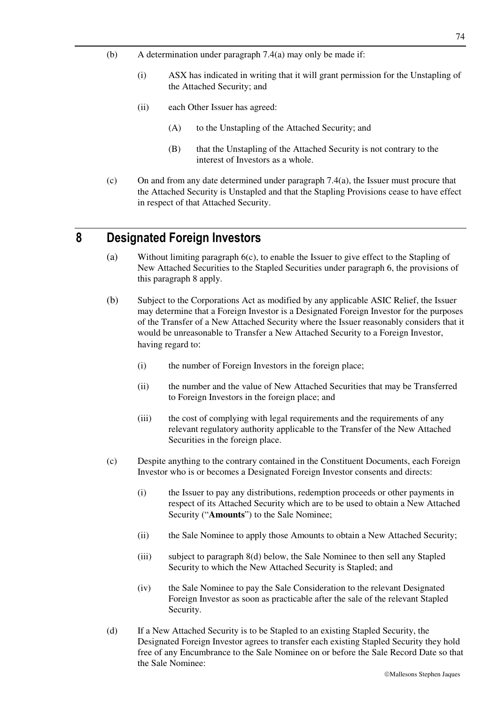- (b) A determination under paragraph 7.4(a) may only be made if:
	- (i) ASX has indicated in writing that it will grant permission for the Unstapling of the Attached Security; and
	- (ii) each Other Issuer has agreed:
		- (A) to the Unstapling of the Attached Security; and
		- (B) that the Unstapling of the Attached Security is not contrary to the interest of Investors as a whole.
- (c) On and from any date determined under paragraph  $7.4(a)$ , the Issuer must procure that the Attached Security is Unstapled and that the Stapling Provisions cease to have effect in respect of that Attached Security.

## **8 Designated Foreign Investors**

- (a) Without limiting paragraph 6(c), to enable the Issuer to give effect to the Stapling of New Attached Securities to the Stapled Securities under paragraph 6, the provisions of this paragraph 8 apply.
- (b) Subject to the Corporations Act as modified by any applicable ASIC Relief, the Issuer may determine that a Foreign Investor is a Designated Foreign Investor for the purposes of the Transfer of a New Attached Security where the Issuer reasonably considers that it would be unreasonable to Transfer a New Attached Security to a Foreign Investor, having regard to:
	- (i) the number of Foreign Investors in the foreign place;
	- (ii) the number and the value of New Attached Securities that may be Transferred to Foreign Investors in the foreign place; and
	- (iii) the cost of complying with legal requirements and the requirements of any relevant regulatory authority applicable to the Transfer of the New Attached Securities in the foreign place.
- (c) Despite anything to the contrary contained in the Constituent Documents, each Foreign Investor who is or becomes a Designated Foreign Investor consents and directs:
	- (i) the Issuer to pay any distributions, redemption proceeds or other payments in respect of its Attached Security which are to be used to obtain a New Attached Security ("**Amounts**") to the Sale Nominee;
	- (ii) the Sale Nominee to apply those Amounts to obtain a New Attached Security;
	- (iii) subject to paragraph 8(d) below, the Sale Nominee to then sell any Stapled Security to which the New Attached Security is Stapled; and
	- (iv) the Sale Nominee to pay the Sale Consideration to the relevant Designated Foreign Investor as soon as practicable after the sale of the relevant Stapled Security.
- (d) If a New Attached Security is to be Stapled to an existing Stapled Security, the Designated Foreign Investor agrees to transfer each existing Stapled Security they hold free of any Encumbrance to the Sale Nominee on or before the Sale Record Date so that the Sale Nominee: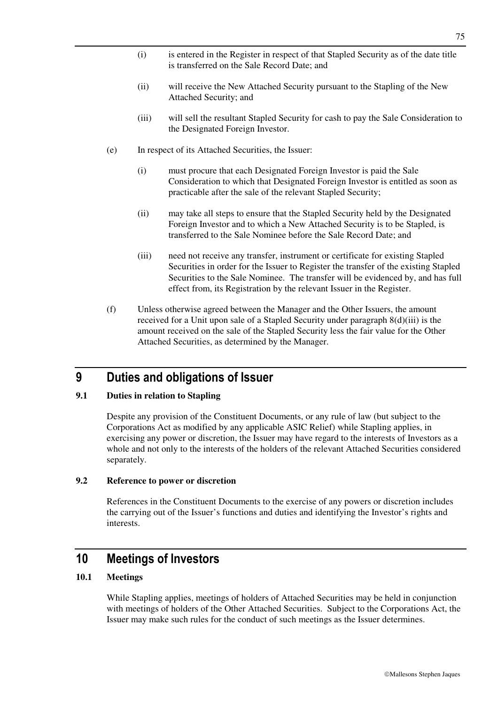- (i) is entered in the Register in respect of that Stapled Security as of the date title is transferred on the Sale Record Date; and
- (ii) will receive the New Attached Security pursuant to the Stapling of the New Attached Security; and
- (iii) will sell the resultant Stapled Security for cash to pay the Sale Consideration to the Designated Foreign Investor.
- (e) In respect of its Attached Securities, the Issuer:
	- (i) must procure that each Designated Foreign Investor is paid the Sale Consideration to which that Designated Foreign Investor is entitled as soon as practicable after the sale of the relevant Stapled Security;
	- (ii) may take all steps to ensure that the Stapled Security held by the Designated Foreign Investor and to which a New Attached Security is to be Stapled, is transferred to the Sale Nominee before the Sale Record Date; and
	- (iii) need not receive any transfer, instrument or certificate for existing Stapled Securities in order for the Issuer to Register the transfer of the existing Stapled Securities to the Sale Nominee. The transfer will be evidenced by, and has full effect from, its Registration by the relevant Issuer in the Register.
- (f) Unless otherwise agreed between the Manager and the Other Issuers, the amount received for a Unit upon sale of a Stapled Security under paragraph 8(d)(iii) is the amount received on the sale of the Stapled Security less the fair value for the Other Attached Securities, as determined by the Manager.

## **9 Duties and obligations of Issuer**

#### **9.1 Duties in relation to Stapling**

Despite any provision of the Constituent Documents, or any rule of law (but subject to the Corporations Act as modified by any applicable ASIC Relief) while Stapling applies, in exercising any power or discretion, the Issuer may have regard to the interests of Investors as a whole and not only to the interests of the holders of the relevant Attached Securities considered separately.

#### **9.2 Reference to power or discretion**

References in the Constituent Documents to the exercise of any powers or discretion includes the carrying out of the Issuer's functions and duties and identifying the Investor's rights and interests.

## **10 Meetings of Investors**

#### **10.1 Meetings**

While Stapling applies, meetings of holders of Attached Securities may be held in conjunction with meetings of holders of the Other Attached Securities. Subject to the Corporations Act, the Issuer may make such rules for the conduct of such meetings as the Issuer determines.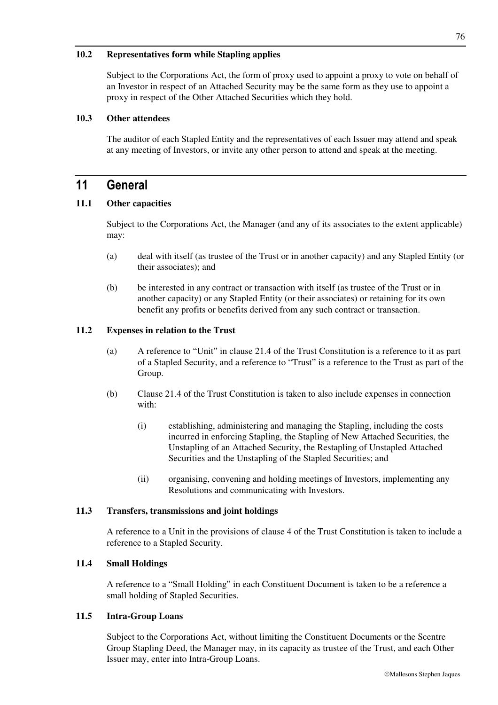#### **10.2 Representatives form while Stapling applies**

Subject to the Corporations Act, the form of proxy used to appoint a proxy to vote on behalf of an Investor in respect of an Attached Security may be the same form as they use to appoint a proxy in respect of the Other Attached Securities which they hold.

#### **10.3 Other attendees**

The auditor of each Stapled Entity and the representatives of each Issuer may attend and speak at any meeting of Investors, or invite any other person to attend and speak at the meeting.

## **11 General**

#### **11.1 Other capacities**

Subject to the Corporations Act, the Manager (and any of its associates to the extent applicable) may:

- (a) deal with itself (as trustee of the Trust or in another capacity) and any Stapled Entity (or their associates); and
- (b) be interested in any contract or transaction with itself (as trustee of the Trust or in another capacity) or any Stapled Entity (or their associates) or retaining for its own benefit any profits or benefits derived from any such contract or transaction.

#### **11.2 Expenses in relation to the Trust**

- (a) A reference to "Unit" in clause 21.4 of the Trust Constitution is a reference to it as part of a Stapled Security, and a reference to "Trust" is a reference to the Trust as part of the Group.
- (b) Clause 21.4 of the Trust Constitution is taken to also include expenses in connection with:
	- (i) establishing, administering and managing the Stapling, including the costs incurred in enforcing Stapling, the Stapling of New Attached Securities, the Unstapling of an Attached Security, the Restapling of Unstapled Attached Securities and the Unstapling of the Stapled Securities; and
	- (ii) organising, convening and holding meetings of Investors, implementing any Resolutions and communicating with Investors.

#### **11.3 Transfers, transmissions and joint holdings**

A reference to a Unit in the provisions of clause 4 of the Trust Constitution is taken to include a reference to a Stapled Security.

#### **11.4 Small Holdings**

A reference to a "Small Holding" in each Constituent Document is taken to be a reference a small holding of Stapled Securities.

#### **11.5 Intra-Group Loans**

Subject to the Corporations Act, without limiting the Constituent Documents or the Scentre Group Stapling Deed, the Manager may, in its capacity as trustee of the Trust, and each Other Issuer may, enter into Intra-Group Loans.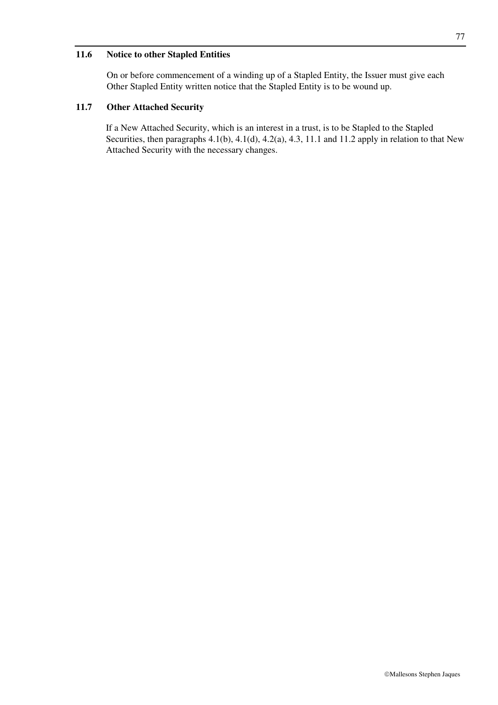#### **11.6 Notice to other Stapled Entities**

On or before commencement of a winding up of a Stapled Entity, the Issuer must give each Other Stapled Entity written notice that the Stapled Entity is to be wound up.

#### **11.7 Other Attached Security**

If a New Attached Security, which is an interest in a trust, is to be Stapled to the Stapled Securities, then paragraphs 4.1(b), 4.1(d), 4.2(a), 4.3, 11.1 and 11.2 apply in relation to that New Attached Security with the necessary changes.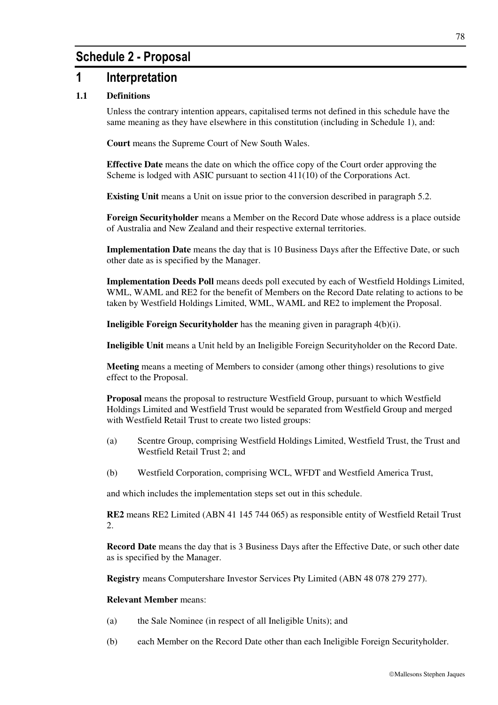## **Schedule 2 - Proposal**

## **1 Interpretation**

### **1.1 Definitions**

Unless the contrary intention appears, capitalised terms not defined in this schedule have the same meaning as they have elsewhere in this constitution (including in Schedule 1), and:

**Court** means the Supreme Court of New South Wales.

**Effective Date** means the date on which the office copy of the Court order approving the Scheme is lodged with ASIC pursuant to section 411(10) of the Corporations Act.

**Existing Unit** means a Unit on issue prior to the conversion described in paragraph 5.2.

**Foreign Securityholder** means a Member on the Record Date whose address is a place outside of Australia and New Zealand and their respective external territories.

**Implementation Date** means the day that is 10 Business Days after the Effective Date, or such other date as is specified by the Manager.

**Implementation Deeds Poll** means deeds poll executed by each of Westfield Holdings Limited, WML, WAML and RE2 for the benefit of Members on the Record Date relating to actions to be taken by Westfield Holdings Limited, WML, WAML and RE2 to implement the Proposal.

**Ineligible Foreign Securityholder** has the meaning given in paragraph 4(b)(i).

**Ineligible Unit** means a Unit held by an Ineligible Foreign Securityholder on the Record Date.

**Meeting** means a meeting of Members to consider (among other things) resolutions to give effect to the Proposal.

**Proposal** means the proposal to restructure Westfield Group, pursuant to which Westfield Holdings Limited and Westfield Trust would be separated from Westfield Group and merged with Westfield Retail Trust to create two listed groups:

- (a) Scentre Group, comprising Westfield Holdings Limited, Westfield Trust, the Trust and Westfield Retail Trust 2; and
- (b) Westfield Corporation, comprising WCL, WFDT and Westfield America Trust,

and which includes the implementation steps set out in this schedule.

**RE2** means RE2 Limited (ABN 41 145 744 065) as responsible entity of Westfield Retail Trust 2.

**Record Date** means the day that is 3 Business Days after the Effective Date, or such other date as is specified by the Manager.

**Registry** means Computershare Investor Services Pty Limited (ABN 48 078 279 277).

#### **Relevant Member** means:

- (a) the Sale Nominee (in respect of all Ineligible Units); and
- (b) each Member on the Record Date other than each Ineligible Foreign Securityholder.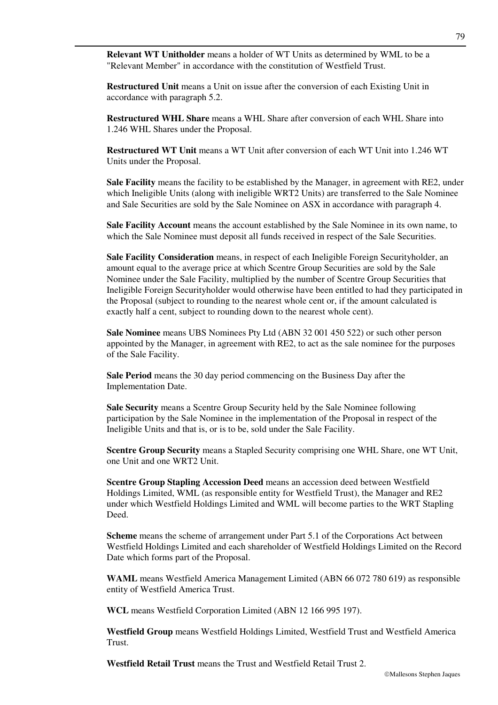**Relevant WT Unitholder** means a holder of WT Units as determined by WML to be a "Relevant Member" in accordance with the constitution of Westfield Trust.

**Restructured Unit** means a Unit on issue after the conversion of each Existing Unit in accordance with paragraph 5.2.

**Restructured WHL Share** means a WHL Share after conversion of each WHL Share into 1.246 WHL Shares under the Proposal.

**Restructured WT Unit** means a WT Unit after conversion of each WT Unit into 1.246 WT Units under the Proposal.

**Sale Facility** means the facility to be established by the Manager, in agreement with RE2, under which Ineligible Units (along with ineligible WRT2 Units) are transferred to the Sale Nominee and Sale Securities are sold by the Sale Nominee on ASX in accordance with paragraph 4.

**Sale Facility Account** means the account established by the Sale Nominee in its own name, to which the Sale Nominee must deposit all funds received in respect of the Sale Securities.

**Sale Facility Consideration** means, in respect of each Ineligible Foreign Securityholder, an amount equal to the average price at which Scentre Group Securities are sold by the Sale Nominee under the Sale Facility, multiplied by the number of Scentre Group Securities that Ineligible Foreign Securityholder would otherwise have been entitled to had they participated in the Proposal (subject to rounding to the nearest whole cent or, if the amount calculated is exactly half a cent, subject to rounding down to the nearest whole cent).

**Sale Nominee** means UBS Nominees Pty Ltd (ABN 32 001 450 522) or such other person appointed by the Manager, in agreement with RE2, to act as the sale nominee for the purposes of the Sale Facility.

**Sale Period** means the 30 day period commencing on the Business Day after the Implementation Date.

**Sale Security** means a Scentre Group Security held by the Sale Nominee following participation by the Sale Nominee in the implementation of the Proposal in respect of the Ineligible Units and that is, or is to be, sold under the Sale Facility.

**Scentre Group Security** means a Stapled Security comprising one WHL Share, one WT Unit, one Unit and one WRT2 Unit.

**Scentre Group Stapling Accession Deed** means an accession deed between Westfield Holdings Limited, WML (as responsible entity for Westfield Trust), the Manager and RE2 under which Westfield Holdings Limited and WML will become parties to the WRT Stapling Deed.

**Scheme** means the scheme of arrangement under Part 5.1 of the Corporations Act between Westfield Holdings Limited and each shareholder of Westfield Holdings Limited on the Record Date which forms part of the Proposal.

**WAML** means Westfield America Management Limited (ABN 66 072 780 619) as responsible entity of Westfield America Trust.

**WCL** means Westfield Corporation Limited (ABN 12 166 995 197).

**Westfield Group** means Westfield Holdings Limited, Westfield Trust and Westfield America Trust.

**Westfield Retail Trust** means the Trust and Westfield Retail Trust 2.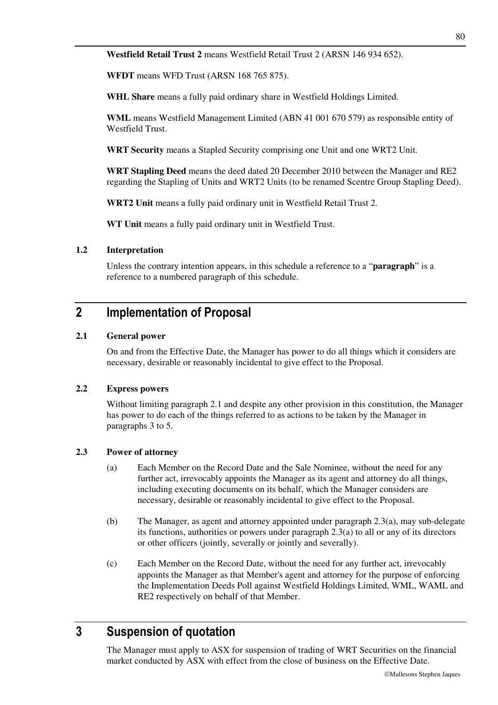**WFDT** means WFD Trust (ARSN 168 765 875).

**WHL Share** means a fully paid ordinary share in Westfield Holdings Limited.

**WML** means Westfield Management Limited (ABN 41 001 670 579) as responsible entity of Westfield Trust.

**WRT Security** means a Stapled Security comprising one Unit and one WRT2 Unit.

**WRT Stapling Deed** means the deed dated 20 December 2010 between the Manager and RE2 regarding the Stapling of Units and WRT2 Units (to be renamed Scentre Group Stapling Deed).

**WRT2 Unit** means a fully paid ordinary unit in Westfield Retail Trust 2.

**WT Unit** means a fully paid ordinary unit in Westfield Trust.

#### **1.2 Interpretation**

Unless the contrary intention appears, in this schedule a reference to a "**paragraph**" is a reference to a numbered paragraph of this schedule.

# **2 Implementation of Proposal**

#### **2.1 General power**

On and from the Effective Date, the Manager has power to do all things which it considers are necessary, desirable or reasonably incidental to give effect to the Proposal.

#### **2.2 Express powers**

Without limiting paragraph 2.1 and despite any other provision in this constitution, the Manager has power to do each of the things referred to as actions to be taken by the Manager in paragraphs 3 to 5.

#### **2.3 Power of attorney**

- (a) Each Member on the Record Date and the Sale Nominee, without the need for any further act, irrevocably appoints the Manager as its agent and attorney do all things, including executing documents on its behalf, which the Manager considers are necessary, desirable or reasonably incidental to give effect to the Proposal.
- (b) The Manager, as agent and attorney appointed under paragraph 2.3(a), may sub-delegate its functions, authorities or powers under paragraph 2.3(a) to all or any of its directors or other officers (jointly, severally or jointly and severally).
- (c) Each Member on the Record Date, without the need for any further act, irrevocably appoints the Manager as that Member's agent and attorney for the purpose of enforcing the Implementation Deeds Poll against Westfield Holdings Limited, WML, WAML and RE2 respectively on behalf of that Member.

# **3 Suspension of quotation**

The Manager must apply to ASX for suspension of trading of WRT Securities on the financial market conducted by ASX with effect from the close of business on the Effective Date.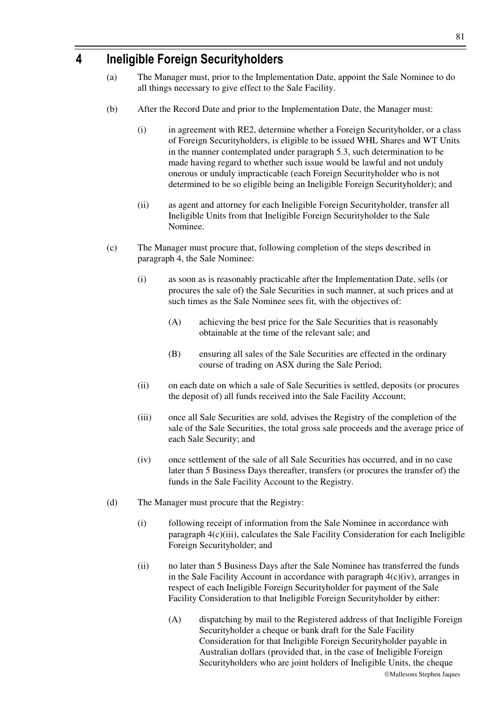# **4 Ineligible Foreign Securityholders**

- (a) The Manager must, prior to the Implementation Date, appoint the Sale Nominee to do all things necessary to give effect to the Sale Facility.
- (b) After the Record Date and prior to the Implementation Date, the Manager must:
	- (i) in agreement with RE2, determine whether a Foreign Securityholder, or a class of Foreign Securityholders, is eligible to be issued WHL Shares and WT Units in the manner contemplated under paragraph 5.3, such determination to be made having regard to whether such issue would be lawful and not unduly onerous or unduly impracticable (each Foreign Securityholder who is not determined to be so eligible being an Ineligible Foreign Securityholder); and
	- (ii) as agent and attorney for each Ineligible Foreign Securityholder, transfer all Ineligible Units from that Ineligible Foreign Securityholder to the Sale Nominee.
- (c) The Manager must procure that, following completion of the steps described in paragraph 4, the Sale Nominee:
	- (i) as soon as is reasonably practicable after the Implementation Date, sells (or procures the sale of) the Sale Securities in such manner, at such prices and at such times as the Sale Nominee sees fit, with the objectives of:
		- (A) achieving the best price for the Sale Securities that is reasonably obtainable at the time of the relevant sale; and
		- (B) ensuring all sales of the Sale Securities are effected in the ordinary course of trading on ASX during the Sale Period;
	- (ii) on each date on which a sale of Sale Securities is settled, deposits (or procures the deposit of) all funds received into the Sale Facility Account;
	- (iii) once all Sale Securities are sold, advises the Registry of the completion of the sale of the Sale Securities, the total gross sale proceeds and the average price of each Sale Security; and
	- (iv) once settlement of the sale of all Sale Securities has occurred, and in no case later than 5 Business Days thereafter, transfers (or procures the transfer of) the funds in the Sale Facility Account to the Registry.
- (d) The Manager must procure that the Registry:
	- (i) following receipt of information from the Sale Nominee in accordance with paragraph 4(c)(iii), calculates the Sale Facility Consideration for each Ineligible Foreign Securityholder; and
	- (ii) no later than 5 Business Days after the Sale Nominee has transferred the funds in the Sale Facility Account in accordance with paragraph  $4(c)(iv)$ , arranges in respect of each Ineligible Foreign Securityholder for payment of the Sale Facility Consideration to that Ineligible Foreign Securityholder by either:
		- Mallesons Stephen Jaques (A) dispatching by mail to the Registered address of that Ineligible Foreign Securityholder a cheque or bank draft for the Sale Facility Consideration for that Ineligible Foreign Securityholder payable in Australian dollars (provided that, in the case of Ineligible Foreign Securityholders who are joint holders of Ineligible Units, the cheque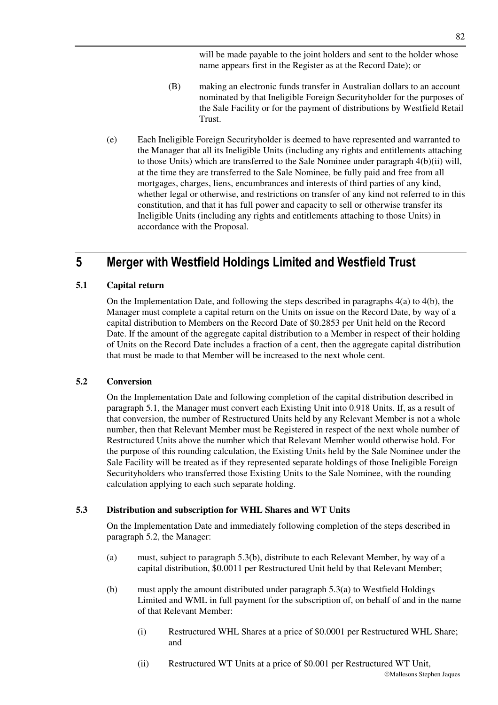will be made payable to the joint holders and sent to the holder whose name appears first in the Register as at the Record Date); or

- (B) making an electronic funds transfer in Australian dollars to an account nominated by that Ineligible Foreign Securityholder for the purposes of the Sale Facility or for the payment of distributions by Westfield Retail Trust.
- (e) Each Ineligible Foreign Securityholder is deemed to have represented and warranted to the Manager that all its Ineligible Units (including any rights and entitlements attaching to those Units) which are transferred to the Sale Nominee under paragraph 4(b)(ii) will, at the time they are transferred to the Sale Nominee, be fully paid and free from all mortgages, charges, liens, encumbrances and interests of third parties of any kind, whether legal or otherwise, and restrictions on transfer of any kind not referred to in this constitution, and that it has full power and capacity to sell or otherwise transfer its Ineligible Units (including any rights and entitlements attaching to those Units) in accordance with the Proposal.

# **5 Merger with Westfield Holdings Limited and Westfield Trust**

### **5.1 Capital return**

On the Implementation Date, and following the steps described in paragraphs 4(a) to 4(b), the Manager must complete a capital return on the Units on issue on the Record Date, by way of a capital distribution to Members on the Record Date of \$0.2853 per Unit held on the Record Date. If the amount of the aggregate capital distribution to a Member in respect of their holding of Units on the Record Date includes a fraction of a cent, then the aggregate capital distribution that must be made to that Member will be increased to the next whole cent.

### **5.2 Conversion**

On the Implementation Date and following completion of the capital distribution described in paragraph 5.1, the Manager must convert each Existing Unit into 0.918 Units. If, as a result of that conversion, the number of Restructured Units held by any Relevant Member is not a whole number, then that Relevant Member must be Registered in respect of the next whole number of Restructured Units above the number which that Relevant Member would otherwise hold. For the purpose of this rounding calculation, the Existing Units held by the Sale Nominee under the Sale Facility will be treated as if they represented separate holdings of those Ineligible Foreign Securityholders who transferred those Existing Units to the Sale Nominee, with the rounding calculation applying to each such separate holding.

### **5.3 Distribution and subscription for WHL Shares and WT Units**

On the Implementation Date and immediately following completion of the steps described in paragraph 5.2, the Manager:

- (a) must, subject to paragraph 5.3(b), distribute to each Relevant Member, by way of a capital distribution, \$0.0011 per Restructured Unit held by that Relevant Member;
- (b) must apply the amount distributed under paragraph 5.3(a) to Westfield Holdings Limited and WML in full payment for the subscription of, on behalf of and in the name of that Relevant Member:
	- (i) Restructured WHL Shares at a price of \$0.0001 per Restructured WHL Share; and
	- (ii) Restructured WT Units at a price of \$0.001 per Restructured WT Unit,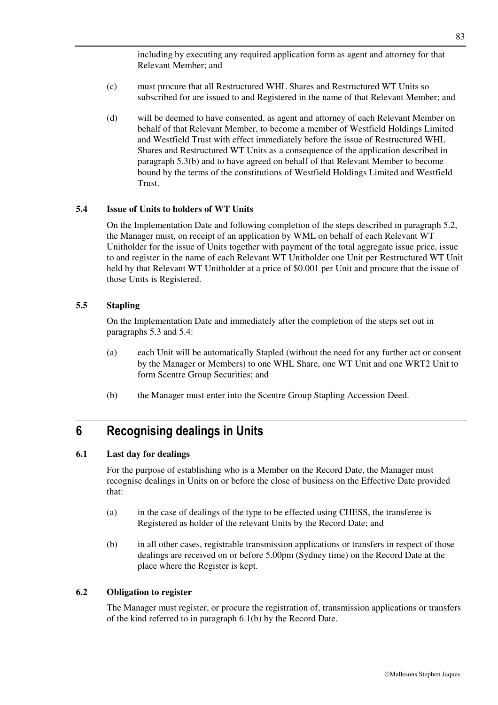including by executing any required application form as agent and attorney for that Relevant Member; and

- (c) must procure that all Restructured WHL Shares and Restructured WT Units so subscribed for are issued to and Registered in the name of that Relevant Member; and
- (d) will be deemed to have consented, as agent and attorney of each Relevant Member on behalf of that Relevant Member, to become a member of Westfield Holdings Limited and Westfield Trust with effect immediately before the issue of Restructured WHL Shares and Restructured WT Units as a consequence of the application described in paragraph 5.3(b) and to have agreed on behalf of that Relevant Member to become bound by the terms of the constitutions of Westfield Holdings Limited and Westfield Trust.

#### **5.4 Issue of Units to holders of WT Units**

On the Implementation Date and following completion of the steps described in paragraph 5.2, the Manager must, on receipt of an application by WML on behalf of each Relevant WT Unitholder for the issue of Units together with payment of the total aggregate issue price, issue to and register in the name of each Relevant WT Unitholder one Unit per Restructured WT Unit held by that Relevant WT Unitholder at a price of \$0.001 per Unit and procure that the issue of those Units is Registered.

#### **5.5 Stapling**

On the Implementation Date and immediately after the completion of the steps set out in paragraphs 5.3 and 5.4:

- (a) each Unit will be automatically Stapled (without the need for any further act or consent by the Manager or Members) to one WHL Share, one WT Unit and one WRT2 Unit to form Scentre Group Securities; and
- (b) the Manager must enter into the Scentre Group Stapling Accession Deed.

## **6 Recognising dealings in Units**

#### **6.1 Last day for dealings**

For the purpose of establishing who is a Member on the Record Date, the Manager must recognise dealings in Units on or before the close of business on the Effective Date provided that:

- (a) in the case of dealings of the type to be effected using CHESS, the transferee is Registered as holder of the relevant Units by the Record Date; and
- (b) in all other cases, registrable transmission applications or transfers in respect of those dealings are received on or before 5.00pm (Sydney time) on the Record Date at the place where the Register is kept.

#### **6.2 Obligation to register**

The Manager must register, or procure the registration of, transmission applications or transfers of the kind referred to in paragraph 6.1(b) by the Record Date.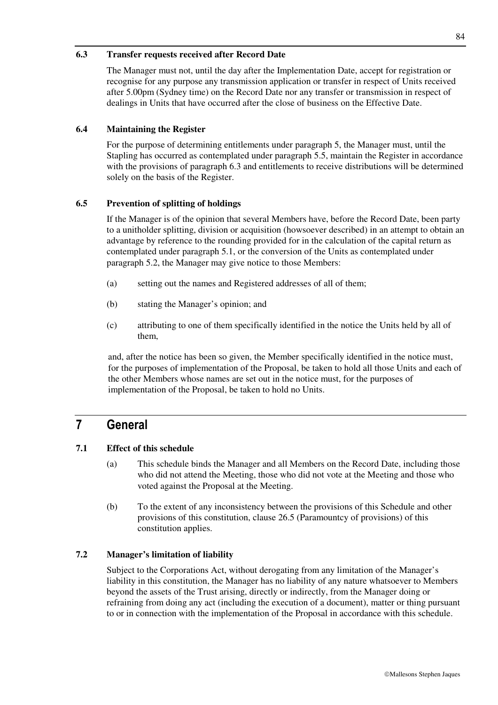#### **6.3 Transfer requests received after Record Date**

The Manager must not, until the day after the Implementation Date, accept for registration or recognise for any purpose any transmission application or transfer in respect of Units received after 5.00pm (Sydney time) on the Record Date nor any transfer or transmission in respect of dealings in Units that have occurred after the close of business on the Effective Date.

### **6.4 Maintaining the Register**

For the purpose of determining entitlements under paragraph 5, the Manager must, until the Stapling has occurred as contemplated under paragraph 5.5, maintain the Register in accordance with the provisions of paragraph 6.3 and entitlements to receive distributions will be determined solely on the basis of the Register.

#### **6.5 Prevention of splitting of holdings**

If the Manager is of the opinion that several Members have, before the Record Date, been party to a unitholder splitting, division or acquisition (howsoever described) in an attempt to obtain an advantage by reference to the rounding provided for in the calculation of the capital return as contemplated under paragraph 5.1, or the conversion of the Units as contemplated under paragraph 5.2, the Manager may give notice to those Members:

- (a) setting out the names and Registered addresses of all of them;
- (b) stating the Manager's opinion; and
- (c) attributing to one of them specifically identified in the notice the Units held by all of them,

and, after the notice has been so given, the Member specifically identified in the notice must, for the purposes of implementation of the Proposal, be taken to hold all those Units and each of the other Members whose names are set out in the notice must, for the purposes of implementation of the Proposal, be taken to hold no Units.

## **7 General**

### **7.1 Effect of this schedule**

- (a) This schedule binds the Manager and all Members on the Record Date, including those who did not attend the Meeting, those who did not vote at the Meeting and those who voted against the Proposal at the Meeting.
- (b) To the extent of any inconsistency between the provisions of this Schedule and other provisions of this constitution, clause 26.5 (Paramountcy of provisions) of this constitution applies.

#### **7.2 Manager's limitation of liability**

Subject to the Corporations Act, without derogating from any limitation of the Manager's liability in this constitution, the Manager has no liability of any nature whatsoever to Members beyond the assets of the Trust arising, directly or indirectly, from the Manager doing or refraining from doing any act (including the execution of a document), matter or thing pursuant to or in connection with the implementation of the Proposal in accordance with this schedule.